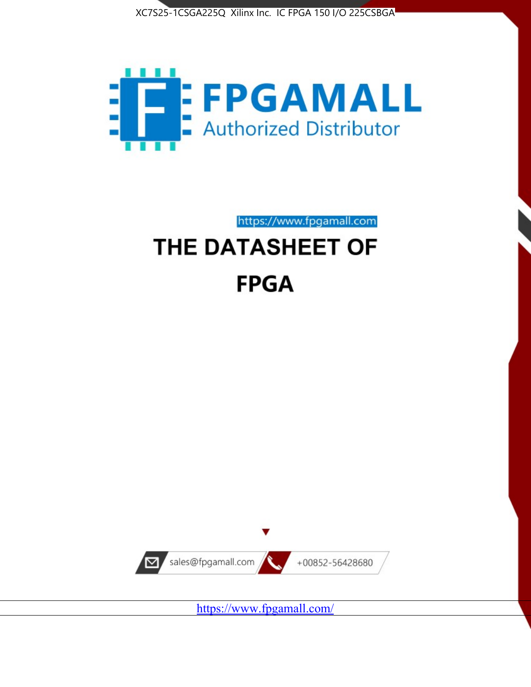



https://www.fpgamall.com

# THE DATASHEET OF **FPGA**



<https://www.fpgamall.com/>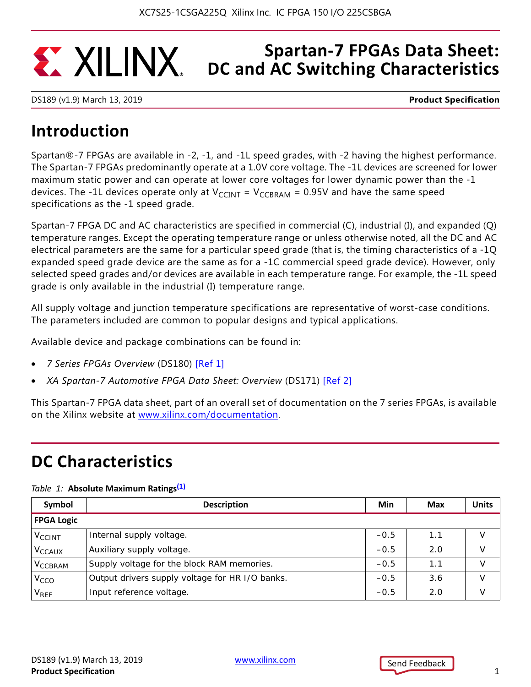### **Spartan-7 FPGAs Data Sheet: EXALINX. DC and AC Switching Characteristics**

DS189 (v1.9) March 13, 2019 **Product Specification**

# **Introduction**

Spartan®-7 FPGAs are available in -2, -1, and -1L speed grades, with -2 having the highest performance. The Spartan-7 FPGAs predominantly operate at a 1.0V core voltage. The -1L devices are screened for lower maximum static power and can operate at lower core voltages for lower dynamic power than the -1 devices. The -1L devices operate only at  $V_{CCINT} = V_{CCBRAM} = 0.95V$  and have the same speed specifications as the -1 speed grade.

Spartan-7 FPGA DC and AC characteristics are specified in commercial (C), industrial (I), and expanded (Q) temperature ranges. Except the operating temperature range or unless otherwise noted, all the DC and AC electrical parameters are the same for a particular speed grade (that is, the timing characteristics of a -1Q expanded speed grade device are the same as for a -1C commercial speed grade device). However, only selected speed grades and/or devices are available in each temperature range. For example, the -1L speed grade is only available in the industrial (I) temperature range.

All supply voltage and junction temperature specifications are representative of worst-case conditions. The parameters included are common to popular designs and typical applications.

Available device and package combinations can be found in:

- *7 Series FPGAs Overview* (DS180) [Ref 1]
- *XA Spartan-7 Automotive FPGA Data Sheet: Overview* (DS171) [Ref 2]

This Spartan-7 FPGA data sheet, part of an overall set of documentation on the 7 series FPGAs, is available on the Xilinx website at <www.xilinx.com/documentation>.

## **DC Characteristics**

### *Table 1:* **Absolute Maximum Ratings(1)**

| Symbol                    | <b>Description</b>                              | Min    | <b>Max</b> | <b>Units</b> |
|---------------------------|-------------------------------------------------|--------|------------|--------------|
| <b>FPGA Logic</b>         |                                                 |        |            |              |
| $V_{\text{CCINT}}$        | Internal supply voltage.                        | $-0.5$ | 1.1        | V            |
| <b>V<sub>CCAUX</sub></b>  | Auxiliary supply voltage.                       | $-0.5$ | 2.0        | $\vee$       |
| <b>V<sub>CCBRAM</sub></b> | Supply voltage for the block RAM memories.      | $-0.5$ | 1.1        | V            |
| V <sub>CCO</sub>          | Output drivers supply voltage for HR I/O banks. | $-0.5$ | 3.6        | $\vee$       |
| V <sub>REF</sub>          | Input reference voltage.                        | $-0.5$ | 2.0        |              |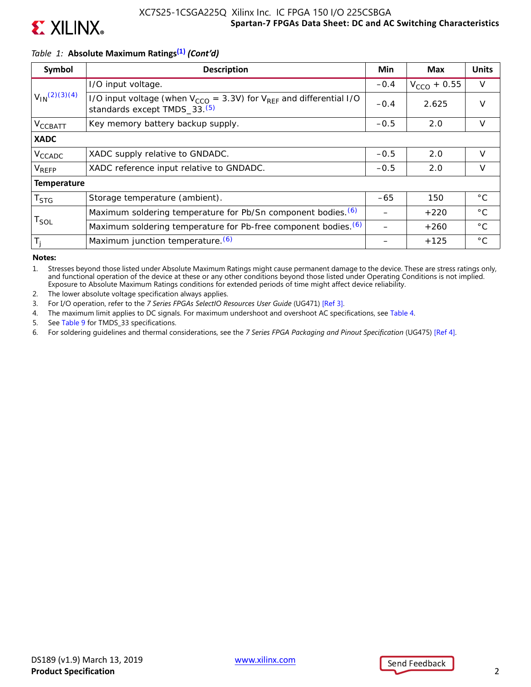

### *Table 1:* **Absolute Maximum Ratings(1)** *(Cont'd)*

**EX XILINX**®

| Symbol                      | <b>Description</b>                                                                                                        | Min    | <b>Max</b>       | <b>Units</b> |
|-----------------------------|---------------------------------------------------------------------------------------------------------------------------|--------|------------------|--------------|
|                             | I/O input voltage.                                                                                                        | $-0.4$ | $V_{CCO}$ + 0.55 | $\vee$       |
| $V_{1N}(2)(3)(4)$           | I/O input voltage (when $V_{CCO} = 3.3V$ ) for $V_{RFF}$ and differential I/O<br>standards except TMDS_33. <sup>(5)</sup> | $-0.4$ | 2.625            | $\vee$       |
| <b>VCCBATT</b>              | Key memory battery backup supply.                                                                                         | $-0.5$ | 2.0              | $\vee$       |
| <b>XADC</b>                 |                                                                                                                           |        |                  |              |
| V <sub>CCADC</sub>          | XADC supply relative to GNDADC.                                                                                           | $-0.5$ | 2.0              | $\mathsf{V}$ |
| V <sub>REFP</sub>           | XADC reference input relative to GNDADC.                                                                                  | $-0.5$ | 2.0              | V            |
| <b>Temperature</b>          |                                                                                                                           |        |                  |              |
| T <sub>STG</sub>            | Storage temperature (ambient).                                                                                            | $-65$  | 150              | $^{\circ}$ C |
|                             | Maximum soldering temperature for Pb/Sn component bodies. (6)                                                             |        | $+220$           | $^{\circ}$ C |
| $\mathsf{T}_{\mathsf{SOL}}$ | Maximum soldering temperature for Pb-free component bodies. (6)                                                           |        | $+260$           | $^{\circ}$ C |
| $T_i$                       | Maximum junction temperature. (6)                                                                                         |        | $+125$           | $^{\circ}$ C |

**Notes:** 

1. Stresses beyond those listed under Absolute Maximum Ratings might cause permanent damage to the device. These are stress ratings only, and functional operation of the device at these or any other conditions beyond those listed under Operating Conditions is not implied. Exposure to Absolute Maximum Ratings conditions for extended periods of time might affect device reliability.

2. The lower absolute voltage specification always applies.

3. For I/O operation, refer to the *7 Series FPGAs SelectIO Resources User Guide* (UG471) [Ref 3].

4. The maximum limit applies to DC signals. For maximum undershoot and overshoot AC specifications, see Table 4.

5. See Table 9 for TMDS\_33 specifications.

6. For soldering guidelines and thermal considerations, see the *7 Series FPGA Packaging and Pinout Specification* (UG475) [Ref 4].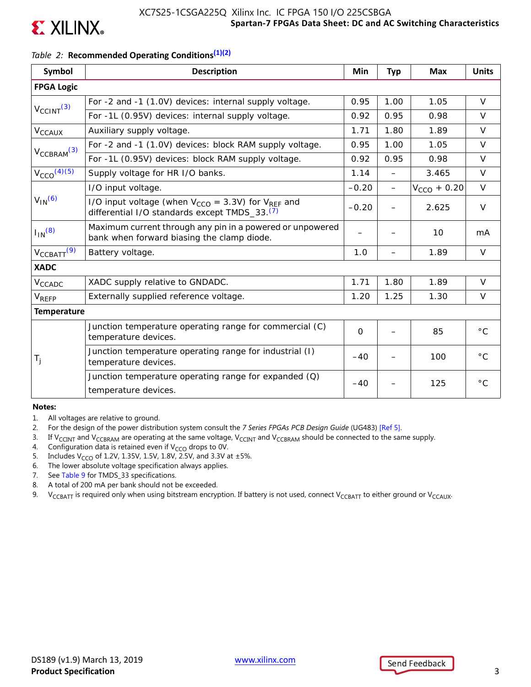

### *Table 2:* **Recommended Operating Conditions(1)(2)**

| Symbol                      | <b>Description</b>                                                                                            | Min         | <b>Typ</b>               | <b>Max</b>       | <b>Units</b> |
|-----------------------------|---------------------------------------------------------------------------------------------------------------|-------------|--------------------------|------------------|--------------|
| <b>FPGA Logic</b>           |                                                                                                               |             |                          |                  |              |
|                             | For -2 and -1 (1.0V) devices: internal supply voltage.                                                        | 0.95        | 1.00                     | 1.05             | $\vee$       |
| $V_{\text{CCINT}}^{(3)}$    | For -1L (0.95V) devices: internal supply voltage.                                                             | 0.92        | 0.95                     | 0.98             | $\vee$       |
| V <sub>CCAUX</sub>          | Auxiliary supply voltage.                                                                                     | 1.71        | 1.80                     | 1.89             | $\vee$       |
|                             | For -2 and -1 (1.0V) devices: block RAM supply voltage.                                                       | 0.95        | 1.00                     | 1.05             | $\vee$       |
| $V_{\text{CCBRAM}}^{(3)}$   | For -1L (0.95V) devices: block RAM supply voltage.                                                            | 0.92        | 0.95                     | 0.98             | $\vee$       |
| $V_{CCO}$ <sup>(4)(5)</sup> | Supply voltage for HR I/O banks.                                                                              | 1.14        | $\overline{\phantom{0}}$ | 3.465            | $\vee$       |
|                             | I/O input voltage.                                                                                            | $-0.20$     |                          | $V_{CCO}$ + 0.20 | $\vee$       |
| $V_{IN}$ <sup>(6)</sup>     | I/O input voltage (when $V_{CCO} = 3.3V$ ) for $V_{RFF}$ and<br>differential I/O standards except TMDS_33.(7) | $-0.20$     |                          | 2.625            | $\vee$       |
| $I_{IN}$ (8)                | Maximum current through any pin in a powered or unpowered<br>bank when forward biasing the clamp diode.       |             |                          | 10               | mA           |
| $V_{\text{CCBAT}}^{(9)}$    | Battery voltage.                                                                                              | 1.0         |                          | 1.89             | $\vee$       |
| <b>XADC</b>                 |                                                                                                               |             |                          |                  |              |
| V <sub>CCADC</sub>          | XADC supply relative to GNDADC.                                                                               | 1.71        | 1.80                     | 1.89             | $\vee$       |
| $V_{REFP}$                  | Externally supplied reference voltage.                                                                        | 1.20        | 1.25                     | 1.30             | $\vee$       |
| <b>Temperature</b>          |                                                                                                               |             |                          |                  |              |
|                             | Junction temperature operating range for commercial (C)<br>temperature devices.                               | $\mathbf 0$ |                          | 85               | $^{\circ}$ C |
| $T_j$                       | Junction temperature operating range for industrial (I)<br>temperature devices.                               | $-40$       |                          | 100              | $^{\circ}$ C |
|                             | Junction temperature operating range for expanded $(Q)$<br>temperature devices.                               | $-40$       |                          | 125              | $^{\circ}$ C |

#### **Notes:**

- 1. All voltages are relative to ground.
- 2. For the design of the power distribution system consult the *7 Series FPGAs PCB Design Guide* (UG483) [Ref 5].
- 3. If V<sub>CCINT</sub> and V<sub>CCBRAM</sub> are operating at the same voltage, V<sub>CCINT</sub> and V<sub>CCBRAM</sub> should be connected to the same supply.
- 4. Configuration data is retained even if  $V_{CCO}$  drops to 0V.
- 5. Includes V<sub>CCO</sub> of 1.2V, 1.35V, 1.5V, 1.8V, 2.5V, and 3.3V at  $\pm 5\%$ .
- 6. The lower absolute voltage specification always applies.
- 7. See Table 9 for TMDS\_33 specifications.
- 8. A total of 200 mA per bank should not be exceeded.
- 9. V<sub>CCBATT</sub> is required only when using bitstream encryption. If battery is not used, connect V<sub>CCBATT</sub> to either ground or V<sub>CCAUX</sub>.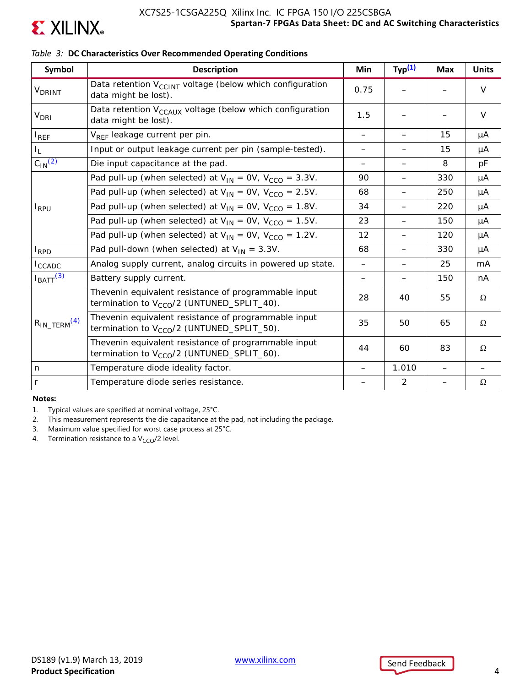

| Symbol                        | <b>Description</b>                                                                                             | Min               | Typ <sup>(1)</sup>       | <b>Max</b> | <b>Units</b>   |  |  |  |
|-------------------------------|----------------------------------------------------------------------------------------------------------------|-------------------|--------------------------|------------|----------------|--|--|--|
| <b>V</b> DRINT                | Data retention V <sub>CCINT</sub> voltage (below which configuration<br>data might be lost).                   | 0.75              |                          |            | $\vee$         |  |  |  |
| <b>V<sub>DRI</sub></b>        | Data retention $V_{\text{CCALIX}}$ voltage (below which configuration<br>data might be lost).                  | 1.5               |                          |            | $\vee$         |  |  |  |
| $I_{REF}$                     | V <sub>RFF</sub> leakage current per pin.                                                                      |                   | —                        | 15         | μA             |  |  |  |
| ΙĻ.                           | Input or output leakage current per pin (sample-tested).                                                       |                   |                          | 15         | μA             |  |  |  |
| $C_{1N}^{(2)}$                | Die input capacitance at the pad.                                                                              | —                 | —                        | 8          | pF             |  |  |  |
|                               | Pad pull-up (when selected) at $V_{IN} = OV, V_{CCO} = 3.3V$ .                                                 | 90                | —                        | 330        | μA             |  |  |  |
| <b>I</b> <sub>RPU</sub>       | Pad pull-up (when selected) at $V_{IN} = OV, V_{CCO} = 2.5V$ .                                                 | 68                | $\overline{\phantom{0}}$ | 250        | μA             |  |  |  |
|                               | Pad pull-up (when selected) at $V_{IN} = OV, V_{CCO} = 1.8V$ .                                                 | 34                |                          | 220        | μA             |  |  |  |
|                               | Pad pull-up (when selected) at $V_{IN} = OV$ , $V_{CCO} = 1.5V$ .                                              | 23                | —                        | 150        | μA             |  |  |  |
|                               | Pad pull-up (when selected) at $V_{IN} = OV, V_{CCO} = 1.2V$ .                                                 | $12 \overline{ }$ | $\overline{\phantom{0}}$ | 120        | μA             |  |  |  |
| $I_{RPD}$                     | Pad pull-down (when selected) at $V_{IN} = 3.3V$ .                                                             | 330<br>68<br>—    |                          |            |                |  |  |  |
| $I_{\text{CCADC}}$            | Analog supply current, analog circuits in powered up state.                                                    | $\qquad \qquad -$ | —                        | 25         | m <sub>A</sub> |  |  |  |
| $I_{\text{BATT}}^{(3)}$       | Battery supply current.                                                                                        |                   |                          | 150        | nA             |  |  |  |
|                               | Thevenin equivalent resistance of programmable input<br>termination to V <sub>CCO</sub> /2 (UNTUNED_SPLIT_40). | 28                | 40                       | 55         | $\Omega$       |  |  |  |
| $R_{IN\_TERM}$ <sup>(4)</sup> | Thevenin equivalent resistance of programmable input<br>termination to $V_{CCO}/2$ (UNTUNED_SPLIT_50).         | 35                | 50                       | 65         | $\Omega$       |  |  |  |
|                               | Thevenin equivalent resistance of programmable input<br>termination to V <sub>CCO</sub> /2 (UNTUNED_SPLIT_60). | 44                | 60                       | 83         | $\Omega$       |  |  |  |
| n                             | Temperature diode ideality factor.                                                                             |                   | 1.010                    |            |                |  |  |  |
| $\mathsf{r}$                  | Temperature diode series resistance.                                                                           |                   | $\overline{2}$           |            | $\Omega$       |  |  |  |

### *Table 3:* **DC Characteristics Over Recommended Operating Conditions**

**Notes:** 

**EXILINX** 

1. Typical values are specified at nominal voltage, 25°C.

2. This measurement represents the die capacitance at the pad, not including the package.

3. Maximum value specified for worst case process at 25°C.

4. Termination resistance to a  $V_{CCO}/2$  level.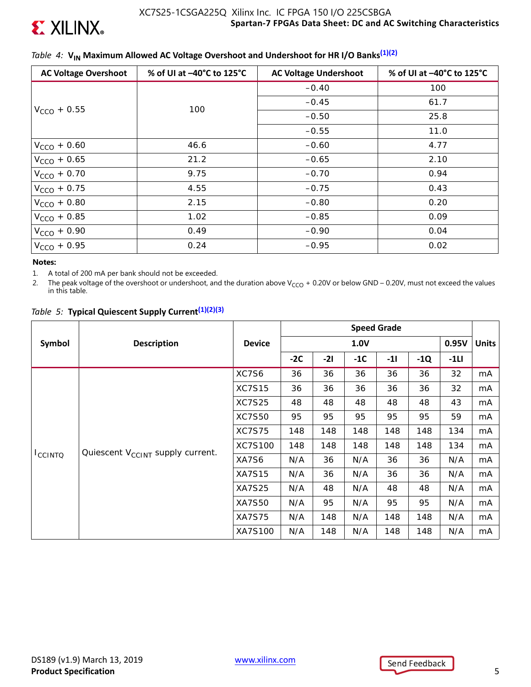

### *Table 4:* V<sub>IN</sub> Maximum Allowed AC Voltage Overshoot and Undershoot for HR I/O Banks<sup>(1)(2)</sup>

| <b>AC Voltage Overshoot</b> | % of UI at -40°C to 125°C | <b>AC Voltage Undershoot</b> | % of UI at -40°C to 125°C |
|-----------------------------|---------------------------|------------------------------|---------------------------|
|                             |                           | $-0.40$                      | 100                       |
|                             | 100                       | $-0.45$                      | 61.7                      |
| $V_{CCO}$ + 0.55            |                           | $-0.50$                      | 25.8                      |
|                             |                           | $-0.55$                      | 11.0                      |
| $V_{CCO}$ + 0.60            | 46.6                      | $-0.60$                      | 4.77                      |
| $V_{CCO} + 0.65$            | 21.2                      | $-0.65$                      | 2.10                      |
| $V_{CCO}$ + 0.70            | 9.75                      | $-0.70$                      | 0.94                      |
| $V_{CCO}$ + 0.75            | 4.55                      | $-0.75$                      | 0.43                      |
| $V_{CCO}$ + 0.80            | 2.15                      | $-0.80$                      | 0.20                      |
| $V_{CCO}$ + 0.85            | 1.02                      | $-0.85$                      | 0.09                      |
| $V_{CCO} + 0.90$            | 0.49                      | $-0.90$                      | 0.04                      |
| $V_{CCO} + 0.95$            | 0.24                      | $-0.95$                      | 0.02                      |

#### **Notes:**

1. A total of 200 mA per bank should not be exceeded.

2. The peak voltage of the overshoot or undershoot, and the duration above V<sub>CCO</sub> + 0.20V or below GND – 0.20V, must not exceed the values in this table.

### *Table 5:* **Typical Quiescent Supply Current(1)(2)(3)**

|                 |                                              |               | <b>Speed Grade</b> |       |       |       |              |        |    |
|-----------------|----------------------------------------------|---------------|--------------------|-------|-------|-------|--------------|--------|----|
| Symbol          | <b>Description</b>                           | <b>Device</b> |                    |       |       | 0.95V | <b>Units</b> |        |    |
|                 |                                              |               | $-2C$              | $-21$ | $-1C$ | $-11$ | $-1Q$        | $-1LI$ |    |
|                 |                                              | XC7S6         | 36                 | 36    | 36    | 36    | 36           | 32     | mA |
|                 | Quiescent V <sub>CCINT</sub> supply current. | <b>XC7S15</b> | 36                 | 36    | 36    | 36    | 36           | 32     | mA |
|                 |                                              | <b>XC7S25</b> | 48                 | 48    | 48    | 48    | 48           | 43     | mA |
|                 |                                              | <b>XC7S50</b> | 95                 | 95    | 95    | 95    | 95           | 59     | mA |
|                 |                                              | <b>XC7S75</b> | 148                | 148   | 148   | 148   | 148          | 134    | mA |
|                 |                                              | XC7S100       | 148                | 148   | 148   | 148   | 148          | 134    | mA |
| <b>I</b> CCINTO |                                              | XA7S6         | N/A                | 36    | N/A   | 36    | 36           | N/A    | mA |
|                 |                                              | <b>XA7S15</b> | N/A                | 36    | N/A   | 36    | 36           | N/A    | mA |
|                 |                                              | <b>XA7S25</b> | N/A                | 48    | N/A   | 48    | 48           | N/A    | mA |
|                 |                                              | XA7S50        | N/A                | 95    | N/A   | 95    | 95           | N/A    | mA |
|                 |                                              | <b>XA7S75</b> | N/A                | 148   | N/A   | 148   | 148          | N/A    | mA |
|                 |                                              | XA7S100       | N/A                | 148   | N/A   | 148   | 148          | N/A    | mA |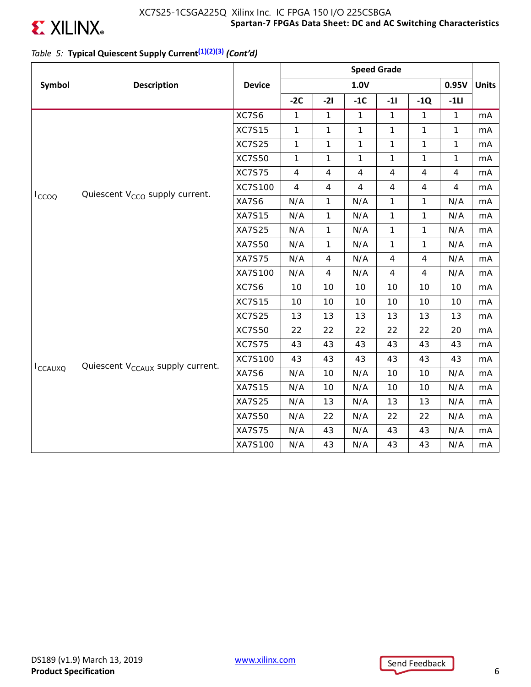

### **Spartan-7 FPGAs Data Sheet: DC and AC Switching Characteristics** XC7S25-1CSGA225Q Xilinx Inc. IC FPGA 150 I/O 225CSBGA

### *Table 5:* **Typical Quiescent Supply Current(1)(2)(3)** *(Cont'd)*

|                 |                                              |               | <b>Speed Grade</b> |                |                |                |                |                |              |
|-----------------|----------------------------------------------|---------------|--------------------|----------------|----------------|----------------|----------------|----------------|--------------|
| Symbol          | <b>Description</b>                           | <b>Device</b> |                    |                | 1.0V           |                |                | 0.95V          | <b>Units</b> |
|                 |                                              |               | $-2C$              | $-21$          | $-1C$          | $-11$          | $-1Q$          | $-1LI$         |              |
|                 |                                              | XC7S6         | $\mathbf{1}$       | $\mathbf{1}$   | $\mathbf{1}$   | $\mathbf{1}$   | $\mathbf{1}$   | $\mathbf{1}$   | mA           |
|                 |                                              | <b>XC7S15</b> | $\mathbf{1}$       | 1              | 1              | 1              | $\mathbf{1}$   | 1              | mA           |
|                 |                                              | <b>XC7S25</b> | $\mathbf{1}$       | 1              | 1              | 1              | 1              | 1              | mA           |
|                 |                                              | <b>XC7S50</b> | $\mathbf{1}$       | $\mathbf{1}$   | 1              | $\mathbf{1}$   | 1              | 1              | mA           |
|                 |                                              | <b>XC7S75</b> | $\overline{4}$     | $\overline{4}$ | $\overline{4}$ | 4              | $\overline{4}$ | $\overline{4}$ | mA           |
|                 |                                              | XC7S100       | $\overline{4}$     | $\overline{4}$ | 4              | $\overline{4}$ | $\overline{4}$ | $\overline{4}$ | mA           |
| $I_{CCOO}$      | Quiescent V <sub>CCO</sub> supply current.   | XA7S6         | N/A                | $\mathbf{1}$   | N/A            | 1              | 1              | N/A            | mA           |
|                 |                                              | <b>XA7S15</b> | N/A                | $\mathbf{1}$   | N/A            | $\mathbf{1}$   | 1              | N/A            | mA           |
|                 |                                              | XA7S25        | N/A                | $\mathbf{1}$   | N/A            | $\mathbf{1}$   | $\mathbf{1}$   | N/A            | mA           |
|                 |                                              | <b>XA7S50</b> | N/A                | $\mathbf{1}$   | N/A            | $\mathbf{1}$   | $\mathbf{1}$   | N/A            | mA           |
|                 |                                              | <b>XA7S75</b> | N/A                | $\overline{4}$ | N/A            | $\overline{4}$ | $\overline{4}$ | N/A            | mA           |
|                 |                                              | XA7S100       | N/A                | $\overline{4}$ | N/A            | $\overline{4}$ | $\overline{4}$ | N/A            | mA           |
|                 |                                              | XC7S6         | 10                 | 10             | 10             | 10             | 10             | 10             | mA           |
|                 |                                              | <b>XC7S15</b> | 10                 | 10             | 10             | 10             | 10             | 10             | mA           |
|                 |                                              | <b>XC7S25</b> | 13                 | 13             | 13             | 13             | 13             | 13             | mA           |
|                 |                                              | <b>XC7S50</b> | 22                 | 22             | 22             | 22             | 22             | 20             | mA           |
|                 |                                              | <b>XC7S75</b> | 43                 | 43             | 43             | 43             | 43             | 43             | mA           |
|                 | Quiescent V <sub>CCAUX</sub> supply current. | XC7S100       | 43                 | 43             | 43             | 43             | 43             | 43             | mA           |
| <b>I</b> CCAUXQ |                                              | XA7S6         | N/A                | 10             | N/A            | 10             | 10             | N/A            | mA           |
|                 |                                              | <b>XA7S15</b> | N/A                | 10             | N/A            | 10             | 10             | N/A            | mA           |
|                 |                                              | <b>XA7S25</b> | N/A                | 13             | N/A            | 13             | 13             | N/A            | mA           |
|                 |                                              | <b>XA7S50</b> | N/A                | 22             | N/A            | 22             | 22             | N/A            | mA           |
|                 |                                              | <b>XA7S75</b> | N/A                | 43             | N/A            | 43             | 43             | N/A            | mA           |
|                 |                                              | XA7S100       | N/A                | 43             | N/A            | 43             | 43             | N/A            | mA           |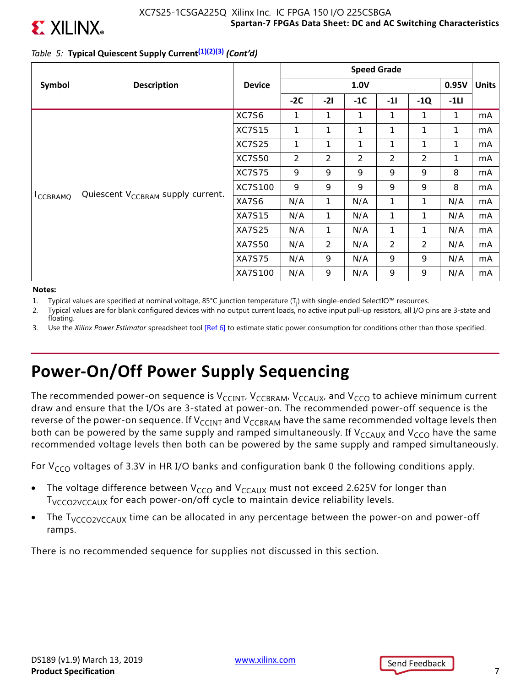

### *Table 5:* **Typical Quiescent Supply Current(1)(2)(3)** *(Cont'd)*

|                  |                                               |                | <b>Speed Grade</b> |                |       |       |              |        |    |
|------------------|-----------------------------------------------|----------------|--------------------|----------------|-------|-------|--------------|--------|----|
| Symbol           | <b>Description</b>                            | <b>Device</b>  |                    |                |       | 0.95V | <b>Units</b> |        |    |
|                  |                                               |                | $-2C$              | $-21$          | $-1C$ | $-11$ | $-1Q$        | $-1LI$ |    |
|                  |                                               | XC7S6          | 1                  | 1              | 1     | 1     | 1            | 1      | mA |
|                  |                                               | <b>XC7S15</b>  | 1                  | 1              | 1     | 1     | 1            | 1      | mA |
|                  |                                               | <b>XC7S25</b>  | 1                  | 1              | 1     | 1     | 1            | 1      | mA |
|                  |                                               | <b>XC7S50</b>  | 2                  | $\overline{2}$ | 2     | 2     | 2            | 1      | mA |
|                  |                                               | <b>XC7S75</b>  | 9                  | 9              | 9     | 9     | 9            | 8      | mA |
|                  |                                               | <b>XC7S100</b> | 9                  | 9              | 9     | 9     | 9            | 8      | mA |
| <b>I</b> CCBRAMQ | Quiescent V <sub>CCBRAM</sub> supply current. | XA7S6          | N/A                | 1              | N/A   | 1     | 1            | N/A    | mA |
|                  |                                               | XA7S15         | N/A                | $\mathbf{1}$   | N/A   | 1     | 1            | N/A    | mA |
|                  |                                               | <b>XA7S25</b>  | N/A                | 1              | N/A   | 1     | 1            | N/A    | mA |
|                  |                                               | XA7S50         | N/A                | $\overline{2}$ | N/A   | 2     | 2            | N/A    | mA |
|                  |                                               | <b>XA7S75</b>  | N/A                | 9              | N/A   | 9     | 9            | N/A    | mA |
|                  |                                               | XA7S100        | N/A                | 9              | N/A   | 9     | 9            | N/A    | mA |

#### **Notes:**

- 1. Typical values are specified at nominal voltage, 85°C junction temperature (T<sub>j</sub>) with single-ended SelectIO™ resources.
- 2. Typical values are for blank configured devices with no output current loads, no active input pull-up resistors, all I/O pins are 3-state and floating.
- 3. Use the *Xilinx Power Estimator* spreadsheet tool [Ref 6] to estimate static power consumption for conditions other than those specified.

# **Power-On/Off Power Supply Sequencing**

The recommended power-on sequence is  $V_{CClNT}$ ,  $V_{CCBRAM}$ ,  $V_{CCAUX}$ , and  $V_{CCO}$  to achieve minimum current draw and ensure that the I/Os are 3-stated at power-on. The recommended power-off sequence is the reverse of the power-on sequence. If  $V_{\text{CCINT}}$  and  $V_{\text{CCBRAM}}$  have the same recommended voltage levels then both can be powered by the same supply and ramped simultaneously. If  $V_{CCAUX}$  and  $V_{CCO}$  have the same recommended voltage levels then both can be powered by the same supply and ramped simultaneously.

For  $V_{CCO}$  voltages of 3.3V in HR I/O banks and configuration bank 0 the following conditions apply.

- The voltage difference between  $V_{CCO}$  and  $V_{CCAUX}$  must not exceed 2.625V for longer than T<sub>VCCO2VCCAUX</sub> for each power-on/off cycle to maintain device reliability levels.
- The  $T<sub>VCCO2VCCAUX</sub>$  time can be allocated in any percentage between the power-on and power-off ramps.

There is no recommended sequence for supplies not discussed in this section.

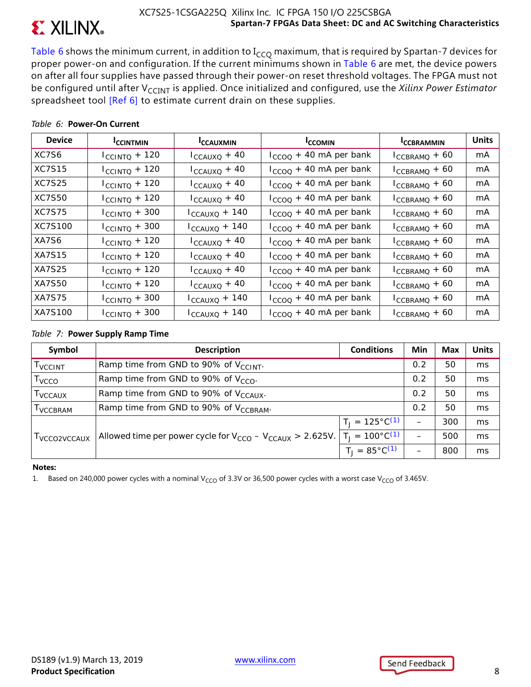

Table 6 shows the minimum current, in addition to  $I_{CCO}$  maximum, that is required by Spartan-7 devices for proper power-on and configuration. If the current minimums shown in Table 6 are met, the device powers on after all four supplies have passed through their power-on reset threshold voltages. The FPGA must not be configured until after V<sub>CCINT</sub> is applied. Once initialized and configured, use the *Xilinx Power Estimator* spreadsheet tool [Ref 6] to estimate current drain on these supplies.

| <b>Device</b>  | <b>ICCINTMIN</b>          | <b>ICCAUXMIN</b>         | <b>ICCOMIN</b>              | <b>ICCBRAMMIN</b>  | <b>Units</b> |
|----------------|---------------------------|--------------------------|-----------------------------|--------------------|--------------|
| XC7S6          | $I_{C CINTQ} + 120$       | $I_{CCAUXQ}$ + 40        | $I_{CCOO}$ + 40 mA per bank | $I_{CCBRAMQ} + 60$ | mA           |
| <b>XC7S15</b>  | $I_{\text{CCINTQ}} + 120$ | $I_{CCAUXQ} + 40$        | $I_{CCOO}$ + 40 mA per bank | $I_{CCBRAMQ} + 60$ | mA           |
| <b>XC7S25</b>  | $I_{\text{CCINTQ}} + 120$ | $I_{\text{CCAUXQ}} + 40$ | $I_{CCOO}$ + 40 mA per bank | $I_{CCBRAMQ} + 60$ | mA           |
| <b>XC7S50</b>  | $I_{\text{CCINTQ}} + 120$ | $I_{\text{CCAUXQ}} + 40$ | $I_{CCOO}$ + 40 mA per bank | $I_{CCBRAMQ} + 60$ | mA.          |
| <b>XC7S75</b>  | $I_{\text{CCINTQ}} + 300$ | $I_{CCAUXQ} + 140$       | $I_{CCOO}$ + 40 mA per bank | $I_{CCBRAMQ} + 60$ | mA           |
| <b>XC7S100</b> | $I_{C CINTQ} + 300$       | $I_{CCAUXQ}$ + 140       | $I_{CCOO}$ + 40 mA per bank | $I_{CCBRAMQ} + 60$ | mA           |
| XA7S6          | $I_{C CINTQ} + 120$       | $I_{CCAUXQ} + 40$        | $I_{CCOO}$ + 40 mA per bank | $I_{CCBRAMQ} + 60$ | mA           |
| <b>XA7S15</b>  | $I_{\text{CCINTQ}} + 120$ | $I_{CCAUXQ}$ + 40        | $I_{CCOO}$ + 40 mA per bank | $I_{CCBRAMQ} + 60$ | mA           |
| <b>XA7S25</b>  | $I_{\text{CCINTQ}} + 120$ | $I_{\text{CCAUXQ}} + 40$ | $I_{CCOO}$ + 40 mA per bank | $I_{CCBRAMQ} + 60$ | mA           |
| <b>XA7S50</b>  | $I_{\text{CCINTQ}} + 120$ | $I_{CCAUXQ} + 40$        | $I_{CCOO}$ + 40 mA per bank | $I_{CCBRAMQ} + 60$ | mA           |
| <b>XA7S75</b>  | $I_{C CINTQ} + 300$       | $I_{CCAUXQ} + 140$       | $I_{CCOO}$ + 40 mA per bank | $I_{CCBRAMQ} + 60$ | mA           |
| <b>XA7S100</b> | $I_{\text{CCINTQ}} + 300$ | $I_{CCAUXQ}$ + 140       | $I_{CCOO}$ + 40 mA per bank | $I_{CCBRAMQ} + 60$ | mA           |

### *Table 6:* **Power-On Current**

### *Table 7:* **Power Supply Ramp Time**

| Symbol                     | <b>Description</b>                                                | <b>Conditions</b>          | Min | <b>Max</b> | <b>Units</b> |
|----------------------------|-------------------------------------------------------------------|----------------------------|-----|------------|--------------|
| <b>T</b> VCCINT            | Ramp time from GND to 90% of V <sub>CCINT</sub> .                 |                            | 0.2 | 50         | ms           |
| T <sub>VCCO</sub>          | Ramp time from GND to 90% of $V_{CCO}$ .                          |                            | 0.2 | 50         | ms           |
| <b>T</b> <sub>VCCAUX</sub> | Ramp time from GND to 90% of V <sub>CCAUX</sub> .                 |                            | 0.2 | 50         | ms           |
| I VCCBRAM                  | Ramp time from GND to 90% of V <sub>CCBRAM</sub> .                |                            | 0.2 | 50         | ms           |
|                            |                                                                   | $T_1 = 125^{\circ}C^{(1)}$ |     | 300        | ms           |
| I VCCO2VCCAUX              | Allowed time per power cycle for $V_{CCO} - V_{CCAUX} > 2.625V$ . | $T_1 = 100^{\circ}C^{(1)}$ |     | 500        | ms           |
|                            |                                                                   | $T_1 = 85^{\circ}C^{(1)}$  |     | 800        | ms           |

**Notes:** 

1. Based on 240,000 power cycles with a nominal V<sub>CCO</sub> of 3.3V or 36,500 power cycles with a worst case V<sub>CCO</sub> of 3.465V.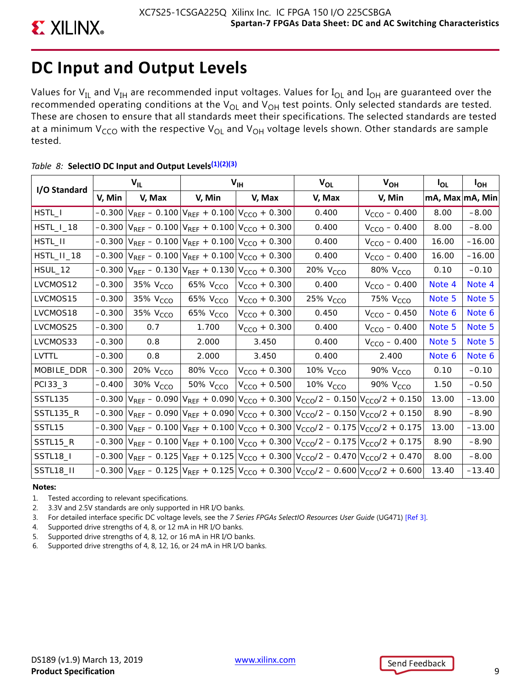# **DC Input and Output Levels**

Values for  $V_{IL}$  and  $V_{IH}$  are recommended input voltages. Values for  $I_{OL}$  and  $I_{OH}$  are guaranteed over the recommended operating conditions at the  $V_{OL}$  and  $V_{OH}$  test points. Only selected standards are tested. These are chosen to ensure that all standards meet their specifications. The selected standards are tested at a minimum V<sub>CCO</sub> with the respective V<sub>OL</sub> and V<sub>OH</sub> voltage levels shown. Other standards are sample tested.

| I/O Standard          |          | $V_{IL}$             |                      | $V_{\text{IH}}$                                       | $V_{OL}$                                                                                                                          | $V_{OH}$             | $I_{OL}$        | $I_{OH}$ |
|-----------------------|----------|----------------------|----------------------|-------------------------------------------------------|-----------------------------------------------------------------------------------------------------------------------------------|----------------------|-----------------|----------|
|                       | V, Min   | V, Max               | V, Min               | V, Max                                                | V, Max                                                                                                                            | V, Min               | mA, Max mA, Min |          |
| HSTL_I                | $-0.300$ |                      |                      | $V_{REF}$ – 0.100 $V_{REF}$ + 0.100 $V_{CCO}$ + 0.300 | 0.400                                                                                                                             | $V_{CCO}$ – 0.400    | 8.00            | $-8.00$  |
| HSTL_I_18             | $-0.300$ |                      |                      | $ V_{REF} - 0.100 V_{REF} + 0.100 V_{CCO} + 0.300$    | 0.400                                                                                                                             | $V_{CCO} - 0.400$    | 8.00            | $-8.00$  |
| HSTL_II               | $-0.300$ |                      |                      | $V_{REF}$ – 0.100 $V_{REF}$ + 0.100 $V_{CCO}$ + 0.300 | 0.400                                                                                                                             | $V_{CCO} - 0.400$    | 16.00           | $-16.00$ |
| HSTL_II_18            | $-0.300$ |                      |                      | $ V_{REF} - 0.100 V_{REF} + 0.100 V_{CCO} + 0.300$    | 0.400                                                                                                                             | $V_{CCO} - 0.400$    | 16.00           | $-16.00$ |
| HSUL_12               | $-0.300$ |                      |                      | $V_{REF}$ – 0.130 $V_{REF}$ + 0.130 $V_{CCO}$ + 0.300 | 20% V <sub>CCO</sub>                                                                                                              | 80% V <sub>CCO</sub> | 0.10            | $-0.10$  |
| LVCMOS12              | $-0.300$ | 35% V <sub>CCO</sub> | 65% V <sub>CCO</sub> | $V_{CCO}$ + 0.300                                     | 0.400                                                                                                                             | $V_{CCO} - 0.400$    | Note 4          | Note 4   |
| LVCMOS15              | $-0.300$ | 35% V <sub>CCO</sub> | 65% V <sub>CCO</sub> | $V_{CCO}$ + 0.300                                     | 25% V <sub>CCO</sub>                                                                                                              | 75% V <sub>CCO</sub> | Note 5          | Note 5   |
| LVCMOS18              | $-0.300$ | 35% $VCCO$           | 65% V <sub>CCO</sub> | $V_{CCO}$ + 0.300                                     | 0.450                                                                                                                             | $V_{CCO}$ – 0.450    | Note 6          | Note 6   |
| LVCMOS25              | $-0.300$ | 0.7                  | 1.700                | $V_{CCO} + 0.300$                                     | 0.400                                                                                                                             | $V_{CCO} - 0.400$    | Note 5          | Note 5   |
| LVCMOS33              | $-0.300$ | 0.8                  | 2.000                | 3.450                                                 | 0.400                                                                                                                             | $V_{CCO} - 0.400$    | Note 5          | Note 5   |
| LVTTL                 | $-0.300$ | 0.8                  | 2.000                | 3.450                                                 | 0.400                                                                                                                             | 2.400                | Note 6          | Note 6   |
| MOBILE_DDR            | $-0.300$ | 20% V <sub>CCO</sub> | 80% V <sub>CCO</sub> | $V_{CCO}$ + 0.300                                     | 10% $V_{CCO}$                                                                                                                     | 90% V <sub>CCO</sub> | 0.10            | $-0.10$  |
| PC133_3               | $-0.400$ | 30% V <sub>CCO</sub> | 50% V <sub>CCO</sub> | $V_{CCO}$ + 0.500                                     | 10% V <sub>CCO</sub>                                                                                                              | 90% V <sub>CCO</sub> | 1.50            | $-0.50$  |
| SSTL135               | $-0.300$ |                      |                      |                                                       | $V_{REF}$ – 0.090 $V_{REF}$ + 0.090 $V_{CCO}$ + 0.300 $V_{CCO}/2$ – 0.150 $V_{CCO}/2$ + 0.150                                     |                      | 13.00           | $-13.00$ |
| <b>SSTL135_R</b>      | $-0.300$ |                      |                      |                                                       | $V_{REF}$ – 0.090 $V_{REF}$ + 0.090 $V_{CCO}$ + 0.300 $V_{CCO}/2$ – 0.150 $V_{CCO}/2$ + 0.150                                     |                      | 8.90            | $-8.90$  |
| SSTL <sub>15</sub>    | $-0.300$ |                      |                      |                                                       | $V_{REF}$ – 0.100 $V_{REF}$ + 0.100 $V_{CCO}$ + 0.300 $V_{CCO}/2$ – 0.175 $V_{CCO}/2$ + 0.175                                     |                      | 13.00           | $-13.00$ |
| SSTL15_R              | $-0.300$ |                      |                      |                                                       | $ V_{REF} - 0.100 V_{REF} + 0.100 V_{CCO} + 0.300 V_{CCO}/2 - 0.175 V_{CCO}/2 + 0.175 $                                           |                      | 8.90            | $-8.90$  |
| SSTL <sub>18</sub> _I | $-0.300$ |                      |                      |                                                       | $V_{REF}$ – 0.125 $V_{REF}$ + 0.125 $V_{CCO}$ + 0.300 $V_{CCO}/2$ – 0.470 $V_{CCO}/2$ + 0.470                                     |                      | 8.00            | $-8.00$  |
| SSTL18_II             |          |                      |                      |                                                       | $-0.300 \left V_{REF} - 0.125\right V_{REF} + 0.125 \left V_{CCO} + 0.300\right V_{CCO}/2 - 0.600 \left V_{CCO}/2 + 0.600\right $ |                      | 13.40           | $-13.40$ |

### *Table 8:* **SelectIO DC Input and Output Levels(1)(2)(3)**

### **Notes:**

- 1. Tested according to relevant specifications.
- 2. 3.3V and 2.5V standards are only supported in HR I/O banks.
- 3. For detailed interface specific DC voltage levels, see the *7 Series FPGAs SelectIO Resources User Guide* (UG471) [Ref 3].
- 4. Supported drive strengths of 4, 8, or 12 mA in HR I/O banks.
- 5. Supported drive strengths of 4, 8, 12, or 16 mA in HR I/O banks.
- 6. Supported drive strengths of 4, 8, 12, 16, or 24 mA in HR I/O banks.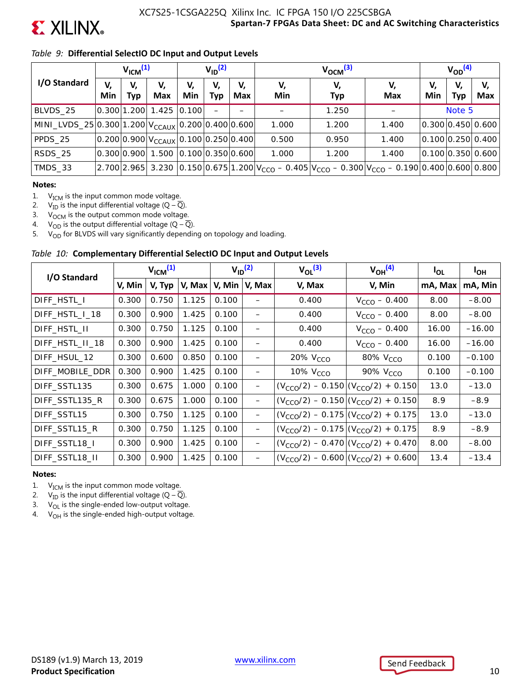

### *Table 9:* **Differential SelectIO DC Input and Output Levels**

|                                                               | V <sub>ICM</sub> <sup>(1)</sup> |             |                                             | $V_{ID}$ <sup>(2)</sup> |           |                  | $V_{OCM}$ <sup>(3)</sup> |                                                                                               |           |           | $V_{OD}^{(4)}$   |                   |  |
|---------------------------------------------------------------|---------------------------------|-------------|---------------------------------------------|-------------------------|-----------|------------------|--------------------------|-----------------------------------------------------------------------------------------------|-----------|-----------|------------------|-------------------|--|
| I/O Standard                                                  | V,<br>Min                       | V,<br>Тур   | V,<br><b>Max</b>                            | V,<br>Min               | V,<br>Тур | V,<br><b>Max</b> | V,<br>Min                | V,<br><b>Typ</b>                                                                              | V,<br>Max | V,<br>Min | V,<br><b>Typ</b> | V,<br>Max         |  |
| BLVDS_25                                                      |                                 |             | 0.300 1.200 1.425 0.100                     |                         |           |                  |                          | 1.250                                                                                         |           |           | Note 5           |                   |  |
| MINI_LVDS_25 0.300 1.200 $V_{\text{CCAUX}}$ 0.200 0.400 0.600 |                                 |             |                                             |                         |           |                  | 1.000                    | 1.200                                                                                         | 1.400     |           |                  | 0.300 0.450 0.600 |  |
| PPDS_25                                                       |                                 |             | $ 0.200 0.900 V_{CCAUX} 0.100 0.250 0.400 $ |                         |           |                  | 0.500                    | 0.950                                                                                         | 1.400     |           |                  | 0.100 0.250 0.400 |  |
| RSDS 25                                                       |                                 | 0.300 0.900 | 1.500 0.100 0.350 0.600                     |                         |           |                  | 1.000                    | 1.200                                                                                         | 1.400     |           |                  | 0.100 0.350 0.600 |  |
| TMDS_33                                                       |                                 | 2.700 2.965 |                                             |                         |           |                  |                          | 3.230 $ 0.150 0.675 1.200 V_{CCO} - 0.405 V_{CCO} - 0.300 V_{CCO} - 0.190 0.400 0.600 0.800 $ |           |           |                  |                   |  |

#### **Notes:**

1.  $V_{ICM}$  is the input common mode voltage.

2.  $V_{\text{ID}}$  is the input differential voltage (Q –  $\overline{Q}$ ).<br>3.  $V_{\text{OCM}}$  is the output common mode voltage

3.  $V_{\text{OCM}}$  is the output common mode voltage.<br>4.  $V_{\text{OD}}$  is the output differential voltage (Q – Q

 $V_{OD}$  is the output differential voltage (Q –  $\overline{Q}$ ).

5.  $V_{OD}$  for BLVDS will vary significantly depending on topology and loading.

### *Table 10:* **Complementary Differential SelectIO DC Input and Output Levels**

| I/O Standard    | V <sub>ICM</sub> <sup>(1)</sup> |        | $V_{ID}^{\left( 2\right) }$ |          | $V_{\Omega}^{(3)}$ | $V_{OH}^{(4)}$       | l <sub>OL</sub>                               | $I_{OH}$ |          |
|-----------------|---------------------------------|--------|-----------------------------|----------|--------------------|----------------------|-----------------------------------------------|----------|----------|
|                 | V, Min                          | V, Typ | V, Max                      | $V,$ Min | V, Max<br>V, Max   |                      | V, Min                                        | mA, Max  | mA, Min  |
| DIFF_HSTL_I     | 0.300                           | 0.750  | 1.125                       | 0.100    |                    | 0.400                | $V_{CCO} - 0.400$                             | 8.00     | $-8.00$  |
| DIFF_HSTL_I_18  | 0.300                           | 0.900  | 1.425                       | 0.100    | -                  | 0.400                | $V_{CCO} - 0.400$                             | 8.00     | $-8.00$  |
| DIFF_HSTL_II    | 0.300                           | 0.750  | 1.125                       | 0.100    | —                  | 0.400                | $V_{CCO} - 0.400$                             | 16.00    | $-16.00$ |
| DIFF_HSTL_II_18 | 0.300                           | 0.900  | 1.425                       | 0.100    |                    | 0.400                | $V_{CCO} - 0.400$                             | 16.00    | $-16.00$ |
| DIFF HSUL 12    | 0.300                           | 0.600  | 0.850                       | 0.100    | —                  | 20% V <sub>CCO</sub> | 80% V <sub>CCO</sub>                          | 0.100    | $-0.100$ |
| DIFF_MOBILE_DDR | 0.300                           | 0.900  | 1.425                       | 0.100    | —                  | 10% V <sub>CCO</sub> | 90% V <sub>CCO</sub>                          | 0.100    | $-0.100$ |
| DIFF SSTL135    | 0.300                           | 0.675  | 1.000                       | 0.100    | —                  |                      | $(V_{CCO}/2) - 0.150   (V_{CCO}/2) + 0.150$   | 13.0     | $-13.0$  |
| DIFF SSTL135 R  | 0.300                           | 0.675  | 1.000                       | 0.100    | —                  |                      | $(V_{CCO}/2) - 0.150   (V_{CCO}/2) + 0.150$   | 8.9      | $-8.9$   |
| DIFF SSTL15     | 0.300                           | 0.750  | 1.125                       | 0.100    | -                  |                      | $(V_{CCO}/2) - 0.175   (V_{CCO}/2) + 0.175$   | 13.0     | $-13.0$  |
| DIFF SSTL15 R   | 0.300                           | 0.750  | 1.125                       | 0.100    | —                  |                      | $(V_{CCO}/2) - 0.175   (V_{CCO}/2) + 0.175$   | 8.9      | $-8.9$   |
| DIFF_SSTL18_I   | 0.300                           | 0.900  | 1.425                       | 0.100    | —                  |                      | $(V_{CCO}/2) - 0.470   (V_{CCO}/2) + 0.470  $ | 8.00     | $-8.00$  |
| DIFF SSTL18 II  | 0.300                           | 0.900  | 1.425                       | 0.100    | —                  |                      | $(V_{CCO}/2) - 0.600   (V_{CCO}/2) + 0.600$   | 13.4     | $-13.4$  |

#### **Notes:**

1.  $V_{ICM}$  is the input common mode voltage.

2.  $V_{\text{ID}}$  is the input differential voltage (Q –  $\overline{Q}$ ).

3.  $V_{OL}$  is the single-ended low-output voltage.

4.  $V_{OH}$  is the single-ended high-output voltage.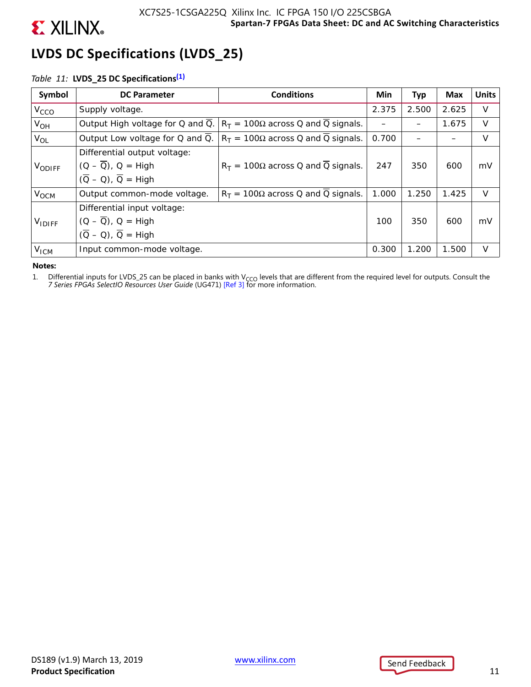

# **LVDS DC Specifications (LVDS\_25)**

### *Table 11:* **LVDS\_25 DC Specifications(1)**

| Symbol           | <b>DC Parameter</b>                                                                                               | <b>Conditions</b>                                                          | Min   | <b>Typ</b> | Max   | <b>Units</b> |
|------------------|-------------------------------------------------------------------------------------------------------------------|----------------------------------------------------------------------------|-------|------------|-------|--------------|
| V <sub>CCO</sub> | Supply voltage.                                                                                                   | 2.375                                                                      | 2.500 | 2.625      | V     |              |
| $V_{OH}$         |                                                                                                                   | Output High voltage for Q and Q. $R_T = 100\Omega$ across Q and Q signals. |       |            | 1.675 | V            |
| $V_{OL}$         |                                                                                                                   | Output Low voltage for Q and Q. $R_T = 100\Omega$ across Q and Q signals.  | 0.700 |            |       | v            |
| VODIFF           | Differential output voltage:<br>$(Q - \overline{Q})$ , $Q = High$<br>$(\overline{Q} - Q)$ , $\overline{Q} =$ High | $R_T = 100\Omega$ across Q and Q signals.                                  | 247   | 350        | 600   | mV           |
| V <sub>OCM</sub> | Output common-mode voltage.                                                                                       | $R_T$ = 100 $\Omega$ across Q and Q signals.                               | 1.000 | 1.250      | 1.425 | $\vee$       |
| $V_{IDIFF}$      | Differential input voltage:<br>$(Q - \overline{Q})$ , $Q = High$<br>$(\overline{Q} - Q)$ , $\overline{Q}$ = High  | 100                                                                        | 350   | 600        | mV    |              |
| V <sub>ICM</sub> | Input common-mode voltage.                                                                                        |                                                                            | 0.300 | 1.200      | 1.500 | v            |

#### **Notes:**

1. Differential inputs for LVDS\_25 can be placed in banks with V<sub>CCO</sub> levels that are different from the required level for outputs. Consult the 7 Series FPGAs SelectIO Resources User Guide (UG471) [Ref 3] for more inform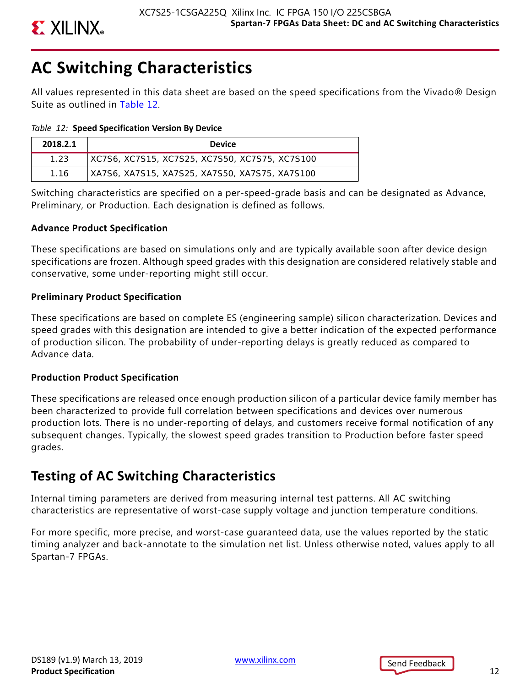

# **AC Switching Characteristics**

All values represented in this data sheet are based on the speed specifications from the Vivado® Design Suite as outlined in Table 12.

*Table 12:* **Speed Specification Version By Device**

| 2018.2.1 | <b>Device</b>                                  |
|----------|------------------------------------------------|
| 1.23     | XC7S6, XC7S15, XC7S25, XC7S50, XC7S75, XC7S100 |
| 1.16     | XA7S6, XA7S15, XA7S25, XA7S50, XA7S75, XA7S100 |

Switching characteristics are specified on a per-speed-grade basis and can be designated as Advance, Preliminary, or Production. Each designation is defined as follows.

### **Advance Product Specification**

These specifications are based on simulations only and are typically available soon after device design specifications are frozen. Although speed grades with this designation are considered relatively stable and conservative, some under-reporting might still occur.

### **Preliminary Product Specification**

These specifications are based on complete ES (engineering sample) silicon characterization. Devices and speed grades with this designation are intended to give a better indication of the expected performance of production silicon. The probability of under-reporting delays is greatly reduced as compared to Advance data.

### **Production Product Specification**

These specifications are released once enough production silicon of a particular device family member has been characterized to provide full correlation between specifications and devices over numerous production lots. There is no under-reporting of delays, and customers receive formal notification of any subsequent changes. Typically, the slowest speed grades transition to Production before faster speed grades.

### **Testing of AC Switching Characteristics**

Internal timing parameters are derived from measuring internal test patterns. All AC switching characteristics are representative of worst-case supply voltage and junction temperature conditions.

For more specific, more precise, and worst-case guaranteed data, use the values reported by the static timing analyzer and back-annotate to the simulation net list. Unless otherwise noted, values apply to all Spartan-7 FPGAs.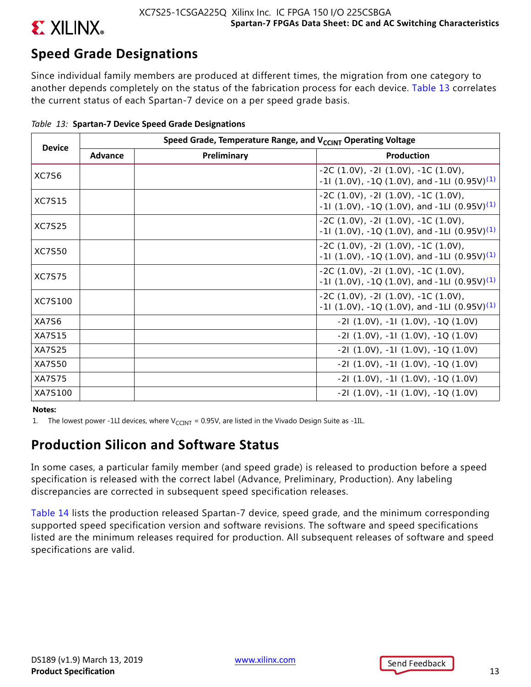

### **Speed Grade Designations**

Since individual family members are produced at different times, the migration from one category to another depends completely on the status of the fabrication process for each device. Table 13 correlates the current status of each Spartan-7 device on a per speed grade basis.

| <b>Device</b> |         | Speed Grade, Temperature Range, and V <sub>CCINT</sub> Operating Voltage |                                                                                                      |  |  |  |  |  |  |  |  |
|---------------|---------|--------------------------------------------------------------------------|------------------------------------------------------------------------------------------------------|--|--|--|--|--|--|--|--|
|               | Advance | Preliminary                                                              | Production                                                                                           |  |  |  |  |  |  |  |  |
| XC7S6         |         |                                                                          | $-2C(1.0V), -2I(1.0V), -1C(1.0V),$<br>-11 (1.0V), -1Q (1.0V), and -1LI (0.95V) <sup>(1)</sup>        |  |  |  |  |  |  |  |  |
| <b>XC7S15</b> |         |                                                                          | $-2C(1.0V)$ , $-2I(1.0V)$ , $-1C(1.0V)$ ,<br>-11 (1.0V), -1Q (1.0V), and -1LI (0.95V) <sup>(1)</sup> |  |  |  |  |  |  |  |  |
| <b>XC7S25</b> |         |                                                                          | $-2C(1.0V)$ , $-2I(1.0V)$ , $-1C(1.0V)$ ,<br>-11 (1.0V), -1Q (1.0V), and -1LI (0.95V) <sup>(1)</sup> |  |  |  |  |  |  |  |  |
| <b>XC7S50</b> |         |                                                                          | $-2C(1.0V)$ , $-2I(1.0V)$ , $-1C(1.0V)$ ,<br>-11 (1.0V), -1Q (1.0V), and -1LI (0.95V) <sup>(1)</sup> |  |  |  |  |  |  |  |  |
| <b>XC7S75</b> |         |                                                                          | $-2C(1.0V)$ , $-2I(1.0V)$ , $-1C(1.0V)$ ,<br>-11 (1.0V), -1Q (1.0V), and -1LI (0.95V) <sup>(1)</sup> |  |  |  |  |  |  |  |  |
| XC7S100       |         |                                                                          | $-2C(1.0V), -2I(1.0V), -1C(1.0V),$<br>$-11$ (1.0V), $-10$ (1.0V), and $-1LI$ (0.95V) <sup>(1)</sup>  |  |  |  |  |  |  |  |  |
| XA7S6         |         |                                                                          | $-21$ (1.0V), $-11$ (1.0V), $-10$ (1.0V)                                                             |  |  |  |  |  |  |  |  |
| <b>XA7S15</b> |         |                                                                          | $-21$ (1.0V), $-11$ (1.0V), $-10$ (1.0V)                                                             |  |  |  |  |  |  |  |  |
| <b>XA7S25</b> |         |                                                                          | $-21(1.0V), -11(1.0V), -10(1.0V)$                                                                    |  |  |  |  |  |  |  |  |
| <b>XA7S50</b> |         |                                                                          | $-21(1.0V), -11(1.0V), -10(1.0V)$                                                                    |  |  |  |  |  |  |  |  |
| <b>XA7S75</b> |         |                                                                          | $-21$ (1.0V), $-11$ (1.0V), $-10$ (1.0V)                                                             |  |  |  |  |  |  |  |  |
| XA7S100       |         |                                                                          | $-21(1.0V)$ , $-11(1.0V)$ , $-10(1.0V)$                                                              |  |  |  |  |  |  |  |  |

|  |  |  | Table 13: Spartan-7 Device Speed Grade Designations |  |  |
|--|--|--|-----------------------------------------------------|--|--|
|--|--|--|-----------------------------------------------------|--|--|

### **Notes:**

1. The lowest power -1LI devices, where  $V_{CCHIT} = 0.95V$ , are listed in the Vivado Design Suite as -1IL.

### **Production Silicon and Software Status**

In some cases, a particular family member (and speed grade) is released to production before a speed specification is released with the correct label (Advance, Preliminary, Production). Any labeling discrepancies are corrected in subsequent speed specification releases.

Table 14 lists the production released Spartan-7 device, speed grade, and the minimum corresponding supported speed specification version and software revisions. The software and speed specifications listed are the minimum releases required for production. All subsequent releases of software and speed specifications are valid.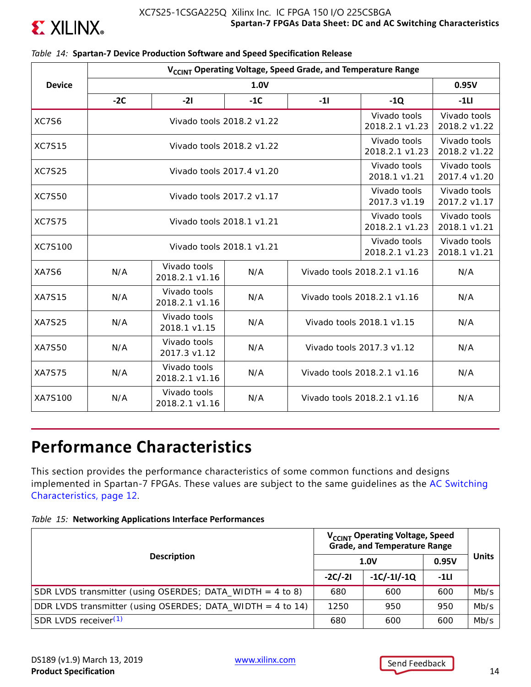

|                | V <sub>CCINT</sub> Operating Voltage, Speed Grade, and Temperature Range |                                                                                           |                             |       |                                |                              |  |  |  |  |
|----------------|--------------------------------------------------------------------------|-------------------------------------------------------------------------------------------|-----------------------------|-------|--------------------------------|------------------------------|--|--|--|--|
| <b>Device</b>  |                                                                          | 0.95V                                                                                     |                             |       |                                |                              |  |  |  |  |
|                | $-2C$                                                                    | $-21$                                                                                     | $-1C$                       | $-11$ | $-1Q$                          | $-1LI$                       |  |  |  |  |
| XC7S6          |                                                                          |                                                                                           | Vivado tools 2018.2 v1.22   |       | Vivado tools<br>2018.2.1 v1.23 | Vivado tools<br>2018.2 v1.22 |  |  |  |  |
| <b>XC7S15</b>  |                                                                          |                                                                                           | Vivado tools 2018.2 v1.22   |       | Vivado tools<br>2018.2.1 v1.23 | Vivado tools<br>2018.2 v1.22 |  |  |  |  |
| <b>XC7S25</b>  |                                                                          | Vivado tools<br>Vivado tools<br>Vivado tools 2017.4 v1.20<br>2018.1 v1.21<br>2017.4 v1.20 |                             |       |                                |                              |  |  |  |  |
| <b>XC7S50</b>  |                                                                          | Vivado tools<br>Vivado tools 2017.2 v1.17<br>2017.3 v1.19                                 |                             |       |                                |                              |  |  |  |  |
| <b>XC7S75</b>  |                                                                          | Vivado tools<br>Vivado tools 2018.1 v1.21<br>2018.2.1 v1.23                               |                             |       |                                |                              |  |  |  |  |
| <b>XC7S100</b> |                                                                          | Vivado tools 2018.1 v1.21                                                                 |                             |       | Vivado tools<br>2018.2.1 v1.23 | Vivado tools<br>2018.1 v1.21 |  |  |  |  |
| XA7S6          | N/A                                                                      | Vivado tools<br>2018.2.1 v1.16                                                            | N/A                         |       | Vivado tools 2018.2.1 v1.16    |                              |  |  |  |  |
| <b>XA7S15</b>  | N/A                                                                      | Vivado tools<br>2018.2.1 v1.16                                                            | N/A                         |       | Vivado tools 2018.2.1 v1.16    | N/A                          |  |  |  |  |
| <b>XA7S25</b>  | N/A                                                                      | Vivado tools<br>2018.1 v1.15                                                              | N/A                         |       | Vivado tools 2018.1 v1.15      | N/A                          |  |  |  |  |
| <b>XA7S50</b>  | N/A                                                                      | Vivado tools<br>2017.3 v1.12                                                              | Vivado tools 2017.3 v1.12   | N/A   |                                |                              |  |  |  |  |
| <b>XA7S75</b>  | Vivado tools<br>N/A<br>N/A<br>2018.2.1 v1.16                             |                                                                                           |                             |       | Vivado tools 2018.2.1 v1.16    | N/A                          |  |  |  |  |
| XA7S100        | N/A                                                                      | Vivado tools<br>2018.2.1 v1.16                                                            | Vivado tools 2018.2.1 v1.16 | N/A   |                                |                              |  |  |  |  |

### *Table 14:* **Spartan-7 Device Production Software and Speed Specification Release**

# **Performance Characteristics**

This section provides the performance characteristics of some common functions and designs implemented in Spartan-7 FPGAs. These values are subject to the same guidelines as the AC Switching Characteristics, page 12.

|  |  | Table 15: Networking Applications Interface Performances |
|--|--|----------------------------------------------------------|
|--|--|----------------------------------------------------------|

|                                                             | V <sub>CCINT</sub> Operating Voltage, Speed<br><b>Grade, and Temperature Range</b> |               |        |              |
|-------------------------------------------------------------|------------------------------------------------------------------------------------|---------------|--------|--------------|
| <b>Description</b>                                          |                                                                                    | 1.0V          | 0.95V  | <b>Units</b> |
|                                                             | $-2C/-2I$                                                                          | $-1C/-11/-1Q$ | $-1LI$ |              |
| SDR LVDS transmitter (using OSERDES; DATA_WIDTH = $4$ to 8) | 680                                                                                | 600           | 600    | Mb/s         |
| DDR LVDS transmitter (using OSERDES; DATA_WIDTH = 4 to 14)  | 1250                                                                               | 950           | 950    | Mb/s         |
| SDR LVDS receiver <sup>(1)</sup>                            | 680                                                                                | 600           | 600    | Mb/s         |

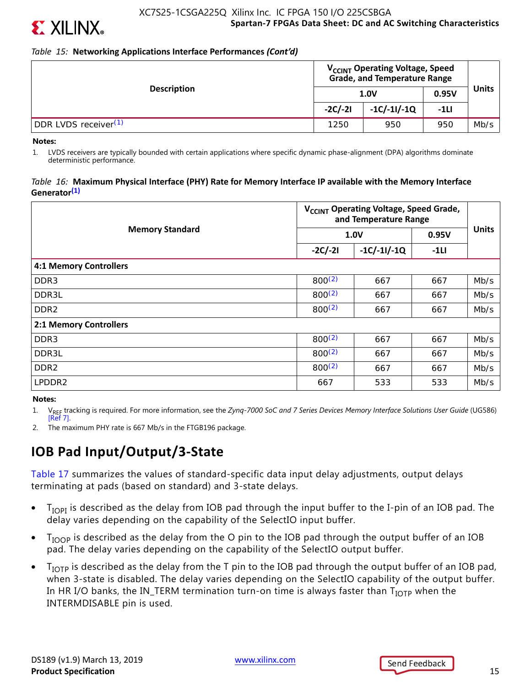### *Table 15:* **Networking Applications Interface Performances** *(Cont'd)*

|                                  | V <sub>CCINT</sub> Operating Voltage, Speed<br><b>Grade, and Temperature Range</b> |               |       |              |
|----------------------------------|------------------------------------------------------------------------------------|---------------|-------|--------------|
| <b>Description</b>               |                                                                                    | 1.0V          | 0.95V | <b>Units</b> |
|                                  | $-2C/-2I$                                                                          | $-1C/-11/-1Q$ | -1LI  |              |
| DDR LVDS receiver <sup>(1)</sup> | 950<br>1250<br>950                                                                 |               |       | Mb/s         |

**Notes:** 

 $\sum$  XII INX

1. LVDS receivers are typically bounded with certain applications where specific dynamic phase-alignment (DPA) algorithms dominate deterministic performance.

### *Table 16:* **Maximum Physical Interface (PHY) Rate for Memory Interface IP available with the Memory Interface Generator(1)**

|                               | V <sub>CCINT</sub> Operating Voltage, Speed Grade,<br>and Temperature Range |               |        |              |
|-------------------------------|-----------------------------------------------------------------------------|---------------|--------|--------------|
| <b>Memory Standard</b>        |                                                                             | <b>1.0V</b>   | 0.95V  | <b>Units</b> |
|                               | $-2C/-2I$                                                                   | $-1C/-11/-1Q$ | $-1LI$ |              |
| <b>4:1 Memory Controllers</b> |                                                                             |               |        |              |
| DDR <sub>3</sub>              | 800(2)                                                                      | 667           | 667    | Mb/s         |
| DDR3L                         | $800^{(2)}$                                                                 | 667           | 667    | Mb/s         |
| DDR <sub>2</sub>              | 800(2)                                                                      | 667           | 667    | Mb/s         |
| 2:1 Memory Controllers        |                                                                             |               |        |              |
| DDR <sub>3</sub>              | 800(2)                                                                      | 667           | 667    | Mb/s         |
| DDR3L                         | $800^{(2)}$                                                                 | 667           | 667    | Mb/s         |
| DDR <sub>2</sub>              | $800^{(2)}$                                                                 | 667           | 667    | Mb/s         |
| LPDDR2                        | 667                                                                         | 533           | 533    | Mb/s         |

### **Notes:**

1. V<sub>REF</sub> tracking is required. For more information, see the *Zynq-7000 SoC and 7 Series Devices Memory Interface Solutions User Guide* (UG586) [Ref 7].

2. The maximum PHY rate is 667 Mb/s in the FTGB196 package.

### **IOB Pad Input/Output/3-State**

Table 17 summarizes the values of standard-specific data input delay adjustments, output delays terminating at pads (based on standard) and 3-state delays.

- $\bullet$  T<sub>IOPI</sub> is described as the delay from IOB pad through the input buffer to the I-pin of an IOB pad. The delay varies depending on the capability of the SelectIO input buffer.
- T<sub>IOOP</sub> is described as the delay from the O pin to the IOB pad through the output buffer of an IOB pad. The delay varies depending on the capability of the SelectIO output buffer.
- $T_{\text{IOTP}}$  is described as the delay from the T pin to the IOB pad through the output buffer of an IOB pad, when 3-state is disabled. The delay varies depending on the SelectIO capability of the output buffer. In HR I/O banks, the IN\_TERM termination turn-on time is always faster than  $T_{\text{IOTP}}$  when the INTERMDISABLE pin is used.

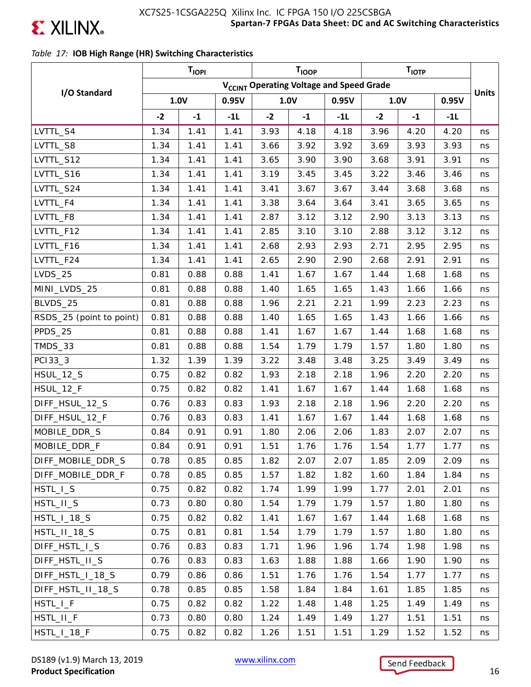### *Table 17:* **IOB High Range (HR) Switching Characteristics**

|                          | <b>TIOPI</b> |      |                                                      | T <sub>IOOP</sub> |      |       | $T_{\text{IOTP}}$ |      |       |              |
|--------------------------|--------------|------|------------------------------------------------------|-------------------|------|-------|-------------------|------|-------|--------------|
|                          |              |      | V <sub>CCINT</sub> Operating Voltage and Speed Grade |                   |      |       |                   |      |       |              |
| I/O Standard             |              | 1.0V | 0.95V                                                |                   | 1.0V | 0.95V |                   | 1.0V | 0.95V | <b>Units</b> |
|                          | $-2$         | $-1$ | $-1L$                                                | $-2$              | $-1$ | $-1L$ | $-2$              | $-1$ | $-1L$ |              |
| LVTTL_S4                 | 1.34         | 1.41 | 1.41                                                 | 3.93              | 4.18 | 4.18  | 3.96              | 4.20 | 4.20  | ns           |
| LVTTL_S8                 | 1.34         | 1.41 | 1.41                                                 | 3.66              | 3.92 | 3.92  | 3.69              | 3.93 | 3.93  | ns           |
| LVTTL_S12                | 1.34         | 1.41 | 1.41                                                 | 3.65              | 3.90 | 3.90  | 3.68              | 3.91 | 3.91  | ns           |
| LVTTL_S16                | 1.34         | 1.41 | 1.41                                                 | 3.19              | 3.45 | 3.45  | 3.22              | 3.46 | 3.46  | ns           |
| LVTTL_S24                | 1.34         | 1.41 | 1.41                                                 | 3.41              | 3.67 | 3.67  | 3.44              | 3.68 | 3.68  | ns           |
| LVTTL_F4                 | 1.34         | 1.41 | 1.41                                                 | 3.38              | 3.64 | 3.64  | 3.41              | 3.65 | 3.65  | ns           |
| LVTTL_F8                 | 1.34         | 1.41 | 1.41                                                 | 2.87              | 3.12 | 3.12  | 2.90              | 3.13 | 3.13  | ns           |
| LVTTL_F12                | 1.34         | 1.41 | 1.41                                                 | 2.85              | 3.10 | 3.10  | 2.88              | 3.12 | 3.12  | ns           |
| LVTTL_F16                | 1.34         | 1.41 | 1.41                                                 | 2.68              | 2.93 | 2.93  | 2.71              | 2.95 | 2.95  | ns           |
| LVTTL_F24                | 1.34         | 1.41 | 1.41                                                 | 2.65              | 2.90 | 2.90  | 2.68              | 2.91 | 2.91  | ns           |
| <b>LVDS_25</b>           | 0.81         | 0.88 | 0.88                                                 | 1.41              | 1.67 | 1.67  | 1.44              | 1.68 | 1.68  | ns           |
| MINI_LVDS_25             | 0.81         | 0.88 | 0.88                                                 | 1.40              | 1.65 | 1.65  | 1.43              | 1.66 | 1.66  | ns           |
| BLVDS_25                 | 0.81         | 0.88 | 0.88                                                 | 1.96              | 2.21 | 2.21  | 1.99              | 2.23 | 2.23  | ns           |
| RSDS_25 (point to point) | 0.81         | 0.88 | 0.88                                                 | 1.40              | 1.65 | 1.65  | 1.43              | 1.66 | 1.66  | ns           |
| PPDS_25                  | 0.81         | 0.88 | 0.88                                                 | 1.41              | 1.67 | 1.67  | 1.44              | 1.68 | 1.68  | ns           |
| TMDS_33                  | 0.81         | 0.88 | 0.88                                                 | 1.54              | 1.79 | 1.79  | 1.57              | 1.80 | 1.80  | ns           |
| PC133_3                  | 1.32         | 1.39 | 1.39                                                 | 3.22              | 3.48 | 3.48  | 3.25              | 3.49 | 3.49  | ns           |
| <b>HSUL_12_S</b>         | 0.75         | 0.82 | 0.82                                                 | 1.93              | 2.18 | 2.18  | 1.96              | 2.20 | 2.20  | ns           |
| HSUL_12_F                | 0.75         | 0.82 | 0.82                                                 | 1.41              | 1.67 | 1.67  | 1.44              | 1.68 | 1.68  | ns           |
| DIFF_HSUL_12_S           | 0.76         | 0.83 | 0.83                                                 | 1.93              | 2.18 | 2.18  | 1.96              | 2.20 | 2.20  | ns           |
| DIFF_HSUL_12_F           | 0.76         | 0.83 | 0.83                                                 | 1.41              | 1.67 | 1.67  | 1.44              | 1.68 | 1.68  | ns           |
| MOBILE_DDR_S             | 0.84         | 0.91 | 0.91                                                 | 1.80              | 2.06 | 2.06  | 1.83              | 2.07 | 2.07  | ns           |
| MOBILE_DDR_F             | 0.84         | 0.91 | 0.91                                                 | 1.51              | 1.76 | 1.76  | 1.54              | 1.77 | 1.77  | ns           |
| DIFF_MOBILE_DDR_S        | 0.78         | 0.85 | 0.85                                                 | 1.82              | 2.07 | 2.07  | 1.85              | 2.09 | 2.09  | ns           |
| DIFF_MOBILE_DDR_F        | 0.78         | 0.85 | 0.85                                                 | 1.57              | 1.82 | 1.82  | 1.60              | 1.84 | 1.84  | ns           |
| HSTL_I_S                 | 0.75         | 0.82 | 0.82                                                 | 1.74              | 1.99 | 1.99  | 1.77              | 2.01 | 2.01  | ns           |
| HSTL_II_S                | 0.73         | 0.80 | 0.80                                                 | 1.54              | 1.79 | 1.79  | 1.57              | 1.80 | 1.80  | ns           |
| $HSTL_l_128_S$           | 0.75         | 0.82 | 0.82                                                 | 1.41              | 1.67 | 1.67  | 1.44              | 1.68 | 1.68  | ns           |
| HSTL_II_18_S             | 0.75         | 0.81 | 0.81                                                 | 1.54              | 1.79 | 1.79  | 1.57              | 1.80 | 1.80  | ns           |
| DIFF_HSTL_I_S            | 0.76         | 0.83 | 0.83                                                 | 1.71              | 1.96 | 1.96  | 1.74              | 1.98 | 1.98  | ns           |
| DIFF_HSTL_II_S           | 0.76         | 0.83 | 0.83                                                 | 1.63              | 1.88 | 1.88  | 1.66              | 1.90 | 1.90  | ns           |
| DIFF_HSTL_I_18_S         | 0.79         | 0.86 | 0.86                                                 | 1.51              | 1.76 | 1.76  | 1.54              | 1.77 | 1.77  | ns           |
| DIFF_HSTL_II_18_S        | 0.78         | 0.85 | 0.85                                                 | 1.58              | 1.84 | 1.84  | 1.61              | 1.85 | 1.85  | ns           |
| HSTL_I_F                 | 0.75         | 0.82 | 0.82                                                 | 1.22              | 1.48 | 1.48  | 1.25              | 1.49 | 1.49  | ns           |
| HSTL_II_F                | 0.73         | 0.80 | 0.80                                                 | 1.24              | 1.49 | 1.49  | 1.27              | 1.51 | 1.51  | ns           |
| HSTL_I_18_F              | 0.75         | 0.82 | 0.82                                                 | 1.26              | 1.51 | 1.51  | 1.29              | 1.52 | 1.52  | ns           |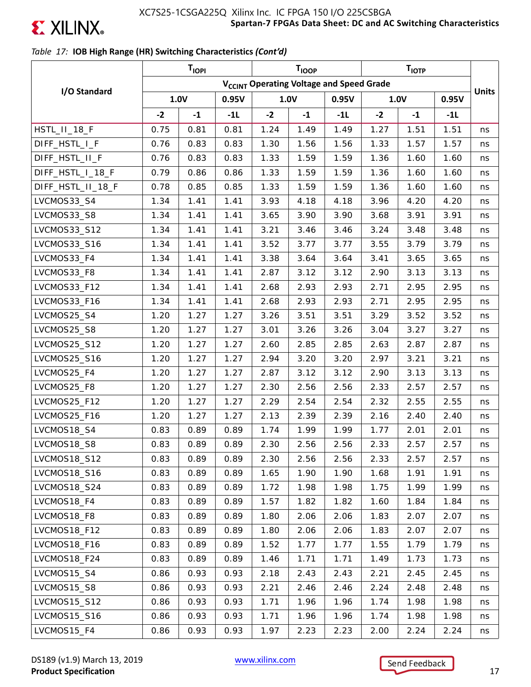

### *Table 17:* **IOB High Range (HR) Switching Characteristics** *(Cont'd)*

|                   |      | T <sub>IOPI</sub> |       | <b>T<sub>IOOP</sub></b>                              |      |       | T <sub>IOTP</sub> |      |       |              |
|-------------------|------|-------------------|-------|------------------------------------------------------|------|-------|-------------------|------|-------|--------------|
|                   |      |                   |       | V <sub>CCINT</sub> Operating Voltage and Speed Grade |      |       |                   |      |       |              |
| I/O Standard      |      | 1.0V              | 0.95V |                                                      | 1.0V | 0.95V | 1.0V              |      | 0.95V | <b>Units</b> |
|                   | $-2$ | $-1$              | $-1L$ | $-2$                                                 | $-1$ | $-11$ | $-2$              | $-1$ | $-1L$ |              |
| HSTL_II_18_F      | 0.75 | 0.81              | 0.81  | 1.24                                                 | 1.49 | 1.49  | 1.27              | 1.51 | 1.51  | ns           |
| DIFF_HSTL_I_F     | 0.76 | 0.83              | 0.83  | 1.30                                                 | 1.56 | 1.56  | 1.33              | 1.57 | 1.57  | ns           |
| DIFF_HSTL_II_F    | 0.76 | 0.83              | 0.83  | 1.33                                                 | 1.59 | 1.59  | 1.36              | 1.60 | 1.60  | ns           |
| DIFF_HSTL_I_18_F  | 0.79 | 0.86              | 0.86  | 1.33                                                 | 1.59 | 1.59  | 1.36              | 1.60 | 1.60  | ns           |
| DIFF_HSTL_II_18_F | 0.78 | 0.85              | 0.85  | 1.33                                                 | 1.59 | 1.59  | 1.36              | 1.60 | 1.60  | ns           |
| LVCMOS33_S4       | 1.34 | 1.41              | 1.41  | 3.93                                                 | 4.18 | 4.18  | 3.96              | 4.20 | 4.20  | ns           |
| LVCMOS33_S8       | 1.34 | 1.41              | 1.41  | 3.65                                                 | 3.90 | 3.90  | 3.68              | 3.91 | 3.91  | ns           |
| LVCMOS33_S12      | 1.34 | 1.41              | 1.41  | 3.21                                                 | 3.46 | 3.46  | 3.24              | 3.48 | 3.48  | ns           |
| LVCMOS33_S16      | 1.34 | 1.41              | 1.41  | 3.52                                                 | 3.77 | 3.77  | 3.55              | 3.79 | 3.79  | ns           |
| LVCMOS33_F4       | 1.34 | 1.41              | 1.41  | 3.38                                                 | 3.64 | 3.64  | 3.41              | 3.65 | 3.65  | ns           |
| LVCMOS33_F8       | 1.34 | 1.41              | 1.41  | 2.87                                                 | 3.12 | 3.12  | 2.90              | 3.13 | 3.13  | ns           |
| LVCMOS33_F12      | 1.34 | 1.41              | 1.41  | 2.68                                                 | 2.93 | 2.93  | 2.71              | 2.95 | 2.95  | ns           |
| LVCMOS33_F16      | 1.34 | 1.41              | 1.41  | 2.68                                                 | 2.93 | 2.93  | 2.71              | 2.95 | 2.95  | ns           |
| LVCMOS25_S4       | 1.20 | 1.27              | 1.27  | 3.26                                                 | 3.51 | 3.51  | 3.29              | 3.52 | 3.52  | ns           |
| LVCMOS25_S8       | 1.20 | 1.27              | 1.27  | 3.01                                                 | 3.26 | 3.26  | 3.04              | 3.27 | 3.27  | ns           |
| LVCMOS25_S12      | 1.20 | 1.27              | 1.27  | 2.60                                                 | 2.85 | 2.85  | 2.63              | 2.87 | 2.87  | ns           |
| LVCMOS25_S16      | 1.20 | 1.27              | 1.27  | 2.94                                                 | 3.20 | 3.20  | 2.97              | 3.21 | 3.21  | ns           |
| LVCMOS25_F4       | 1.20 | 1.27              | 1.27  | 2.87                                                 | 3.12 | 3.12  | 2.90              | 3.13 | 3.13  | ns           |
| LVCMOS25_F8       | 1.20 | 1.27              | 1.27  | 2.30                                                 | 2.56 | 2.56  | 2.33              | 2.57 | 2.57  | ns           |
| LVCMOS25_F12      | 1.20 | 1.27              | 1.27  | 2.29                                                 | 2.54 | 2.54  | 2.32              | 2.55 | 2.55  | ns           |
| LVCMOS25_F16      | 1.20 | 1.27              | 1.27  | 2.13                                                 | 2.39 | 2.39  | 2.16              | 2.40 | 2.40  | ns           |
| LVCMOS18_S4       | 0.83 | 0.89              | 0.89  | 1.74                                                 | 1.99 | 1.99  | 1.77              | 2.01 | 2.01  | ns           |
| LVCMOS18_S8       | 0.83 | 0.89              | 0.89  | 2.30                                                 | 2.56 | 2.56  | 2.33              | 2.57 | 2.57  | ns           |
| LVCMOS18_S12      | 0.83 | 0.89              | 0.89  | 2.30                                                 | 2.56 | 2.56  | 2.33              | 2.57 | 2.57  | ns           |
| LVCMOS18_S16      | 0.83 | 0.89              | 0.89  | 1.65                                                 | 1.90 | 1.90  | 1.68              | 1.91 | 1.91  | ns           |
| LVCMOS18_S24      | 0.83 | 0.89              | 0.89  | 1.72                                                 | 1.98 | 1.98  | 1.75              | 1.99 | 1.99  | ns           |
| LVCMOS18_F4       | 0.83 | 0.89              | 0.89  | 1.57                                                 | 1.82 | 1.82  | 1.60              | 1.84 | 1.84  | ns           |
| LVCMOS18_F8       | 0.83 | 0.89              | 0.89  | 1.80                                                 | 2.06 | 2.06  | 1.83              | 2.07 | 2.07  | ns           |
| LVCMOS18_F12      | 0.83 | 0.89              | 0.89  | 1.80                                                 | 2.06 | 2.06  | 1.83              | 2.07 | 2.07  | ns           |
| LVCMOS18_F16      | 0.83 | 0.89              | 0.89  | 1.52                                                 | 1.77 | 1.77  | 1.55              | 1.79 | 1.79  | ns           |
| LVCMOS18_F24      | 0.83 | 0.89              | 0.89  | 1.46                                                 | 1.71 | 1.71  | 1.49              | 1.73 | 1.73  | ns           |
| LVCMOS15_S4       | 0.86 | 0.93              | 0.93  | 2.18                                                 | 2.43 | 2.43  | 2.21              | 2.45 | 2.45  | ns           |
| LVCMOS15_S8       | 0.86 | 0.93              | 0.93  | 2.21                                                 | 2.46 | 2.46  | 2.24              | 2.48 | 2.48  | ns           |
| LVCMOS15_S12      | 0.86 | 0.93              | 0.93  | 1.71                                                 | 1.96 | 1.96  | 1.74              | 1.98 | 1.98  | ns           |
| LVCMOS15_S16      | 0.86 | 0.93              | 0.93  | 1.71                                                 | 1.96 | 1.96  | 1.74              | 1.98 | 1.98  | ns           |
| LVCMOS15_F4       | 0.86 | 0.93              | 0.93  | 1.97                                                 | 2.23 | 2.23  | 2.00              | 2.24 | 2.24  | ns           |

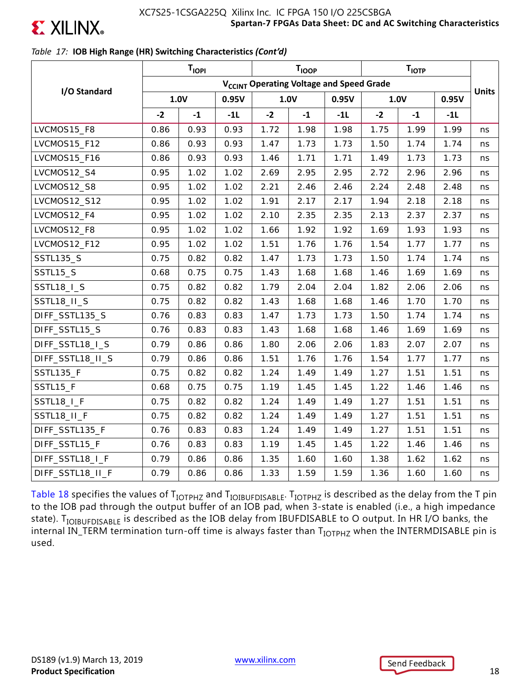

### *Table 17:* **IOB High Range (HR) Switching Characteristics** *(Cont'd)*

|                   |      | <b>T<sub>IOPI</sub></b> |       |      | <b>T<sub>IOOP</sub></b> |                                                      |      | $T_{\text{IOTP}}$ |       |              |
|-------------------|------|-------------------------|-------|------|-------------------------|------------------------------------------------------|------|-------------------|-------|--------------|
|                   |      |                         |       |      |                         | V <sub>CCINT</sub> Operating Voltage and Speed Grade |      |                   |       |              |
| I/O Standard      |      | 1.0V                    | 0.95V |      | 1.0V                    | 0.95V                                                |      | 1.0V              | 0.95V | <b>Units</b> |
|                   | $-2$ | $\textbf{-1}$           | $-1L$ | $-2$ | $-1$                    | $-1L$                                                | $-2$ | $-1$              | $-1L$ |              |
| LVCMOS15_F8       | 0.86 | 0.93                    | 0.93  | 1.72 | 1.98                    | 1.98                                                 | 1.75 | 1.99              | 1.99  | ns           |
| LVCMOS15_F12      | 0.86 | 0.93                    | 0.93  | 1.47 | 1.73                    | 1.73                                                 | 1.50 | 1.74              | 1.74  | ns           |
| LVCMOS15_F16      | 0.86 | 0.93                    | 0.93  | 1.46 | 1.71                    | 1.71                                                 | 1.49 | 1.73              | 1.73  | ns           |
| LVCMOS12_S4       | 0.95 | 1.02                    | 1.02  | 2.69 | 2.95                    | 2.95                                                 | 2.72 | 2.96              | 2.96  | ns           |
| LVCMOS12_S8       | 0.95 | 1.02                    | 1.02  | 2.21 | 2.46                    | 2.46                                                 | 2.24 | 2.48              | 2.48  | ns           |
| LVCMOS12_S12      | 0.95 | 1.02                    | 1.02  | 1.91 | 2.17                    | 2.17                                                 | 1.94 | 2.18              | 2.18  | ns           |
| LVCMOS12_F4       | 0.95 | 1.02                    | 1.02  | 2.10 | 2.35                    | 2.35                                                 | 2.13 | 2.37              | 2.37  | ns           |
| LVCMOS12_F8       | 0.95 | 1.02                    | 1.02  | 1.66 | 1.92                    | 1.92                                                 | 1.69 | 1.93              | 1.93  | ns           |
| LVCMOS12_F12      | 0.95 | 1.02                    | 1.02  | 1.51 | 1.76                    | 1.76                                                 | 1.54 | 1.77              | 1.77  | ns           |
| SSTL135_S         | 0.75 | 0.82                    | 0.82  | 1.47 | 1.73                    | 1.73                                                 | 1.50 | 1.74              | 1.74  | ns           |
| SSTL15_S          | 0.68 | 0.75                    | 0.75  | 1.43 | 1.68                    | 1.68                                                 | 1.46 | 1.69              | 1.69  | ns           |
| <b>SSTL18_I_S</b> | 0.75 | 0.82                    | 0.82  | 1.79 | 2.04                    | 2.04                                                 | 1.82 | 2.06              | 2.06  | ns           |
| SSTL18_II_S       | 0.75 | 0.82                    | 0.82  | 1.43 | 1.68                    | 1.68                                                 | 1.46 | 1.70              | 1.70  | ns           |
| DIFF_SSTL135_S    | 0.76 | 0.83                    | 0.83  | 1.47 | 1.73                    | 1.73                                                 | 1.50 | 1.74              | 1.74  | ns           |
| DIFF_SSTL15_S     | 0.76 | 0.83                    | 0.83  | 1.43 | 1.68                    | 1.68                                                 | 1.46 | 1.69              | 1.69  | ns           |
| DIFF_SSTL18_I_S   | 0.79 | 0.86                    | 0.86  | 1.80 | 2.06                    | 2.06                                                 | 1.83 | 2.07              | 2.07  | ns           |
| DIFF_SSTL18_II_S  | 0.79 | 0.86                    | 0.86  | 1.51 | 1.76                    | 1.76                                                 | 1.54 | 1.77              | 1.77  | ns           |
| SSTL135_F         | 0.75 | 0.82                    | 0.82  | 1.24 | 1.49                    | 1.49                                                 | 1.27 | 1.51              | 1.51  | ns           |
| SSTL15_F          | 0.68 | 0.75                    | 0.75  | 1.19 | 1.45                    | 1.45                                                 | 1.22 | 1.46              | 1.46  | ns           |
| SSTL18_I_F        | 0.75 | 0.82                    | 0.82  | 1.24 | 1.49                    | 1.49                                                 | 1.27 | 1.51              | 1.51  | ns           |
| SSTL18_II_F       | 0.75 | 0.82                    | 0.82  | 1.24 | 1.49                    | 1.49                                                 | 1.27 | 1.51              | 1.51  | ns           |
| DIFF_SSTL135_F    | 0.76 | 0.83                    | 0.83  | 1.24 | 1.49                    | 1.49                                                 | 1.27 | 1.51              | 1.51  | ns           |
| DIFF_SSTL15_F     | 0.76 | 0.83                    | 0.83  | 1.19 | 1.45                    | 1.45                                                 | 1.22 | 1.46              | 1.46  | ns           |
| DIFF_SSTL18_I_F   | 0.79 | 0.86                    | 0.86  | 1.35 | 1.60                    | 1.60                                                 | 1.38 | 1.62              | 1.62  | ns           |
| DIFF_SSTL18_II_F  | 0.79 | 0.86                    | 0.86  | 1.33 | 1.59                    | 1.59                                                 | 1.36 | 1.60              | 1.60  | ns           |

Table 18 specifies the values of  $T_{IOTPHZ}$  and  $T_{IOIBUPDISABLE}$ .  $T_{IOTPHZ}$  is described as the delay from the T pin to the IOB pad through the output buffer of an IOB pad, when 3-state is enabled (i.e., a high impedance state). T<sub>IOIBUFDISABLE</sub> is described as the IOB delay from IBUFDISABLE to O output. In HR I/O banks, the internal IN\_TERM termination turn-off time is always faster than T<sub>IOTPHZ</sub> when the INTERMDISABLE pin is used.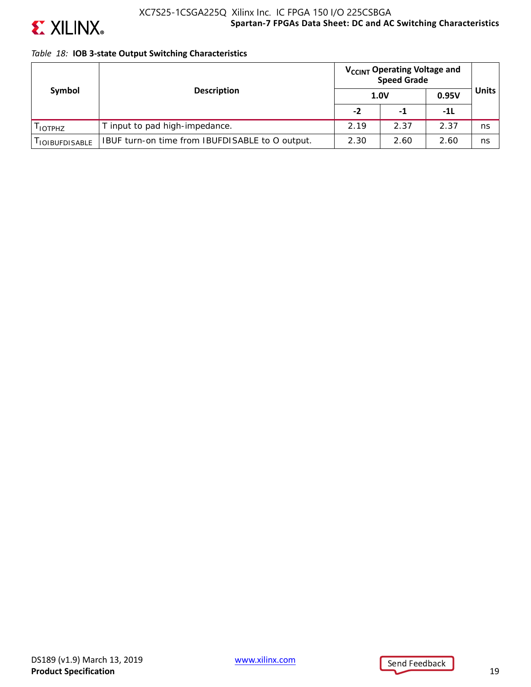

### **Spartan-7 FPGAs Data Sheet: DC and AC Switching Characteristics** XC7S25-1CSGA225Q Xilinx Inc. IC FPGA 150 I/O 225CSBGA

### *Table 18:* **IOB 3-state Output Switching Characteristics**

| Symbol                 |                                                 | V <sub>CCINT</sub> Operating Voltage and<br><b>Speed Grade</b> |      |       |       |
|------------------------|-------------------------------------------------|----------------------------------------------------------------|------|-------|-------|
|                        | <b>Description</b>                              |                                                                | 1.0V | 0.95V | Units |
|                        |                                                 | $-2$                                                           | -1   | -11   |       |
| I IOTPHZ               | T input to pad high-impedance.                  | 2.19                                                           | 2.37 | 2.37  | ns    |
| <b>I IOIBUFDISABLE</b> | IBUF turn-on time from IBUFDISABLE to O output. | 2.30                                                           | 2.60 | 2.60  | ns    |

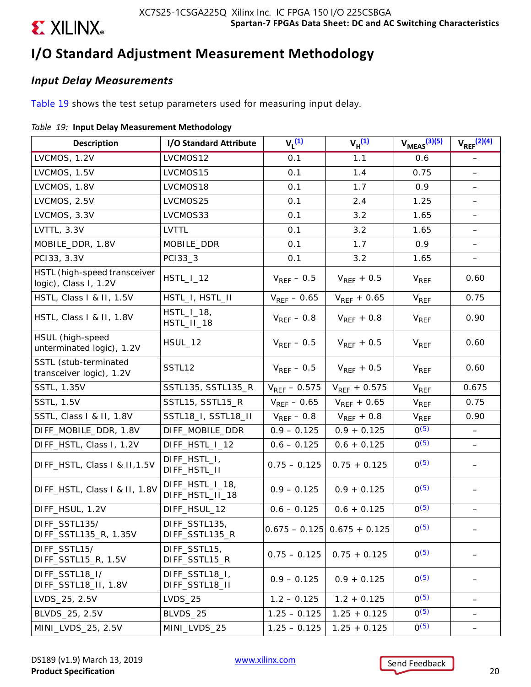# **EXILINX**

## **I/O Standard Adjustment Measurement Methodology**

### *Input Delay Measurements*

Table 19 shows the test setup parameters used for measuring input delay.

### *Table 19:* **Input Delay Measurement Methodology**

| <b>Description</b>                                    | I/O Standard Attribute             | $V^{(1)}_L$       | $V_H^{(1)}$                   | $V_{MEAS}$ $(3)(5)$    | $V_{\text{REF}}^{(2)(4)}$ |
|-------------------------------------------------------|------------------------------------|-------------------|-------------------------------|------------------------|---------------------------|
| LVCMOS, 1.2V                                          | LVCMOS12                           | 0.1               | 1.1                           | 0.6                    | $\overline{\phantom{m}}$  |
| LVCMOS, 1.5V                                          | LVCMOS15                           | 0.1               | 1.4                           | 0.75                   |                           |
| LVCMOS, 1.8V                                          | LVCMOS18                           | 0.1               | 1.7                           | 0.9                    |                           |
| LVCMOS, 2.5V                                          | LVCMOS25                           | 0.1               | 2.4                           | 1.25                   | $\qquad \qquad -$         |
| LVCMOS, 3.3V                                          | LVCMOS33                           | 0.1               | 3.2                           | 1.65                   |                           |
| LVTTL, 3.3V                                           | <b>LVTTL</b>                       | 0.1               | 3.2                           | 1.65                   |                           |
| MOBILE_DDR, 1.8V                                      | MOBILE_DDR                         | 0.1               | 1.7                           | 0.9                    |                           |
| PC133, 3.3V                                           | PC133_3                            | 0.1               | 3.2                           | 1.65                   | $\overline{\phantom{m}}$  |
| HSTL (high-speed transceiver<br>logic), Class I, 1.2V | $HSTL_l_12$                        | $V_{REF}$ – 0.5   | $V_{REF}$ + 0.5               | $V_{REF}$              | 0.60                      |
| HSTL, Class I & II, 1.5V                              | HSTL_I, HSTL_II                    | $V_{REF} - 0.65$  | $V_{REF}$ + 0.65              | V <sub>REF</sub>       | 0.75                      |
| HSTL, Class I & II, 1.8V                              | $HSTL_l_13,$<br>HSTL_II_18         | $V_{REF}$ – 0.8   | $V_{RFF}$ + 0.8               | <b>V<sub>REF</sub></b> | 0.90                      |
| HSUL (high-speed<br>unterminated logic), 1.2V         | HSUL_12                            | $V_{REF}$ – 0.5   | $V_{REF}$ + 0.5               | <b>V<sub>REF</sub></b> | 0.60                      |
| SSTL (stub-terminated<br>transceiver logic), 1.2V     | SSTL12                             | $V_{REF}$ – 0.5   | $V_{REF}$ + 0.5               | $V_{REF}$              | 0.60                      |
| SSTL, 1.35V                                           | SSTL135, SSTL135_R                 | $V_{REF}$ – 0.575 | $V_{REF}$ + 0.575             | $V_{REF}$              | 0.675                     |
| <b>SSTL, 1.5V</b>                                     | SSTL15, SSTL15_R                   | $V_{REF}$ – 0.65  | $V_{REF}$ + 0.65              | $V_{REF}$              | 0.75                      |
| SSTL, Class I & II, 1.8V                              | SSTL18_I, SSTL18_II                | $V_{REF}$ – 0.8   | $V_{REF}$ + 0.8               | $V_{REF}$              | 0.90                      |
| DIFF_MOBILE_DDR, 1.8V                                 | DIFF_MOBILE_DDR                    | $0.9 - 0.125$     | $0.9 + 0.125$                 | $0^{(5)}$              | $\qquad \qquad -$         |
| DIFF_HSTL, Class I, 1.2V                              | DIFF_HSTL_I_12                     | $0.6 - 0.125$     | $0.6 + 0.125$                 | $0^{(5)}$              | $\overline{\phantom{m}}$  |
| DIFF_HSTL, Class I & II, 1.5V                         | DIFF_HSTL_I,<br>DIFF_HSTL_II       | $0.75 - 0.125$    | $0.75 + 0.125$                | $0^{(5)}$              |                           |
| DIFF_HSTL, Class I & II, 1.8V                         | DIFF_HSTL_I_18,<br>DIFF_HSTL_II_18 | $0.9 - 0.125$     | $0.9 + 0.125$                 | $0^{(5)}$              |                           |
| DIFF_HSUL, 1.2V                                       | DIFF_HSUL_12                       | $0.6 - 0.125$     | $0.6 + 0.125$                 | $0^{(5)}$              |                           |
| DIFF_SSTL135/<br>DIFF_SSTL135_R, 1.35V                | DIFF_SSTL135,<br>DIFF_SSTL135_R    |                   | $0.675 - 0.125$ 0.675 + 0.125 | $0^{(5)}$              |                           |
| DIFF_SSTL15/<br>DIFF_SSTL15_R, 1.5V                   | DIFF_SSTL15,<br>DIFF_SSTL15_R      | $0.75 - 0.125$    | $0.75 + 0.125$                | $O^{(5)}$              |                           |
| DIFF_SSTL18_I/<br>DIFF_SSTL18_II, 1.8V                | DIFF_SSTL18_I,<br>DIFF_SSTL18_II   | $0.9 - 0.125$     | $0.9 + 0.125$                 | $0^{(5)}$              |                           |
| LVDS_25, 2.5V                                         | $LVDS_25$                          | $1.2 - 0.125$     | $1.2 + 0.125$                 | $0^{(5)}$              |                           |
| BLVDS_25, 2.5V                                        | BLVDS_25                           | $1.25 - 0.125$    | $1.25 + 0.125$                | $O^{(5)}$              |                           |
| MINI_LVDS_25, 2.5V                                    | MINI_LVDS_25                       | $1.25 - 0.125$    | $1.25 + 0.125$                | $0^{(5)}$              |                           |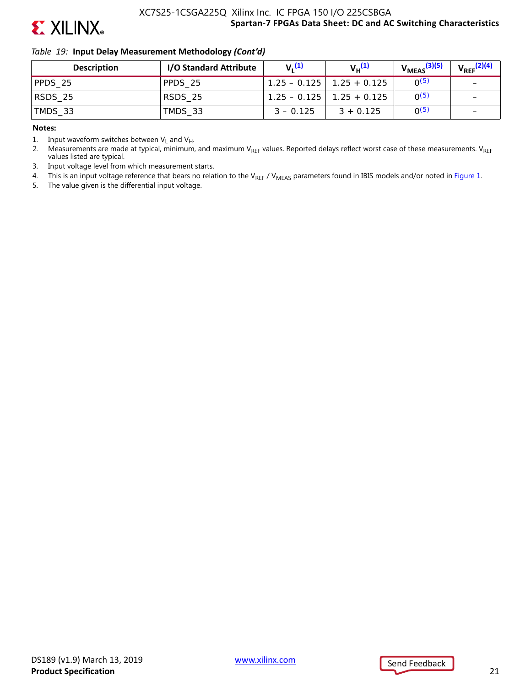

### *Table 19:* **Input Delay Measurement Methodology** *(Cont'd)*

| <b>Description</b> | I/O Standard Attribute | $V_1(1)$    | $V_{L}^{(1)}$                   | $V_{MEAS}$ <sup>(3)(5)</sup> | $V_{\text{REF}}^{(2)(4)}$ |
|--------------------|------------------------|-------------|---------------------------------|------------------------------|---------------------------|
| PPDS 25            | PPDS 25                |             | $1.25 - 0.125$   $1.25 + 0.125$ | O(5)                         | -                         |
| RSDS_25            | RSDS 25                |             | $1.25 - 0.125$   1.25 + 0.125   | O(5)                         | $\overline{\phantom{0}}$  |
| TMDS_33            | TMDS 33                | $3 - 0.125$ | $3 + 0.125$                     | O(5)                         |                           |

#### **Notes:**

1. Input waveform switches between  $V_L$  and  $V_H$ .

2. Measurements are made at typical, minimum, and maximum VREF values. Reported delays reflect worst case of these measurements. VREF values listed are typical.

3. Input voltage level from which measurement starts.

4. This is an input voltage reference that bears no relation to the V<sub>REF</sub> / V<sub>MEAS</sub> parameters found in IBIS models and/or noted in Figure 1.

5. The value given is the differential input voltage.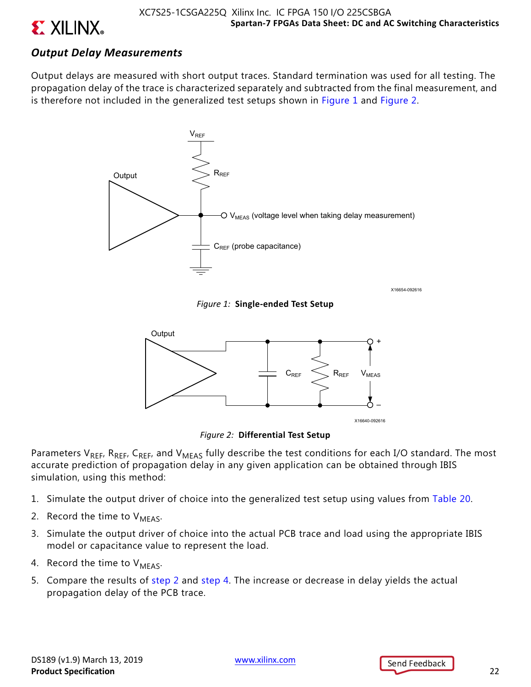

### *Output Delay Measurements*

Output delays are measured with short output traces. Standard termination was used for all testing. The propagation delay of the trace is characterized separately and subtracted from the final measurement, and is therefore not included in the generalized test setups shown in Figure 1 and Figure 2.



X16654-092616

*Figure 1:* **Single-ended Test Setup**



*Figure 2:* **Differential Test Setup**

Parameters V<sub>REF</sub>, R<sub>REF</sub>, C<sub>REF</sub>, and V<sub>MEAS</sub> fully describe the test conditions for each I/O standard. The most accurate prediction of propagation delay in any given application can be obtained through IBIS simulation, using this method:

- 1. Simulate the output driver of choice into the generalized test setup using values from Table 20.
- 2. Record the time to  $V_{MFAS}$ .
- 3. Simulate the output driver of choice into the actual PCB trace and load using the appropriate IBIS model or capacitance value to represent the load.
- 4. Record the time to  $V_{MFAS}$ .
- 5. Compare the results of step 2 and step 4. The increase or decrease in delay yields the actual propagation delay of the PCB trace.

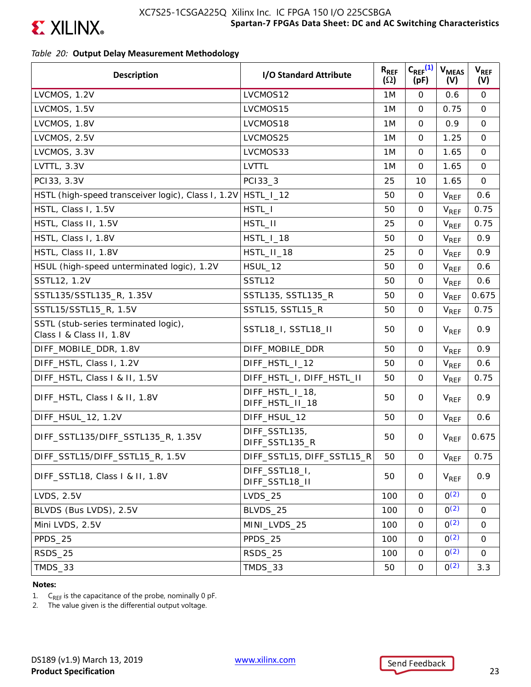

### *Table 20:* **Output Delay Measurement Methodology**

| <b>Description</b>                                               | I/O Standard Attribute             | $R_{REF}$<br>$(\Omega)$ | $C_{REF}^{(1)}$<br>(pF) | <b>V<sub>MEAS</sub></b><br>(V) | $V_{REF}$<br>(V) |
|------------------------------------------------------------------|------------------------------------|-------------------------|-------------------------|--------------------------------|------------------|
| LVCMOS, 1.2V                                                     | LVCMOS12                           | 1M                      | $\mathsf{O}$            | 0.6                            | 0                |
| LVCMOS, 1.5V                                                     | LVCMOS15                           | 1M                      | $\Omega$                | 0.75                           | $\mathsf{O}$     |
| LVCMOS, 1.8V                                                     | LVCMOS18                           | 1M                      | $\mathbf 0$             | 0.9                            | $\mathsf{O}$     |
| LVCMOS, 2.5V                                                     | LVCMOS25                           | 1M                      | $\mathbf 0$             | 1.25                           | $\mathbf 0$      |
| LVCMOS, 3.3V                                                     | LVCMOS33                           | 1M                      | $\mathbf 0$             | 1.65                           | $\mathsf{O}$     |
| LVTTL, 3.3V                                                      | LVTTL                              | 1M                      | $\mathbf 0$             | 1.65                           | $\mathbf 0$      |
| PC133, 3.3V                                                      | PC133_3                            | 25                      | 10                      | 1.65                           | $\mathbf 0$      |
| HSTL (high-speed transceiver logic), Class I, 1.2V               | $HSTL_l_12$                        | 50                      | 0                       | <b>V<sub>REF</sub></b>         | 0.6              |
| HSTL, Class I, 1.5V                                              | HSTL_I                             | 50                      | $\mathbf 0$             | $V_{REF}$                      | 0.75             |
| HSTL, Class II, 1.5V                                             | HSTL_II                            | 25                      | $\mathbf 0$             | $V_{REF}$                      | 0.75             |
| HSTL, Class I, 1.8V                                              | HSTL_I_18                          | 50                      | $\mathbf 0$             | $V_{REF}$                      | 0.9              |
| HSTL, Class II, 1.8V                                             | HSTL_II_18                         | 25                      | $\mathbf 0$             | V <sub>REF</sub>               | 0.9              |
| HSUL (high-speed unterminated logic), 1.2V                       | <b>HSUL_12</b>                     | 50                      | $\mathbf 0$             | $V_{REF}$                      | 0.6              |
| SSTL12, 1.2V                                                     | SSTL12                             | 50                      | $\mathbf 0$             | <b>V<sub>REF</sub></b>         | 0.6              |
| SSTL135/SSTL135_R, 1.35V                                         | SSTL135, SSTL135_R                 | 50                      | $\mathbf 0$             | $V_{REF}$                      | 0.675            |
| SSTL15/SSTL15_R, 1.5V                                            | SSTL15, SSTL15_R                   | 50                      | 0                       | V <sub>REF</sub>               | 0.75             |
| SSTL (stub-series terminated logic),<br>Class I & Class II, 1.8V | SSTL18_I, SSTL18_II                | 50                      | 0                       | $V_{REF}$                      | 0.9              |
| DIFF_MOBILE_DDR, 1.8V                                            | DIFF_MOBILE_DDR                    | 50                      | $\mathsf{O}$            | $V_{REF}$                      | 0.9              |
| DIFF_HSTL, Class I, 1.2V                                         | DIFF_HSTL_I_12                     | 50                      | $\mathsf{O}$            | $V_{REF}$                      | 0.6              |
| DIFF_HSTL, Class I & II, 1.5V                                    | DIFF_HSTL_I, DIFF_HSTL_II          | 50                      | 0                       | $V_{REF}$                      | 0.75             |
| DIFF_HSTL, Class I & II, 1.8V                                    | DIFF_HSTL_I_18,<br>DIFF_HSTL_II_18 | 50                      | 0                       | $V_{REF}$                      | 0.9              |
| DIFF_HSUL_12, 1.2V                                               | DIFF_HSUL_12                       | 50                      | $\mathsf{O}$            | $V_{REF}$                      | 0.6              |
| DIFF_SSTL135/DIFF_SSTL135_R, 1.35V                               | DIFF_SSTL135,<br>DIFF_SSTL135_R    | 50                      | 0                       | $V_{REF}$                      | 0.675            |
| DIFF_SSTL15/DIFF_SSTL15_R, 1.5V                                  | DIFF_SSTL15, DIFF_SSTL15_R         | 50                      | 0                       | $V_{REF}$                      | 0.75             |
| DIFF_SSTL18, Class   & II, 1.8V                                  | DIFF_SSTL18_I,<br>DIFF_SSTL18_II   | 50                      | 0                       | <b>V<sub>REF</sub></b>         | 0.9              |
| <b>LVDS, 2.5V</b>                                                | $LVDS_25$                          | 100                     | $\mathbf 0$             | O(2)                           | 0                |
| BLVDS (Bus LVDS), 2.5V                                           | BLVDS_25                           | 100                     | $\mathbf 0$             | O(2)                           | 0                |
| Mini LVDS, 2.5V                                                  | MINI_LVDS_25                       | 100                     | $\mathbf 0$             | O(2)                           | 0                |
| PPDS_25                                                          | PPDS_25                            | 100                     | 0                       | O(2)                           | 0                |
| RSDS_25                                                          | RSDS_25                            | 100                     | 0                       | O(2)                           | 0                |
| TMDS_33                                                          | TMDS_33                            | 50                      | $\mathbf 0$             | O(2)                           | 3.3              |

#### **Notes:**

1.  $C_{REF}$  is the capacitance of the probe, nominally 0 pF.<br>2. The value given is the differential output voltage.

The value given is the differential output voltage.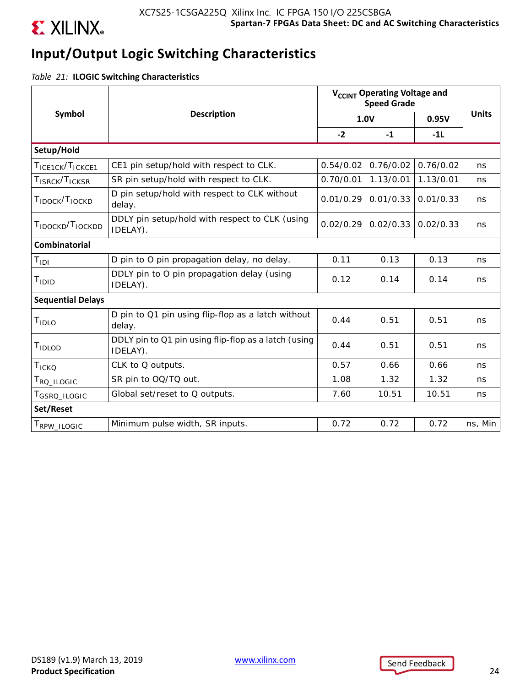

### **Input/Output Logic Switching Characteristics**

*Table 21:* **ILOGIC Switching Characteristics**

|                                          |                                                                  | V <sub>CCINT</sub> Operating Voltage and<br><b>Speed Grade</b> |           |           |              |
|------------------------------------------|------------------------------------------------------------------|----------------------------------------------------------------|-----------|-----------|--------------|
| Symbol                                   | <b>Description</b>                                               | 1.0V                                                           |           | 0.95V     | <b>Units</b> |
|                                          |                                                                  | $-2$                                                           | $-1$      | $-1L$     |              |
| Setup/Hold                               |                                                                  |                                                                |           |           |              |
| TICE1CK/TICKCE1                          | CE1 pin setup/hold with respect to CLK.                          | 0.54/0.02                                                      | 0.76/0.02 | 0.76/0.02 | ns           |
| T <sub>ISRCK</sub> /T <sub>ICKSR</sub>   | SR pin setup/hold with respect to CLK.                           | 0.70/0.01                                                      | 1.13/0.01 | 1.13/0.01 | ns           |
| T <sub>IDOCK</sub> /T <sub>IOCKD</sub>   | D pin setup/hold with respect to CLK without<br>delay.           | 0.01/0.29                                                      | 0.01/0.33 | 0.01/0.33 | ns           |
| T <sub>IDOCKD</sub> /T <sub>IOCKDD</sub> | DDLY pin setup/hold with respect to CLK (using<br>IDELAY).       | 0.02/0.29                                                      | 0.02/0.33 | 0.02/0.33 | ns           |
| <b>Combinatorial</b>                     |                                                                  |                                                                |           |           |              |
| $T_{\text{IDI}}$                         | D pin to O pin propagation delay, no delay.                      | 0.11                                                           | 0.13      | 0.13      | ns           |
| $T_{IDID}$                               | DDLY pin to O pin propagation delay (using<br>IDELAY).           | 0.12                                                           | 0.14      | 0.14      | ns           |
| <b>Sequential Delays</b>                 |                                                                  |                                                                |           |           |              |
| TIDLO                                    | D pin to Q1 pin using flip-flop as a latch without<br>delay.     | 0.44                                                           | 0.51      | 0.51      | ns           |
| TIDLOD                                   | DDLY pin to Q1 pin using flip-flop as a latch (using<br>IDELAY). | 0.44                                                           | 0.51      | 0.51      | ns           |
| <b>TICKQ</b>                             | CLK to Q outputs.                                                | 0.57                                                           | 0.66      | 0.66      | ns           |
| $\mathsf{T}_{\mathsf{RQ\_ILOGIC}}$       | SR pin to OQ/TQ out.                                             | 1.08                                                           | 1.32      | 1.32      | ns           |
| T <sub>GSRQ</sub> _ILOGIC                | Global set/reset to Q outputs.                                   | 7.60                                                           | 10.51     | 10.51     | ns           |
| Set/Reset                                |                                                                  |                                                                |           |           |              |
| T <sub>RPW_ILOGIC</sub>                  | Minimum pulse width, SR inputs.                                  | 0.72                                                           | 0.72      | 0.72      | ns, Min      |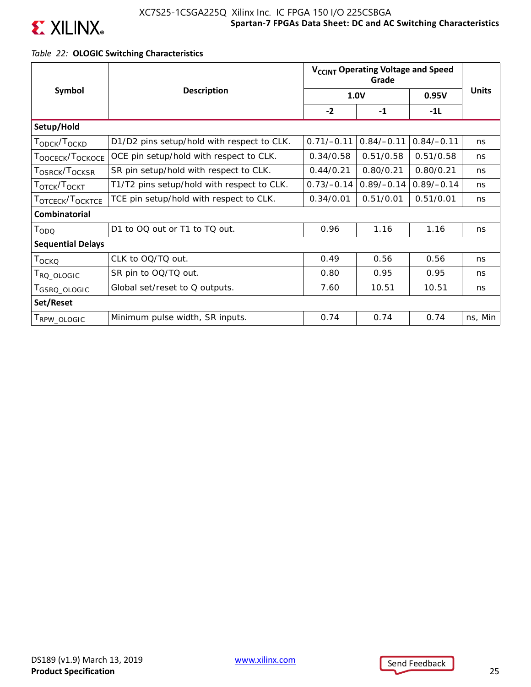

![](_page_25_Picture_1.jpeg)

### *Table 22:* **OLOGIC Switching Characteristics**

|                                          |                                            | V <sub>CCINT</sub> Operating Voltage and Speed |              |              |              |
|------------------------------------------|--------------------------------------------|------------------------------------------------|--------------|--------------|--------------|
| Symbol                                   | <b>Description</b>                         |                                                | 1.0V         | 0.95V        | <b>Units</b> |
|                                          |                                            | $-2$                                           | $-1$         | $-11$        |              |
| Setup/Hold                               |                                            |                                                |              |              |              |
| Т <sub>ОРСК</sub> /Т <sub>ОСКР</sub>     | D1/D2 pins setup/hold with respect to CLK. | $0.71/-0.11$                                   | $0.84/-0.11$ | $0.84/-0.11$ | ns           |
| Т <sub>ООСЕСК</sub> /Т <sub>ОСКОСЕ</sub> | OCE pin setup/hold with respect to CLK.    | 0.34/0.58                                      | 0.51/0.58    | 0.51/0.58    | ns           |
| T <sub>OSRCK</sub> /T <sub>OCKSR</sub>   | SR pin setup/hold with respect to CLK.     | 0.44/0.21                                      | 0.80/0.21    | 0.80/0.21    | ns           |
| Τ <sub>ΟΤСΚ</sub> /Τ <sub>ΟСΚΤ</sub>     | T1/T2 pins setup/hold with respect to CLK. | $0.73/-0.14$                                   | $0.89/-0.14$ | $0.89/-0.14$ | ns           |
| Т <sub>ОТСЕСК</sub> /Т <sub>ОСКТСЕ</sub> | TCE pin setup/hold with respect to CLK.    | 0.34/0.01                                      | 0.51/0.01    | 0.51/0.01    | ns           |
| <b>Combinatorial</b>                     |                                            |                                                |              |              |              |
| $\mathsf{T}_{\mathsf{ODQ}}$              | D1 to OQ out or T1 to TQ out.              | 0.96                                           | 1.16         | 1.16         | ns           |
| <b>Sequential Delays</b>                 |                                            |                                                |              |              |              |
| T <sub>OCKQ</sub>                        | CLK to OQ/TQ out.                          | 0.49                                           | 0.56         | 0.56         | ns           |
| RQ_OLOGIC                                | SR pin to OQ/TQ out.                       | 0.80                                           | 0.95         | 0.95         | ns           |
| GSRQ_OLOGIC                              | Global set/reset to Q outputs.             | 7.60                                           | 10.51        | 10.51        | ns           |
| Set/Reset                                |                                            |                                                |              |              |              |
| RPW_OLOGIC                               | Minimum pulse width, SR inputs.            | 0.74                                           | 0.74         | 0.74         | ns, Min      |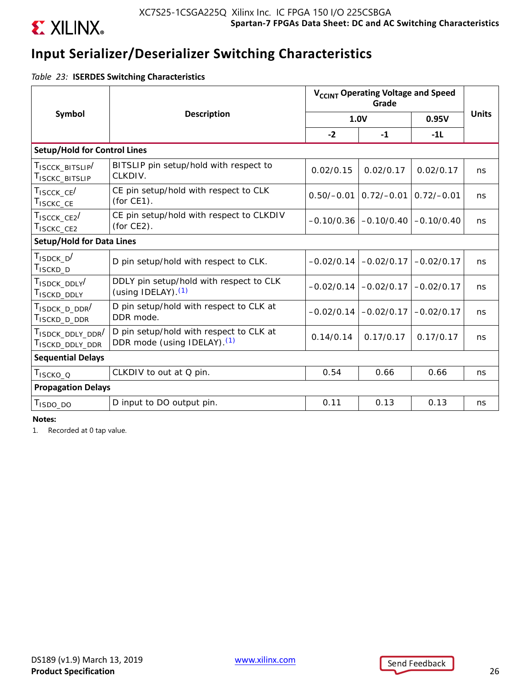![](_page_26_Picture_0.jpeg)

### **Input Serializer/Deserializer Switching Characteristics**

*Table 23:* **ISERDES Switching Characteristics**

|                                                                          | <b>Description</b>                                                                 | V <sub>CCINT</sub> Operating Voltage and Speed |              |              |              |
|--------------------------------------------------------------------------|------------------------------------------------------------------------------------|------------------------------------------------|--------------|--------------|--------------|
| Symbol                                                                   |                                                                                    |                                                | 1.0V         | 0.95V        | <b>Units</b> |
|                                                                          |                                                                                    | $-2$                                           | $-1$         | $-11$        |              |
| <b>Setup/Hold for Control Lines</b>                                      |                                                                                    |                                                |              |              |              |
| TISCCK BITSLIP<br>T <sub>ISCKC</sub> _BITSLIP                            | BITSLIP pin setup/hold with respect to<br>CLKDIV.                                  | 0.02/0.15                                      | 0.02/0.17    | 0.02/0.17    | ns           |
| $T_{ISCCK\_CE}$<br>T <sub>ISCKC</sub> _CE                                | CE pin setup/hold with respect to CLK<br>(for CE1).                                | $0.50/-0.01$                                   | $0.72/-0.01$ | $0.72/-0.01$ | ns           |
| $T_{ISCCK\_CE2}$<br>T <sub>ISCKC</sub> _CE <sub>2</sub>                  | CE pin setup/hold with respect to CLKDIV<br>(for $CE2$ ).                          | $-0.10/0.36$                                   | $-0.10/0.40$ | $-0.10/0.40$ | ns           |
| <b>Setup/Hold for Data Lines</b>                                         |                                                                                    |                                                |              |              |              |
| $T_{ISDCK_D}$<br>T <sub>ISCKD</sub> _D                                   | D pin setup/hold with respect to CLK.                                              | $-0.02/0.14$                                   | $-0.02/0.17$ | $-0.02/0.17$ | ns           |
| T <sub>ISDCK</sub> _DDLY <sup>/</sup><br>T <sub>ISCKD_DDLY</sub>         | DDLY pin setup/hold with respect to CLK<br>(using IDELAY). $(1)$                   | $-0.02/0.14$                                   | $-0.02/0.17$ | $-0.02/0.17$ | ns           |
| T <sub>ISDCK</sub> _ <sub>D_DDR</sub> /<br>T <sub>ISCKD</sub> _D_DDR     | D pin setup/hold with respect to CLK at<br>DDR mode.                               | $-0.02/0.14$                                   | $-0.02/0.17$ | $-0.02/0.17$ | ns           |
| T <sub>ISDCK</sub> DDLY DDR <sup>/</sup><br>T <sub>ISCKD</sub> _DDLY_DDR | D pin setup/hold with respect to CLK at<br>DDR mode (using IDELAY). <sup>(1)</sup> | 0.14/0.14                                      | 0.17/0.17    | 0.17/0.17    | ns           |
| <b>Sequential Delays</b>                                                 |                                                                                    |                                                |              |              |              |
| T <sub>ISCKO_Q</sub>                                                     | CLKDIV to out at Q pin.                                                            | 0.54                                           | 0.66         | 0.66         | ns           |
| <b>Propagation Delays</b>                                                |                                                                                    |                                                |              |              |              |
| T <sub>ISDO_DO</sub>                                                     | D input to DO output pin.                                                          | 0.11                                           | 0.13         | 0.13         | ns           |

**Notes:** 

1. Recorded at 0 tap value.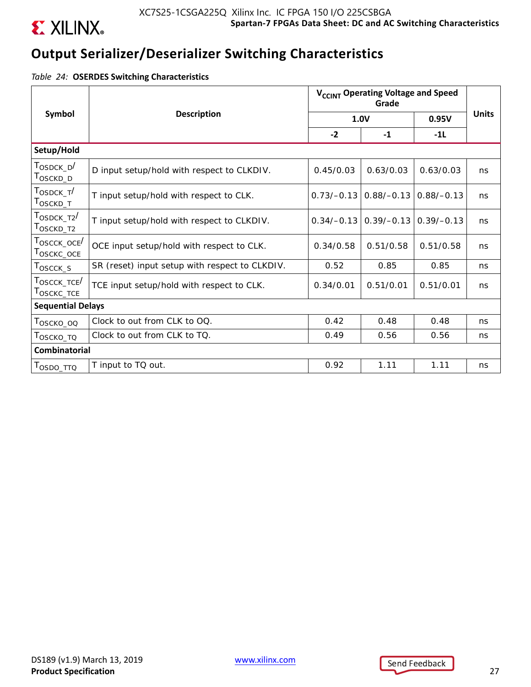![](_page_27_Picture_0.jpeg)

### **Output Serializer/Deserializer Switching Characteristics**

*Table 24:* **OSERDES Switching Characteristics**

|                                                                      |                                                | V <sub>CCINT</sub> Operating Voltage and Speed |              |              |              |
|----------------------------------------------------------------------|------------------------------------------------|------------------------------------------------|--------------|--------------|--------------|
| Symbol                                                               | <b>Description</b>                             |                                                | 1.0V         | 0.95V        | <b>Units</b> |
|                                                                      |                                                | $-2$                                           | $-1$         | $-11$        |              |
| Setup/Hold                                                           |                                                |                                                |              |              |              |
| $T_{\scriptsize \text{OSDCK\_D}}/$<br>T <sub>OSCKD_D</sub>           | D input setup/hold with respect to CLKDIV.     | 0.45/0.03                                      | 0.63/0.03    | 0.63/0.03    | ns           |
| T <sub>OSDCK T</sub> /<br>T <sub>OSCKD_T</sub>                       | T input setup/hold with respect to CLK.        | $0.73/-0.13$                                   | $0.88/-0.13$ | $0.88/-0.13$ | ns           |
| $\mathsf{T}_{\mathsf{OSDCK\_T2}}\mathsf{/}$<br>T <sub>OSCKD_T2</sub> | T input setup/hold with respect to CLKDIV.     | $0.34/-0.13$                                   | $0.39/-0.13$ | $0.39/-0.13$ | ns           |
| T <sub>OSCCK</sub> _oce <sup>/</sup><br>$T_{OSCKC\_OCE}$             | OCE input setup/hold with respect to CLK.      | 0.34/0.58                                      | 0.51/0.58    | 0.51/0.58    | ns           |
| $T_{\scriptsize \textrm{OSCCK\_S}}$                                  | SR (reset) input setup with respect to CLKDIV. | 0.52                                           | 0.85         | 0.85         | ns           |
| $\tau_{\text{OSCCK\_TCE}}/$<br>$\mathsf{T}_{\mathsf{OSCKC\_TCE}}$    | TCE input setup/hold with respect to CLK.      | 0.34/0.01                                      | 0.51/0.01    | 0.51/0.01    | ns           |
| <b>Sequential Delays</b>                                             |                                                |                                                |              |              |              |
| Тоѕско_оо                                                            | Clock to out from CLK to OQ.                   | 0.42                                           | 0.48         | 0.48         | ns           |
| Τ <sub>Ο</sub> ς κο_το                                               | Clock to out from CLK to TQ.                   | 0.49                                           | 0.56         | 0.56         | ns           |
| <b>Combinatorial</b>                                                 |                                                |                                                |              |              |              |
| Τ <sub>OSDO_ΤΤΩ</sub>                                                | T input to TQ out.                             | 0.92                                           | 1.11         | 1.11         | ns           |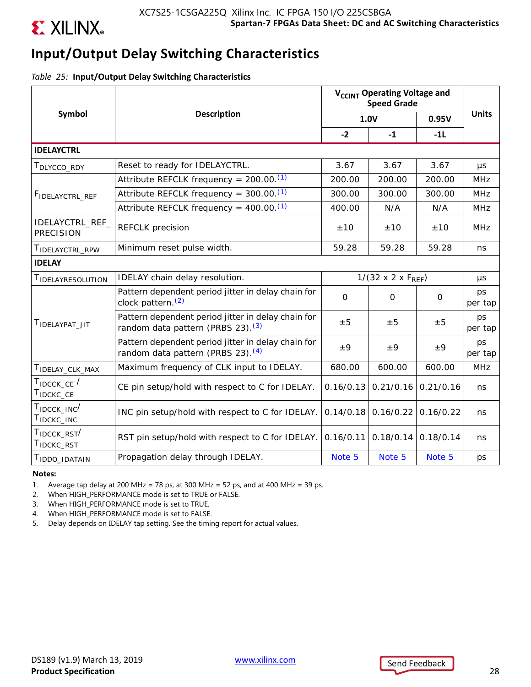![](_page_28_Picture_0.jpeg)

### **Input/Output Delay Switching Characteristics**

*Table 25:* **Input/Output Delay Switching Characteristics**

|                                      |                                                                                          | V <sub>CCINT</sub> Operating Voltage and<br><b>Speed Grade</b> |                                  |             |               |
|--------------------------------------|------------------------------------------------------------------------------------------|----------------------------------------------------------------|----------------------------------|-------------|---------------|
| Symbol                               | <b>Description</b>                                                                       |                                                                | 1.0V                             | 0.95V       | <b>Units</b>  |
|                                      |                                                                                          | $-2$                                                           | $-1$                             | $-11$       |               |
| <b>IDELAYCTRL</b>                    |                                                                                          |                                                                |                                  |             |               |
| T <sub>DLYCCO_RDY</sub>              | Reset to ready for IDELAYCTRL.                                                           | 3.67                                                           | 3.67                             | 3.67        | μs            |
|                                      | Attribute REFCLK frequency = $200.00$ . <sup>(1)</sup>                                   | 200.00                                                         | 200.00                           | 200.00      | <b>MHz</b>    |
| FIDELAYCTRL_REF                      | Attribute REFCLK frequency = $300.00$ . <sup>(1)</sup>                                   | 300.00                                                         | 300.00                           | 300.00      | <b>MHz</b>    |
|                                      | Attribute REFCLK frequency = $400.00^{(1)}$                                              | 400.00                                                         | N/A                              | N/A         | <b>MHz</b>    |
| IDELAYCTRL_REF_<br><b>PRECISION</b>  | <b>REFCLK</b> precision                                                                  | ±10                                                            | ±10                              | ±10         | <b>MHz</b>    |
| TIDELAYCTRL_RPW                      | Minimum reset pulse width.                                                               | 59.28                                                          | 59.28                            | 59.28       | ns            |
| <b>IDELAY</b>                        |                                                                                          |                                                                |                                  |             |               |
| TIDELAYRESOLUTION                    | IDELAY chain delay resolution.                                                           |                                                                | $1/(32 \times 2 \times F_{REF})$ |             | $\mu s$       |
|                                      | Pattern dependent period jitter in delay chain for<br>clock pattern. <sup>(2)</sup>      | $\mathbf 0$                                                    | $\Omega$                         | $\mathbf 0$ | ps<br>per tap |
| TIDELAYPAT_JIT                       | Pattern dependent period jitter in delay chain for<br>random data pattern (PRBS 23). (3) | ±5                                                             | ±5                               | ±5          | ps<br>per tap |
|                                      | Pattern dependent period jitter in delay chain for<br>random data pattern (PRBS 23). (4) | ±9                                                             | ±9                               | ±9          | ps<br>per tap |
| TIDELAY_CLK_MAX                      | Maximum frequency of CLK input to IDELAY.                                                | 680.00                                                         | 600.00                           | 600.00      | <b>MHz</b>    |
| $T_{IDCCK~CE}$<br>TIDCKC_CE          | CE pin setup/hold with respect to C for IDELAY.                                          | 0.16/0.13                                                      | 0.21/0.16                        | 0.21/0.16   | ns            |
| $T_{IDCCK\_INC}$<br>TIDCKC_INC       | INC pin setup/hold with respect to C for IDELAY.                                         |                                                                | $0.14/0.18$ 0.16/0.22            | 0.16/0.22   | ns            |
| TIDCCK_RST<br>T <sub>IDCKC</sub> RST | RST pin setup/hold with respect to C for IDELAY.                                         | 0.16/0.11                                                      | 0.18/0.14                        | 0.18/0.14   | ns            |
| T <sub>IDDO</sub> _IDATAIN           | Propagation delay through IDELAY.                                                        | Note 5                                                         | Note 5                           | Note 5      | ps            |

#### **Notes:**

1. Average tap delay at 200 MHz = 78 ps, at 300 MHz = 52 ps, and at 400 MHz = 39 ps.

2. When HIGH\_PERFORMANCE mode is set to TRUE or FALSE.

3. When HIGH\_PERFORMANCE mode is set to TRUE.

4. When HIGH\_PERFORMANCE mode is set to FALSE.

5. Delay depends on IDELAY tap setting. See the timing report for actual values.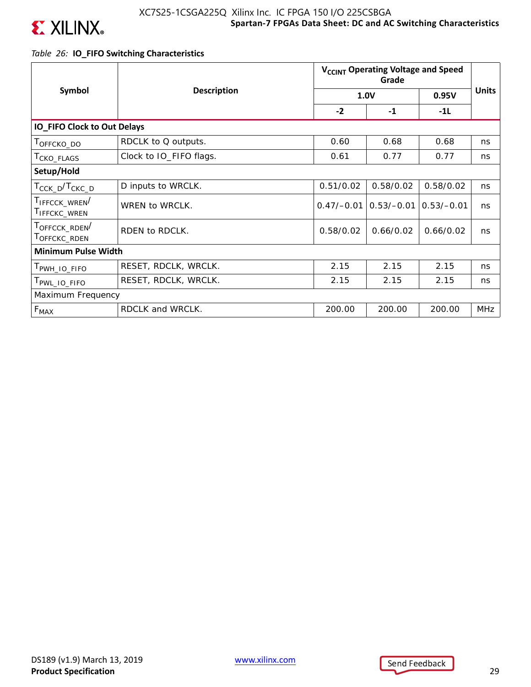![](_page_29_Picture_0.jpeg)

### *Table 26:* **IO\_FIFO Switching Characteristics**

|                                           | <b>Description</b>      | V <sub>CCINT</sub> Operating Voltage and Speed |              |              |              |
|-------------------------------------------|-------------------------|------------------------------------------------|--------------|--------------|--------------|
| Symbol                                    |                         | <b>1.0V</b>                                    |              | 0.95V        | <b>Units</b> |
|                                           |                         | $-2$                                           | $-1$         | $-11$        |              |
| <b>IO_FIFO Clock to Out Delays</b>        |                         |                                                |              |              |              |
| T <sub>OFFCKO</sub> _DO                   | RDCLK to Q outputs.     | 0.60                                           | 0.68         | 0.68         | ns           |
| T <sub>CKO</sub> _FLAGS                   | Clock to IO_FIFO flags. | 0.61                                           | 0.77         | 0.77         | ns           |
| Setup/Hold                                |                         |                                                |              |              |              |
| T <sub>CCK_D</sub> /T <sub>CKC_D</sub>    | D inputs to WRCLK.      | 0.51/0.02                                      | 0.58/0.02    | 0.58/0.02    | ns           |
| TIFFCCK WREN<br><b>I</b> IFFCKC_WREN      | WREN to WRCLK.          | $0.47/-0.01$                                   | $0.53/-0.01$ | $0.53/-0.01$ | ns           |
| TOFFCCK_RDEN<br>T <sub>OFFCKC</sub> _RDEN | RDEN to RDCLK.          | 0.58/0.02                                      | 0.66/0.02    | 0.66/0.02    | ns           |
| <b>Minimum Pulse Width</b>                |                         |                                                |              |              |              |
| PWH_IO_FIFO                               | RESET, RDCLK, WRCLK.    | 2.15                                           | 2.15         | 2.15         | ns           |
| PWL_IO_FIFO                               | RESET, RDCLK, WRCLK.    | 2.15                                           | 2.15         | 2.15         | ns           |
| Maximum Frequency                         |                         |                                                |              |              |              |
| $F_{MAX}$                                 | RDCLK and WRCLK.        | 200.00                                         | 200.00       | 200.00       | MHz          |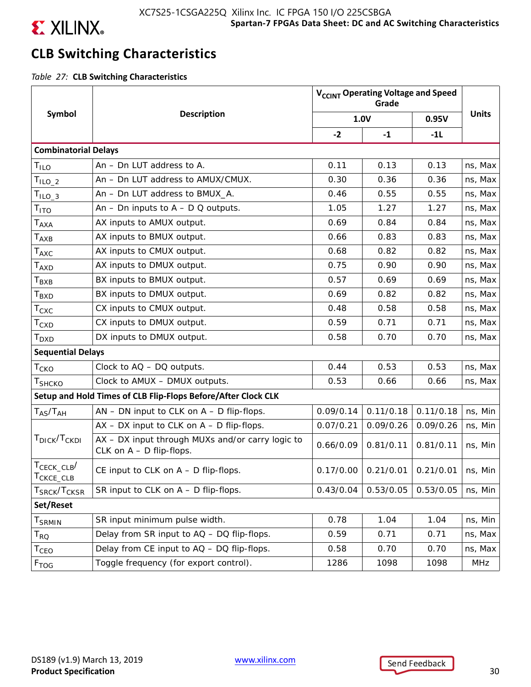![](_page_30_Picture_0.jpeg)

### **CLB Switching Characteristics**

*Table 27:* **CLB Switching Characteristics**

|                                      |                                                                                | V <sub>CCINT</sub> Operating Voltage and Speed |                                 |           |              |
|--------------------------------------|--------------------------------------------------------------------------------|------------------------------------------------|---------------------------------|-----------|--------------|
| Symbol                               | <b>Description</b>                                                             | 1.0V                                           |                                 | 0.95V     | <b>Units</b> |
|                                      |                                                                                | $-2$                                           | $-1$                            | $-11$     |              |
| <b>Combinatorial Delays</b>          |                                                                                |                                                |                                 |           |              |
| T <sub>ILO</sub>                     | An - Dn LUT address to A.                                                      | 0.11                                           | 0.13                            | 0.13      | ns, Max      |
| $TILO_2$                             | An - Dn LUT address to AMUX/CMUX.                                              | 0.30                                           | 0.36                            | 0.36      | ns, Max      |
| $TILO-3$                             | An - Dn LUT address to BMUX_A.                                                 | 0.46                                           | 0.55                            | 0.55      | ns, Max      |
| Т <sub>ІТО</sub>                     | An - Dn inputs to $A - D Q$ outputs.                                           | 1.05                                           | 1.27                            | 1.27      | ns, Max      |
| Т <sub>АХА</sub>                     | AX inputs to AMUX output.                                                      | 0.69                                           | 0.84                            | 0.84      | ns, Max      |
| Т <sub>АХВ</sub>                     | AX inputs to BMUX output.                                                      | 0.66                                           | 0.83                            | 0.83      | ns, Max      |
| $\mathsf{T}_{\mathsf{AXC}}$          | AX inputs to CMUX output.                                                      | 0.68                                           | 0.82                            | 0.82      | ns, Max      |
| $\mathsf{T}_{\mathsf{AXD}}$          | AX inputs to DMUX output.                                                      | 0.75                                           | 0.90                            | 0.90      | ns, Max      |
| Т <sub>вхв</sub>                     | BX inputs to BMUX output.                                                      | 0.57                                           | 0.69                            | 0.69      | ns, Max      |
| $\mathsf{T}_{\mathsf{BXD}}$          | BX inputs to DMUX output.                                                      | 0.69                                           | 0.82                            | 0.82      | ns, Max      |
| $\mathsf{T}_{\mathsf{CXC}}$          | CX inputs to CMUX output.                                                      | 0.48                                           | 0.58                            | 0.58      | ns, Max      |
| $T_{\text{CXD}}$                     | CX inputs to DMUX output.                                                      | 0.59                                           | 0.71                            | 0.71      | ns, Max      |
| $\mathsf{T}_{\mathsf{DXD}}$          | DX inputs to DMUX output.                                                      | 0.58                                           | 0.70                            | 0.70      | ns, Max      |
| <b>Sequential Delays</b>             |                                                                                |                                                |                                 |           |              |
| $T_{CKO}$                            | Clock to AQ - DQ outputs.                                                      | 0.44                                           | 0.53                            | 0.53      | ns, Max      |
| T <sub>SHCKO</sub>                   | Clock to AMUX - DMUX outputs.                                                  | 0.53                                           | 0.66                            | 0.66      | ns, Max      |
|                                      | Setup and Hold Times of CLB Flip-Flops Before/After Clock CLK                  |                                                |                                 |           |              |
| $T_{AS}/T_{AH}$                      | $AN$ – DN input to CLK on $A$ – D flip-flops.                                  | 0.09/0.14                                      | 0.11/0.18                       | 0.11/0.18 | ns, Min      |
|                                      | $AX - DX$ input to CLK on $A - D$ flip-flops.                                  | 0.07/0.21                                      | 0.09/0.26                       | 0.09/0.26 | ns, Min      |
| T <sub>DICK</sub> /T <sub>CKDI</sub> | AX - DX input through MUXs and/or carry logic to<br>CLK on $A - D$ flip-flops. | 0.66/0.09                                      | 0.81/0.11                       | 0.81/0.11 | ns, Min      |
| TCECK_CLB<br>CKCE_CLB                | CE input to CLK on A - D flip-flops.                                           |                                                | $0.17/0.00$ 0.21/0.01 0.21/0.01 |           | ns, Min      |
| T <sub>SRCK</sub> /T <sub>CKSR</sub> | SR input to CLK on A - D flip-flops.                                           | 0.43/0.04                                      | 0.53/0.05                       | 0.53/0.05 | ns, Min      |
| Set/Reset                            |                                                                                |                                                |                                 |           |              |
| T <sub>SRMIN</sub>                   | SR input minimum pulse width.                                                  | 0.78                                           | 1.04                            | 1.04      | ns, Min      |
| $\mathsf{T}_{\mathsf{RQ}}$           | Delay from SR input to AQ - DQ flip-flops.                                     | 0.59                                           | 0.71                            | 0.71      | ns, Max      |
| $\mathsf{T}_{\mathsf{CEO}}$          | Delay from CE input to AQ - DQ flip-flops.                                     | 0.58                                           | 0.70                            | 0.70      | ns, Max      |
| F <sub>TOG</sub>                     | Toggle frequency (for export control).                                         | 1286                                           | 1098                            | 1098      | MHz          |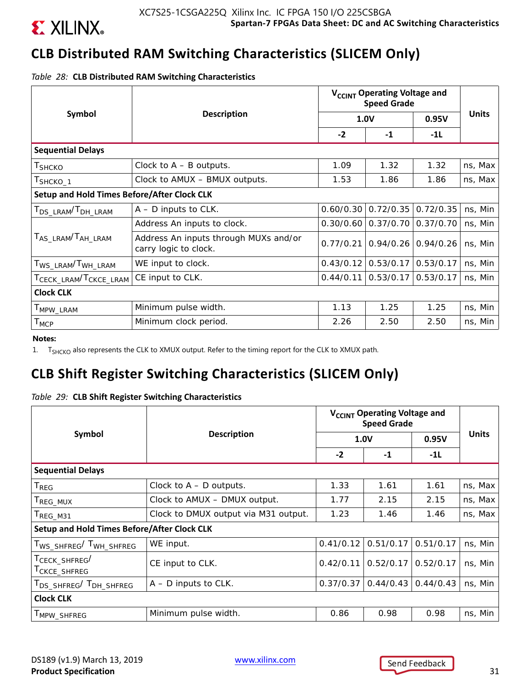![](_page_31_Picture_0.jpeg)

### **CLB Distributed RAM Switching Characteristics (SLICEM Only)**

*Table 28:* **CLB Distributed RAM Switching Characteristics**

|                                             |                                                                | V <sub>CCINT</sub> Operating Voltage and<br><b>Speed Grade</b> |                       |           |              |
|---------------------------------------------|----------------------------------------------------------------|----------------------------------------------------------------|-----------------------|-----------|--------------|
| Symbol                                      | <b>Description</b>                                             |                                                                | 1.0V                  | 0.95V     | <b>Units</b> |
|                                             |                                                                | $-2$                                                           | $-1$                  | $-11$     |              |
| <b>Sequential Delays</b>                    |                                                                |                                                                |                       |           |              |
| T <sub>SHCKO</sub>                          | Clock to $A - B$ outputs.                                      | 1.09                                                           | 1.32                  | 1.32      | ns, Max      |
| T <sub>SHCKO_1</sub>                        | Clock to AMUX - BMUX outputs.                                  | 1.53                                                           | 1.86                  | 1.86      | ns, Max      |
| Setup and Hold Times Before/After Clock CLK |                                                                |                                                                |                       |           |              |
| T <sub>DS_LRAM</sub> /T <sub>DH_LRAM</sub>  | $A - D$ inputs to CLK.                                         | 0.60/0.30                                                      | $0.72/0.35$ 0.72/0.35 |           | ns, Min      |
|                                             | Address An inputs to clock.                                    | 0.30/0.60                                                      | $0.37/0.70$ 0.37/0.70 |           | ns, Min      |
| T <sub>AS_LRAM</sub> /T <sub>AH_LRAM</sub>  | Address An inputs through MUXs and/or<br>carry logic to clock. | 0.77/0.21                                                      | $0.94/0.26$ 0.94/0.26 |           | ns, Min      |
| T <sub>WS</sub> _LRAM <sup>/T</sup> WH_LRAM | WE input to clock.                                             | 0.43/0.12                                                      | 0.53/0.17             | 0.53/0.17 | ns, Min      |
| TCECK_LRAM <sup>/T</sup> CKCE_LRAM          | CE input to CLK.                                               | 0.44/0.11                                                      | 0.53/0.17             | 0.53/0.17 | ns, Min      |
| <b>Clock CLK</b>                            |                                                                |                                                                |                       |           |              |
| T <sub>MPW</sub> _LRAM                      | Minimum pulse width.                                           | 1.13                                                           | 1.25                  | 1.25      | ns, Min      |
| $T_{\text{MCP}}$                            | Minimum clock period.                                          | 2.26                                                           | 2.50                  | 2.50      | ns, Min      |

**Notes:** 

1. T<sub>SHCKO</sub> also represents the CLK to XMUX output. Refer to the timing report for the CLK to XMUX path.

### **CLB Shift Register Switching Characteristics (SLICEM Only)**

|  |  |  |  |  | Table 29: CLB Shift Register Switching Characteristics |
|--|--|--|--|--|--------------------------------------------------------|
|--|--|--|--|--|--------------------------------------------------------|

|                                                        |                                      | V <sub>CCINT</sub> Operating Voltage and<br><b>Speed Grade</b> |           |                       |              |
|--------------------------------------------------------|--------------------------------------|----------------------------------------------------------------|-----------|-----------------------|--------------|
| Symbol                                                 | <b>Description</b>                   |                                                                | 1.0V      | 0.95V                 | <b>Units</b> |
|                                                        |                                      | $-2$                                                           | $-1$      | $-11$                 |              |
| <b>Sequential Delays</b>                               |                                      |                                                                |           |                       |              |
| $T_{REG}$                                              | Clock to $A - D$ outputs.            | 1.33                                                           | 1.61      | 1.61                  | ns, Max      |
| T <sub>REG_MUX</sub>                                   | Clock to AMUX - DMUX output.         | 1.77                                                           | 2.15      | 2.15                  | ns, Max      |
| REG_M31                                                | Clock to DMUX output via M31 output. | 1.23                                                           | 1.46      | 1.46                  | ns, Max      |
| <b>Setup and Hold Times Before/After Clock CLK</b>     |                                      |                                                                |           |                       |              |
| T <sub>WS_SHFREG</sub> /T <sub>WH_SHFREG</sub>         | WE input.                            | 0.41/0.12                                                      | 0.51/0.17 | 0.51/0.17             | ns, Min      |
| TCECK_SHFREG/<br>T <sub>CKCE</sub> _SHFREG             | CE input to CLK.                     | 0.42/0.11                                                      |           | $0.52/0.17$ 0.52/0.17 | ns, Min      |
| $T_{DS}$ shfreg <sup>/<math>T_{DH}</math></sup> shfreg | $A - D$ inputs to CLK.               | 0.37/0.37                                                      | 0.44/0.43 | 0.44/0.43             | ns, Min      |
| <b>Clock CLK</b>                                       |                                      |                                                                |           |                       |              |
| MPW_SHFREG                                             | Minimum pulse width.                 | 0.86                                                           | 0.98      | 0.98                  | ns, Min      |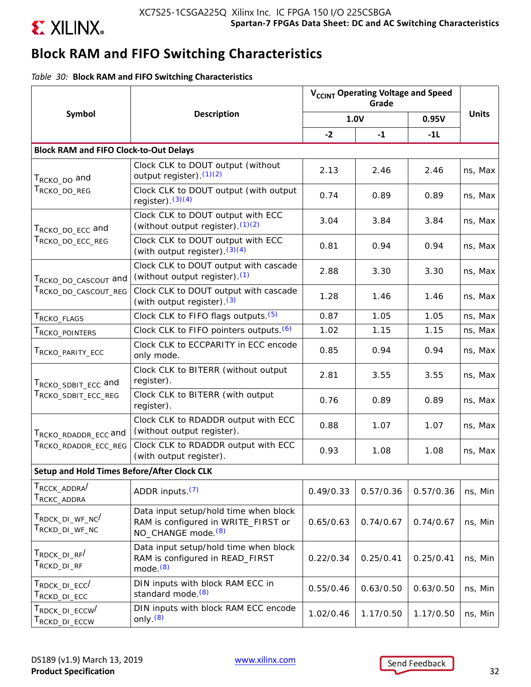![](_page_32_Picture_0.jpeg)

### **Block RAM and FIFO Switching Characteristics**

*Table 30:* **Block RAM and FIFO Switching Characteristics**

|                                                                                      |                                                                                                                | V <sub>CCINT</sub> Operating Voltage and Speed |           |           |              |
|--------------------------------------------------------------------------------------|----------------------------------------------------------------------------------------------------------------|------------------------------------------------|-----------|-----------|--------------|
| Symbol                                                                               | <b>Description</b>                                                                                             |                                                | 1.0V      | 0.95V     | <b>Units</b> |
|                                                                                      |                                                                                                                | $-2$                                           | $-1$      | $-1L$     |              |
| <b>Block RAM and FIFO Clock-to-Out Delays</b>                                        |                                                                                                                |                                                |           |           |              |
| T <sub>RCKO_DO</sub> and                                                             | Clock CLK to DOUT output (without<br>output register). $(1)(2)$                                                | 2.13                                           | 2.46      | 2.46      | ns, Max      |
| $T_{\scriptstyle\rm RCKO\_DO\_REG}$                                                  | Clock CLK to DOUT output (with output<br>register). $(3)(4)$                                                   | 0.74                                           | 0.89      | 0.89      | ns, Max      |
| Т <sub>RCKO_DO_ECC</sub> and                                                         | Clock CLK to DOUT output with ECC<br>(without output register). $(1)(2)$                                       | 3.04                                           | 3.84      | 3.84      | ns, Max      |
| $\mathsf{T}_{\mathsf{RCKO\_DO\_ECC\_REG}}$                                           | Clock CLK to DOUT output with ECC<br>(with output register). $(3)(4)$                                          | 0.81                                           | 0.94      | 0.94      | ns, Max      |
| TRCKO_DO_CASCOUT and                                                                 | Clock CLK to DOUT output with cascade<br>(without output register). <sup>(1)</sup>                             | 2.88                                           | 3.30      | 3.30      | ns, Max      |
| TRCKO_DO_CASCOUT_REG                                                                 | Clock CLK to DOUT output with cascade<br>(with output register). (3)                                           | 1.28                                           | 1.46      | 1.46      | ns, Max      |
| T <sub>RCKO</sub> _FLAGS                                                             | Clock CLK to FIFO flags outputs. (5)                                                                           | 0.87                                           | 1.05      | 1.05      | ns, Max      |
| T <sub>RCKO</sub> _POINTERS                                                          | Clock CLK to FIFO pointers outputs. (6)                                                                        | 1.02                                           | 1.15      | 1.15      | ns, Max      |
| T <sub>RCKO</sub> _parity_ecc                                                        | Clock CLK to ECCPARITY in ECC encode<br>only mode.                                                             | 0.85                                           | 0.94      | 0.94      | ns, Max      |
| T <sub>RCKO</sub> _spBIT_ECC and                                                     | Clock CLK to BITERR (without output<br>register).                                                              | 2.81                                           | 3.55      | 3.55      | ns, Max      |
| T <sub>RCKO</sub> _SDBIT_ECC_REG                                                     | Clock CLK to BITERR (with output<br>register).                                                                 | 0.76                                           | 0.89      | 0.89      | ns, Max      |
| TRCKO_RDADDR_ECC and                                                                 | Clock CLK to RDADDR output with ECC<br>(without output register).                                              | 0.88                                           | 1.07      | 1.07      | ns, Max      |
| TRCKO_RDADDR_ECC_REG                                                                 | Clock CLK to RDADDR output with ECC<br>(with output register).                                                 | 0.93                                           | 1.08      | 1.08      | ns, Max      |
| <b>Setup and Hold Times Before/After Clock CLK</b>                                   |                                                                                                                |                                                |           |           |              |
| T <sub>RCCK</sub> _ADDRA <sup>/</sup><br>$\mathsf{T}_{\mathsf{RCKC\_ADDRA}}$         | ADDR inputs. <sup>(7)</sup>                                                                                    | 0.49/0.33                                      | 0.57/0.36 | 0.57/0.36 | ns, Min      |
| T <sub>RDCK</sub> _DI_WF_NC <sup>/</sup><br>$\mathsf{T}_{\mathsf{RCKD\_DI\_WF\_NC}}$ | Data input setup/hold time when block<br>RAM is configured in WRITE_FIRST or<br>NO_CHANGE mode. <sup>(8)</sup> | 0.65/0.63                                      | 0.74/0.67 | 0.74/0.67 | ns, Min      |
| T <sub>RDCK</sub> _DI_RF <sup>/</sup><br>$\mathsf{T}_{\mathsf{RCKD\_DI\_RF}}$        | Data input setup/hold time when block<br>RAM is configured in READ_FIRST<br>mode. $(8)$                        | 0.22/0.34                                      | 0.25/0.41 | 0.25/0.41 | ns, Min      |
| $T_{\sf RDCK\_DI\_ECC}$<br>$\mathsf{T}_{\mathsf{RCKD\_DI\_ECC}}$                     | DIN inputs with block RAM ECC in<br>standard mode. <sup>(8)</sup>                                              | 0.55/0.46                                      | 0.63/0.50 | 0.63/0.50 | ns, Min      |
| T <sub>RDCK</sub> _DI_ECCW <sup>/</sup><br>T <sub>RCKD</sub> _DI_ECCW                | DIN inputs with block RAM ECC encode<br>only. $(8)$                                                            | 1.02/0.46                                      | 1.17/0.50 | 1.17/0.50 | ns, Min      |

![](_page_32_Picture_7.jpeg)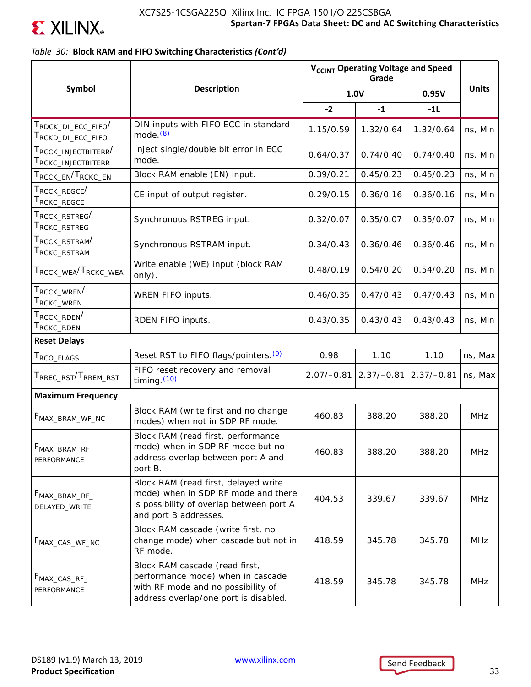![](_page_33_Picture_0.jpeg)

### *Table 30:* **Block RAM and FIFO Switching Characteristics** *(Cont'd)*

|                                                                                                      |                                                                                                                                                    | V <sub>CCINT</sub> Operating Voltage and Speed |              |              |              |
|------------------------------------------------------------------------------------------------------|----------------------------------------------------------------------------------------------------------------------------------------------------|------------------------------------------------|--------------|--------------|--------------|
| Symbol                                                                                               | <b>Description</b>                                                                                                                                 |                                                | 1.0V         | 0.95V        | <b>Units</b> |
|                                                                                                      |                                                                                                                                                    | $-2$                                           | $-1$         | $-1L$        |              |
| T <sub>RDCK</sub> _DI_ECC_FIFO <sup>/</sup><br>T <sub>RCKD_DI_ECC_FIFO</sub>                         | DIN inputs with FIFO ECC in standard<br>mode. $(8)$                                                                                                | 1.15/0.59                                      | 1.32/0.64    | 1.32/0.64    | ns, Min      |
| $\mathsf{T}_{\mathsf{RCCK}}$ injectbiterr $\mathsf{Z}$<br>$\mathsf{T}_{\mathsf{RCKC\_INIECTBITERR}}$ | Inject single/double bit error in ECC<br>mode.                                                                                                     | 0.64/0.37                                      | 0.74/0.40    | 0.74/0.40    | ns, Min      |
| ${\sf T}_{\sf RCCK\_EN}/{\sf T}_{\sf RCKC\_EN}$                                                      | Block RAM enable (EN) input.                                                                                                                       | 0.39/0.21                                      | 0.45/0.23    | 0.45/0.23    | ns, Min      |
| $\mathsf{T}_{\mathsf{RCCK\_REGCE}}$<br>$\mathsf{T}_{\mathsf{RCKC\_REGCE}}$                           | CE input of output register.                                                                                                                       | 0.29/0.15                                      | 0.36/0.16    | 0.36/0.16    | ns, Min      |
| ${\sf T}_{\sf RCCK\_RSTREG}$<br>$\mathsf{T}_{\mathsf{RCKC\_RSTREG}}$                                 | Synchronous RSTREG input.                                                                                                                          | 0.32/0.07                                      | 0.35/0.07    | 0.35/0.07    | ns, Min      |
| T <sub>RCCK</sub> RSTRAM <sup>/</sup><br>T <sub>RCKC</sub> RSTRAM                                    | Synchronous RSTRAM input.                                                                                                                          | 0.34/0.43                                      | 0.36/0.46    | 0.36/0.46    | ns, Min      |
| TRCCK_WEA <sup>/T</sup> RCKC_WEA                                                                     | Write enable (WE) input (block RAM<br>only).                                                                                                       | 0.48/0.19                                      | 0.54/0.20    | 0.54/0.20    | ns, Min      |
| T <sub>RCCK</sub> _WREN <sup>/</sup><br>$\mathsf{T}_{\mathsf{RCKC\_WREN}}$                           | WREN FIFO inputs.                                                                                                                                  | 0.46/0.35                                      | 0.47/0.43    | 0.47/0.43    | ns, Min      |
| $\mathsf{T}_{\mathsf{RCCK\_RDEN}}$<br>$\mathsf{T}_{\mathsf{RCKC\_RDEN}}$                             | RDEN FIFO inputs.                                                                                                                                  | 0.43/0.35                                      | 0.43/0.43    | 0.43/0.43    | ns, Min      |
| <b>Reset Delays</b>                                                                                  |                                                                                                                                                    |                                                |              |              |              |
| T <sub>RCO</sub> _FLAGS                                                                              | Reset RST to FIFO flags/pointers. <sup>(9)</sup>                                                                                                   | 0.98                                           | 1.10         | 1.10         | ns, Max      |
| TRREC_RST <sup>/T</sup> RREM_RST                                                                     | FIFO reset recovery and removal<br>timing $(10)$                                                                                                   | $2.07/-0.81$                                   | $2.37/-0.81$ | $2.37/-0.81$ | ns, Max      |
| <b>Maximum Frequency</b>                                                                             |                                                                                                                                                    |                                                |              |              |              |
| F <sub>MAX_BRAM_WF_NC</sub>                                                                          | Block RAM (write first and no change<br>modes) when not in SDP RF mode.                                                                            | 460.83                                         | 388.20       | 388.20       | <b>MHz</b>   |
| F <sub>MAX_BRAM_RF.</sub><br><b>PERFORMANCE</b>                                                      | Block RAM (read first, performance<br>mode) when in SDP RF mode but no<br>address overlap between port A and<br>port B.                            | 460.83                                         | 388.20       | 388.20       | MHz          |
| F <sub>MAX_BRAM_RF_</sub><br>DELAYED_WRITE                                                           | Block RAM (read first, delayed write<br>mode) when in SDP RF mode and there<br>is possibility of overlap between port A<br>and port B addresses.   | 404.53                                         | 339.67       | 339.67       | <b>MHz</b>   |
| F <sub>MAX_CAS_WF_NC</sub>                                                                           | Block RAM cascade (write first, no<br>change mode) when cascade but not in<br>RF mode.                                                             | 418.59                                         | 345.78       | 345.78       | <b>MHz</b>   |
| F <sub>MAX_CAS_RF_</sub><br>PERFORMANCE                                                              | Block RAM cascade (read first,<br>performance mode) when in cascade<br>with RF mode and no possibility of<br>address overlap/one port is disabled. | 418.59                                         | 345.78       | 345.78       | <b>MHz</b>   |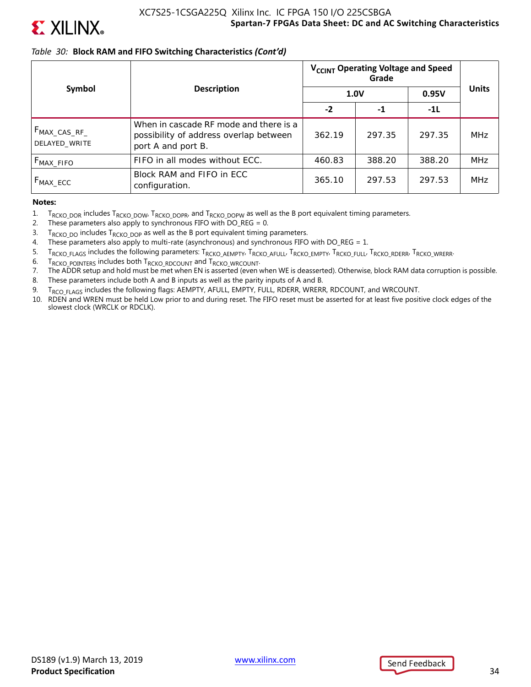![](_page_34_Picture_0.jpeg)

### *Table 30:* **Block RAM and FIFO Switching Characteristics** *(Cont'd)*

|                                             |                                                                                                        | V <sub>CCINT</sub> Operating Voltage and Speed |        |        |            |       |              |
|---------------------------------------------|--------------------------------------------------------------------------------------------------------|------------------------------------------------|--------|--------|------------|-------|--------------|
| Symbol                                      | <b>Description</b>                                                                                     | 1.0V                                           |        |        |            | 0.95V | <b>Units</b> |
|                                             |                                                                                                        | $-2$                                           | $-1$   | $-11$  |            |       |              |
| ⊦ <sup>F</sup> MAX_CAS_RF_<br>DELAYED WRITE | When in cascade RF mode and there is a<br>possibility of address overlap between<br>port A and port B. | 362.19                                         | 297.35 | 297.35 | <b>MHz</b> |       |              |
| $F_{MAX\_FIFO}$                             | FIFO in all modes without ECC.                                                                         | 460.83                                         | 388.20 | 388.20 | <b>MHz</b> |       |              |
| $F_{MAX\_ECC}$                              | Block RAM and FIFO in ECC<br>configuration.                                                            | 365.10                                         | 297.53 | 297.53 | <b>MHz</b> |       |              |

**Notes:** 

- 1.  $T_{RCKO_DOR}$  includes  $T_{RCKO_DOW}$ ,  $T_{RCKO_DOPR}$ , and  $T_{RCKO_DOPW}$  as well as the B port equivalent timing parameters.<br>2. These parameters also apply to synchronous FIFO with DO REG = 0.
- These parameters also apply to synchronous FIFO with  $DO\_REG = 0$ .
- 3.  $T_{RCKO\_DO}$  includes  $T_{RCKO\_DOP}$  as well as the B port equivalent timing parameters.<br>4. These parameters also apply to multi-rate (asynchronous) and synchronous FIFO
- These parameters also apply to multi-rate (asynchronous) and synchronous FIFO with  $DO\_REG = 1$ .
- 5. TRCKO\_FLAGS includes the following parameters: TRCKO\_AEMPTY, TRCKO\_AFULL, TRCKO\_EMPTY, TRCKO\_FULL, TRCKO\_RDERR, TRCKO\_WRERR.
- 6.  $T_{RCKO}$  pointers includes both  $T_{RCKO}$  RDCOUNT and  $T_{RCKO}$  wrcount.<br>7. The ADDR setup and hold must be met when EN is asserted (even y
- 7. The ADDR setup and hold must be met when EN is asserted (even when WE is deasserted). Otherwise, block RAM data corruption is possible.
- 8. These parameters include both A and B inputs as well as the parity inputs of A and B.
- 9. T<sub>RCO FLAGS</sub> includes the following flags: AEMPTY, AFULL, EMPTY, FULL, RDERR, WRERR, RDCOUNT, and WRCOUNT.
- 10. RDEN and WREN must be held Low prior to and during reset. The FIFO reset must be asserted for at least five positive clock edges of the slowest clock (WRCLK or RDCLK).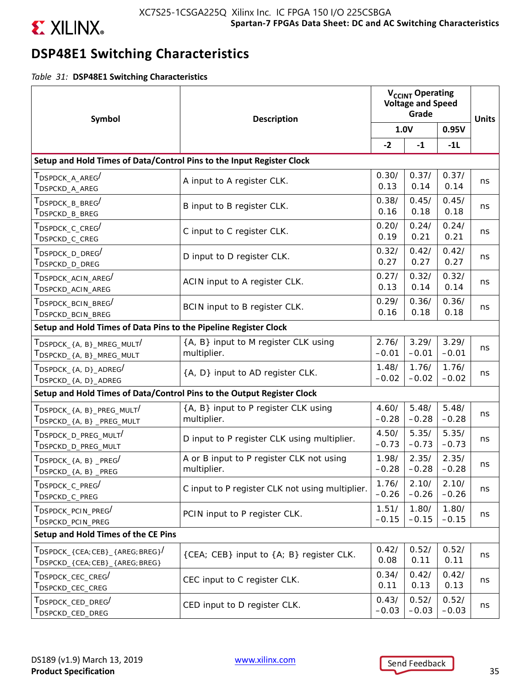![](_page_35_Picture_0.jpeg)

### **DSP48E1 Switching Characteristics**

*Table 31:* **DSP48E1 Switching Characteristics**

| Symbol                                                                                                                                | <b>Description</b>                                      |                  | V <sub>CCINT</sub> Operating<br><b>Voltage and Speed</b><br>Grade |                  |              |  |
|---------------------------------------------------------------------------------------------------------------------------------------|---------------------------------------------------------|------------------|-------------------------------------------------------------------|------------------|--------------|--|
|                                                                                                                                       |                                                         |                  | 1.0V                                                              | 0.95V            | <b>Units</b> |  |
|                                                                                                                                       |                                                         | $-2$             | $-1$                                                              | $-1L$            |              |  |
| Setup and Hold Times of Data/Control Pins to the Input Register Clock                                                                 |                                                         |                  |                                                                   |                  |              |  |
| T <sub>DSPDCK</sub> _A_AREG <sup>/</sup><br>$\mathsf{T}_{\mathsf{DSPCKD\_A\_AREG}}$                                                   | A input to A register CLK.                              | 0.30/<br>0.13    | 0.37/<br>0.14                                                     | 0.37/<br>0.14    | ns           |  |
| $\tau_{\texttt{DSPDCK\_B\_BREG}}/$<br>$\mathsf{T}_{\mathsf{DSPCKD\_B\_BREG}}$                                                         | B input to B register CLK.                              | 0.38/<br>0.16    | 0.45/<br>0.18                                                     | 0.45/<br>0.18    | ns           |  |
| $\tau_{\texttt{DSPDCK\_C\_CREG}}/$<br>$\mathsf{T}_{\textsf{DSPCKD\_C\_CREG}}$                                                         | C input to C register CLK.                              | 0.20/<br>0.19    | 0.24/<br>0.21                                                     | 0.24/<br>0.21    | ns           |  |
| ${\rm T}_{\mathsf{DSPDCK\_D\_DREG}}/$<br>T <sub>DSPCKD</sub> _D_DREG                                                                  | D input to D register CLK.                              | 0.32/<br>0.27    | 0.42/<br>0.27                                                     | 0.42/<br>0.27    | ns           |  |
| $\tau_{\texttt{DSPDCK\_ACIN\_AREG}}/$<br>T <sub>DSPCKD</sub> _ACIN_AREG                                                               | ACIN input to A register CLK.                           | 0.27/<br>0.13    | 0.32/<br>0.14                                                     | 0.32/<br>0.14    | ns           |  |
| $\tau_{\texttt{DSPDCK\_BCIN\_BREG}}/$<br>T <sub>DSPCKD</sub> _BCIN_BREG                                                               | BCIN input to B register CLK.                           | 0.29/<br>0.16    | 0.36/<br>0.18                                                     | 0.36/<br>0.18    | ns           |  |
| Setup and Hold Times of Data Pins to the Pipeline Register Clock                                                                      |                                                         |                  |                                                                   |                  |              |  |
| $\mathsf{T}_{\mathsf{DSPDCK}\_ \{A,\ B\}\_ \mathsf{MREG}\_ \mathsf{MULT}}/$<br>T <sub>DSPCKD</sub> _{A, B}_MREG_MULT                  | {A, B} input to M register CLK using<br>multiplier.     | 2.76/<br>$-0.01$ | 3.29/<br>$-0.01$                                                  | 3.29/<br>$-0.01$ | ns           |  |
| $T_{\mathsf{DSPDCK}\_ \{A,\ D\}\_\mathsf{ADREG}}/$<br>$T_{\mathsf{DSPCKD}\_ \{A,\; \mathsf{D}\}_\mathsf{ADREG}}$                      | {A, D} input to AD register CLK.                        | 1.48/<br>$-0.02$ | 1.76/<br>$-0.02$                                                  | 1.76/<br>$-0.02$ | ns           |  |
| Setup and Hold Times of Data/Control Pins to the Output Register Clock                                                                |                                                         |                  |                                                                   |                  |              |  |
| $\mathsf{T}_{\mathsf{DSPDCK}\_ \{A,\ B\}\_ \mathsf{PREG}\_ \mathsf{MULT}}/$                                                           | {A, B} input to P register CLK using<br>multiplier.     | 4.60/<br>$-0.28$ | 5.48/<br>$-0.28$                                                  | 5.48/<br>$-0.28$ | ns           |  |
| T <sub>DSPDCK</sub> _D_PREG_MULT <sup>/</sup><br>T <sub>DSPCKD_D_PREG_MULT</sub>                                                      | D input to P register CLK using multiplier.             | 4.50/<br>$-0.73$ | 5.35/<br>$-0.73$                                                  | 5.35/<br>$-0.73$ | ns           |  |
| $\tau_{\texttt{DSPDCK_{4A,B}}\text{-PREG}}/$<br>$T_{\text{DSPCKD_{A,B}}}$ _PREG                                                       | A or B input to P register CLK not using<br>multiplier. | 1.98/<br>$-0.28$ | 2.35/<br>$-0.28$                                                  | 2.35/<br>$-0.28$ | ns           |  |
| $T_{\mathsf{DSPDCK\_C\_PREG}}/$<br>T <sub>DSPCKD</sub> _C_PREG                                                                        | C input to P register CLK not using multiplier.         | 1.76/<br>$-0.26$ | 2.10/<br>$-0.26$                                                  | 2.10/<br>$-0.26$ | ns           |  |
| $T_{\mathsf{DSPDCK}}$ pcin preg/<br>T <sub>DSPCKD</sub> _PCIN_PREG                                                                    | PCIN input to P register CLK.                           | 1.51/<br>$-0.15$ | 1.80/<br>$-0.15$                                                  | 1.80/<br>$-0.15$ | ns           |  |
| Setup and Hold Times of the CE Pins                                                                                                   |                                                         |                  |                                                                   |                  |              |  |
| $\mathsf{T}_{\mathsf{DSPDCK}\_{\mathsf{CEA}};\mathsf{CEB}\_{\mathsf{A}}\mathsf{AREG};\mathsf{BREG}}$<br>TDSPCKD_{CEA;CEB}_{AREG;BREG} | {CEA; CEB} input to {A; B} register CLK.                | 0.42/<br>0.08    | 0.52/<br>0.11                                                     | 0.52/<br>0.11    | ns           |  |
| $\tau_{\texttt{DSPDCK\_CEC\_CREG}}$<br>T <sub>DSPCKD</sub> _CEC_CREG                                                                  | CEC input to C register CLK.                            | 0.34/<br>0.11    | 0.42/<br>0.13                                                     | 0.42/<br>0.13    | ns           |  |
| $\mathsf{T}_{\mathsf{DSPDCK\_CED\_DREG}}/$<br>T <sub>DSPCKD</sub> _CED_DREG                                                           | CED input to D register CLK.                            | 0.43/<br>$-0.03$ | 0.52/<br>$-0.03$                                                  | 0.52/<br>$-0.03$ | ns           |  |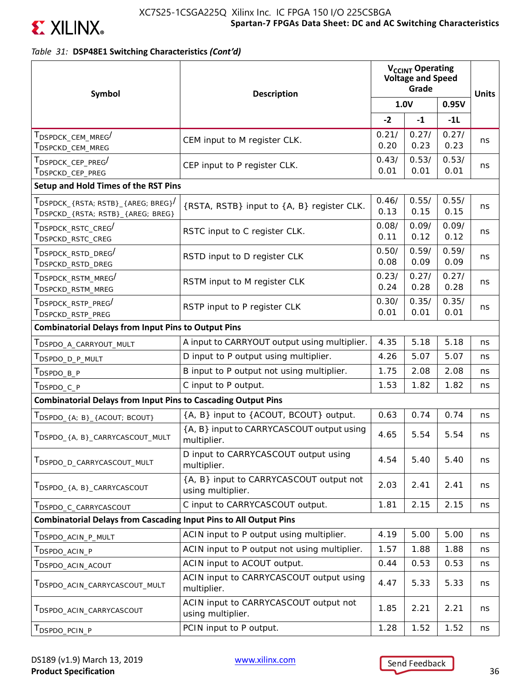![](_page_36_Picture_0.jpeg)

*Table 31:* **DSP48E1 Switching Characteristics** *(Cont'd)*

| Symbol                                                                              | <b>Description</b>                                           |               | V <sub>CCINT</sub> Operating<br><b>Voltage and Speed</b><br>Grade |               |              |  |
|-------------------------------------------------------------------------------------|--------------------------------------------------------------|---------------|-------------------------------------------------------------------|---------------|--------------|--|
|                                                                                     |                                                              |               | 1.0V                                                              | 0.95V         | <b>Units</b> |  |
|                                                                                     |                                                              | $-2$          | $-1$                                                              | $-1L$         |              |  |
| T <sub>DSPDCK</sub> _CEM_MREG <sup>/</sup><br>T <sub>DSPCKD</sub> _CEM_MREG         | CEM input to M register CLK.                                 | 0.21/<br>0.20 | 0.27/<br>0.23                                                     | 0.27/<br>0.23 | ns           |  |
| T <sub>DSPDCK</sub> _CEP_PREG <sup>/</sup><br>T <sub>DSPCKD</sub> _CEP_PREG         | CEP input to P register CLK.                                 | 0.43/<br>0.01 | 0.53/<br>0.01                                                     | 0.53/<br>0.01 | ns           |  |
| Setup and Hold Times of the RST Pins                                                |                                                              |               |                                                                   |               |              |  |
| TDSPDCK_{RSTA; RSTB}_{AREG; BREG}<br>T <sub>DSPCKD</sub> _{RSTA; RSTB}_{AREG; BREG} | {RSTA, RSTB} input to {A, B} register CLK.                   | 0.46/<br>0.13 | 0.55/<br>0.15                                                     | 0.55/<br>0.15 | ns           |  |
| T <sub>DSPDCK</sub> _RSTC_CREG <sup>/</sup><br>T <sub>DSPCKD</sub> _RSTC_CREG       | RSTC input to C register CLK.                                | 0.08/<br>0.11 | 0.09/<br>0.12                                                     | 0.09/<br>0.12 | ns           |  |
| T <sub>DSPDCK</sub> _RSTD_DREG <sup>/</sup><br>T <sub>DSPCKD</sub> _RSTD_DREG       | RSTD input to D register CLK                                 | 0.50/<br>0.08 | 0.59/<br>0.09                                                     | 0.59/<br>0.09 | ns           |  |
| T <sub>DSPDCK</sub> RSTM MREG <sup>/</sup><br>T <sub>DSPCKD</sub> _RSTM_MREG        | RSTM input to M register CLK                                 | 0.23/<br>0.24 | 0.27/<br>0.28                                                     | 0.27/<br>0.28 | ns           |  |
| T <sub>DSPDCK</sub> _RSTP_PREG <sup>/</sup><br>T <sub>DSPCKD</sub> _RSTP_PREG       | RSTP input to P register CLK                                 | 0.30/<br>0.01 | 0.35/<br>0.01                                                     | 0.35/<br>0.01 | ns           |  |
| <b>Combinatorial Delays from Input Pins to Output Pins</b>                          |                                                              |               |                                                                   |               |              |  |
| T <sub>DSPDO</sub> _A_CARRYOUT_MULT                                                 | A input to CARRYOUT output using multiplier.                 | 4.35          | 5.18                                                              | 5.18          | ns           |  |
| T <sub>DSPDO_D_P_MULT</sub>                                                         | D input to P output using multiplier.                        | 4.26          | 5.07                                                              | 5.07          | ns           |  |
| T <sub>DSPDO_B_P</sub>                                                              | B input to P output not using multiplier.                    | 1.75          | 2.08                                                              | 2.08          | ns           |  |
| T <sub>DSPDO_C_P</sub>                                                              | C input to P output.                                         | 1.53          | 1.82                                                              | 1.82          | ns           |  |
| <b>Combinatorial Delays from Input Pins to Cascading Output Pins</b>                |                                                              |               |                                                                   |               |              |  |
| TDSPDO_{A; B}_{ACOUT; BCOUT}                                                        | {A, B} input to {ACOUT, BCOUT} output.                       | 0.63          | 0.74                                                              | 0.74          | ns           |  |
| TDSPDO_{A, B}_CARRYCASCOUT_MULT                                                     | {A, B} input to CARRYCASCOUT output using<br>multiplier.     | 4.65          | 5.54                                                              | 5.54          | ns           |  |
| TDSPDO_D_CARRYCASCOUT_MULT                                                          | D input to CARRYCASCOUT output using<br>multiplier.          | 4.54          | 5.40                                                              | 5.40          | ns           |  |
| TDSPDO_{A, B}_CARRYCASCOUT                                                          | {A, B} input to CARRYCASCOUT output not<br>using multiplier. | 2.03          | 2.41                                                              | 2.41          | ns           |  |
| IDSPDO_C_CARRYCASCOUT                                                               | C input to CARRYCASCOUT output.                              | 1.81          | 2.15                                                              | 2.15          | ns           |  |
| <b>Combinatorial Delays from Cascading Input Pins to All Output Pins</b>            |                                                              |               |                                                                   |               |              |  |
| T <sub>DSPDO</sub> _ACIN_P_MULT                                                     | ACIN input to P output using multiplier.                     | 4.19          | 5.00                                                              | 5.00          | ns           |  |
| T <sub>DSPDO</sub> _ACIN_P                                                          | ACIN input to P output not using multiplier.                 | 1.57          | 1.88                                                              | 1.88          | ns           |  |
| T <sub>DSPDO_ACIN_ACOUT</sub>                                                       | ACIN input to ACOUT output.                                  | 0.44          | 0.53                                                              | 0.53          | ns           |  |
| TDSPDO_ACIN_CARRYCASCOUT_MULT                                                       | ACIN input to CARRYCASCOUT output using<br>multiplier.       | 4.47          | 5.33                                                              | 5.33          | ns           |  |
| T <sub>DSPDO_ACIN_CARRYCASCOUT</sub>                                                | ACIN input to CARRYCASCOUT output not<br>using multiplier.   | 1.85          | 2.21                                                              | 2.21          | ns           |  |
| T <sub>DSPDO</sub> _PCIN_P                                                          | PCIN input to P output.                                      | 1.28          | 1.52                                                              | 1.52          | ns           |  |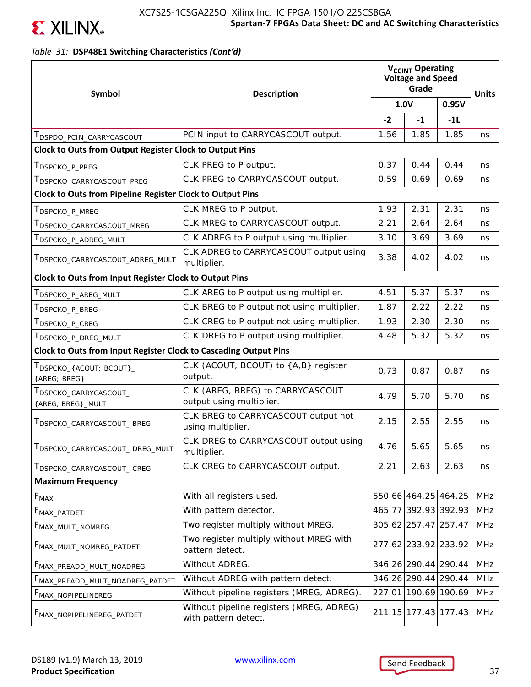![](_page_37_Picture_0.jpeg)

### *Table 31:* **DSP48E1 Switching Characteristics** *(Cont'd)*

| Symbol                                                           | <b>Description</b>                                               |        | V <sub>CCINT</sub> Operating<br><b>Voltage and Speed</b><br>Grade |               |              |
|------------------------------------------------------------------|------------------------------------------------------------------|--------|-------------------------------------------------------------------|---------------|--------------|
|                                                                  |                                                                  |        | 1.0V                                                              | 0.95V         | <b>Units</b> |
|                                                                  |                                                                  | $-2$   | $-1$                                                              | $-11$         |              |
| T <sub>DSPDO_PCIN_CARRYCASCOUT</sub>                             | PCIN input to CARRYCASCOUT output.                               | 1.56   | 1.85                                                              | 1.85          | ns           |
| Clock to Outs from Output Register Clock to Output Pins          |                                                                  |        |                                                                   |               |              |
| T <sub>DSPCKO_P_PREG</sub>                                       | CLK PREG to P output.                                            | 0.37   | 0.44                                                              | 0.44          | ns           |
| T <sub>DSPCKO</sub> _CARRYCASCOUT_PREG                           | CLK PREG to CARRYCASCOUT output.                                 | 0.59   | 0.69                                                              | 0.69          | ns           |
|                                                                  | <b>Clock to Outs from Pipeline Register Clock to Output Pins</b> |        |                                                                   |               |              |
| T <sub>DSPCKO</sub> _P_MREG                                      | CLK MREG to P output.                                            | 1.93   | 2.31                                                              | 2.31          | ns           |
| T <sub>DSPCKO</sub> _CARRYCASCOUT_MREG                           | CLK MREG to CARRYCASCOUT output.                                 | 2.21   | 2.64                                                              | 2.64          | ns           |
| TDSPCKO_P_ADREG_MULT                                             | CLK ADREG to P output using multiplier.                          | 3.10   | 3.69                                                              | 3.69          | ns           |
| TDSPCKO_CARRYCASCOUT_ADREG_MULT                                  | CLK ADREG to CARRYCASCOUT output using<br>multiplier.            | 3.38   | 4.02                                                              | 4.02          | ns           |
| <b>Clock to Outs from Input Register Clock to Output Pins</b>    |                                                                  |        |                                                                   |               |              |
| T <sub>DSPCKO_P_AREG_MULT</sub>                                  | CLK AREG to P output using multiplier.                           | 4.51   | 5.37                                                              | 5.37          | ns           |
| T <sub>DSPCKO</sub> _P_BREG                                      | CLK BREG to P output not using multiplier.                       | 1.87   | 2.22                                                              | 2.22          | ns           |
| $\mathsf{T}_{\mathsf{DSPCKO\_P\_CREG}}$                          | CLK CREG to P output not using multiplier.                       | 1.93   | 2.30                                                              | 2.30          | ns           |
| T <sub>DSPCKO_P_DREG_MULT</sub>                                  | CLK DREG to P output using multiplier.                           | 4.48   | 5.32                                                              | 5.32          | ns           |
| Clock to Outs from Input Register Clock to Cascading Output Pins |                                                                  |        |                                                                   |               |              |
| $T_{\sf DSPCKO\_{ACOUT; BCOUT\}_{-}}$<br>{AREG; BREG}            | CLK (ACOUT, BCOUT) to {A,B} register<br>output.                  | 0.73   | 0.87                                                              | 0.87          | ns           |
| T <sub>DSPCKO</sub> _CARRYCASCOUT_<br>{AREG, BREG}_MULT          | CLK (AREG, BREG) to CARRYCASCOUT<br>output using multiplier.     | 4.79   | 5.70                                                              | 5.70          | ns           |
| TDSPCKO_CARRYCASCOUT_BREG                                        | CLK BREG to CARRYCASCOUT output not<br>using multiplier.         | 2.15   | 2.55                                                              | 2.55          | ns           |
| TDSPCKO_CARRYCASCOUT_DREG_MULT                                   | CLK DREG to CARRYCASCOUT output using<br>multiplier.             | 4.76   | 5.65                                                              | 5.65          | ns           |
| T <sub>DSPCKO</sub> _CARRYCASCOUT_CREG                           | CLK CREG to CARRYCASCOUT output.                                 | 2.21   | 2.63                                                              | 2.63          | ns           |
| <b>Maximum Frequency</b>                                         |                                                                  |        |                                                                   |               |              |
| $\mathsf{F}_{\mathsf{MAX}}$                                      | With all registers used.                                         |        | 550.66 464.25 464.25                                              |               | <b>MHz</b>   |
| F <sub>MAX_PATDET</sub>                                          | With pattern detector.                                           |        | 465.77 392.93 392.93                                              |               | <b>MHz</b>   |
| F <sub>MAX_MULT_NOMREG</sub>                                     | Two register multiply without MREG.                              |        | 305.62 257.47 257.47                                              |               | MHz          |
| FMAX_MULT_NOMREG_PATDET                                          | Two register multiply without MREG with<br>pattern detect.       |        | 277.62 233.92 233.92                                              |               | <b>MHz</b>   |
| FMAX_PREADD_MULT_NOADREG                                         | Without ADREG.                                                   |        | 346.26 290.44 290.44                                              |               | MHz          |
| F <sub>MAX_PREADD_MULT_NOADREG_PATDET</sub>                      | Without ADREG with pattern detect.                               |        | 346.26 290.44 290.44                                              |               | <b>MHz</b>   |
| F <sub>MAX_NOPIPELINEREG</sub>                                   | Without pipeline registers (MREG, ADREG).                        | 227.01 |                                                                   | 190.69 190.69 | MHz          |
| F <sub>MAX_NOPIPELINEREG_PATDET</sub>                            | Without pipeline registers (MREG, ADREG)<br>with pattern detect. | 211.15 |                                                                   | 177.43 177.43 | <b>MHz</b>   |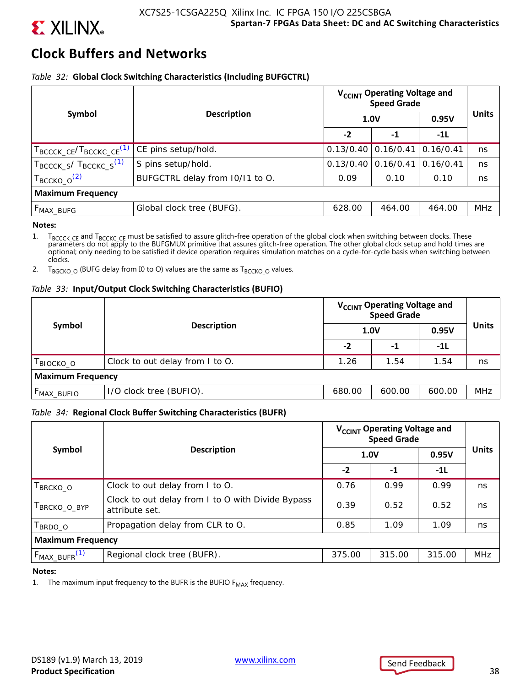![](_page_38_Picture_0.jpeg)

### **Clock Buffers and Networks**

### *Table 32:* **Global Clock Switching Characteristics (Including BUFGCTRL)**

|                                                   |                                 | V <sub>CCINT</sub> Operating Voltage and<br><b>Speed Grade</b> |           |           |              |
|---------------------------------------------------|---------------------------------|----------------------------------------------------------------|-----------|-----------|--------------|
| Symbol                                            | <b>Description</b>              | 1.0V                                                           |           | 0.95V     | <b>Units</b> |
|                                                   |                                 | $-2$                                                           | $-1$      | $-11$     |              |
| $T_{\text{BCCCK\_CE}}/T_{\text{BCCKC\_CE}}^{(1)}$ | CE pins setup/hold.             | 0.13/0.40                                                      | 0.16/0.41 | 0.16/0.41 | ns           |
| $T_{\text{BCCCK\_S}}/T_{\text{BCCKC\_S}}^{(1)}$   | S pins setup/hold.              | 0.13/0.40                                                      | 0.16/0.41 | 0.16/0.41 | ns           |
| $T_{\rm BCCKO\_O}^{(2)}$                          | BUFGCTRL delay from 10/11 to O. | 0.09                                                           | 0.10      | 0.10      | ns           |
| <b>Maximum Frequency</b>                          |                                 |                                                                |           |           |              |
| F <sub>MAX_BUFG</sub>                             | Global clock tree (BUFG).       | 628.00                                                         | 464.00    | 464.00    | <b>MHz</b>   |

#### **Notes:**

1. T<sub>BCCCK</sub> c<sub>E</sub> and T<sub>BCCKC</sub> c<sub>E</sub> must be satisfied to assure glitch-free operation of the global clock when switching between clocks. These parameters do not apply to the BUFGMUX primitive that assures glitch-free opera optional; only needing to be satisfied if device operation requires simulation matches on a cycle-for-cycle basis when switching between clocks.

2. T<sub>BGCKO</sub>  $_0$  (BUFG delay from I0 to O) values are the same as T<sub>BCCKO</sub>  $_0$  values.

### *Table 33:* **Input/Output Clock Switching Characteristics (BUFIO)**

| Symbol                   | <b>Description</b>              | V <sub>CCINT</sub> Operating Voltage and<br>Speed Grade |        |        |              |  |
|--------------------------|---------------------------------|---------------------------------------------------------|--------|--------|--------------|--|
|                          |                                 | 1.0V                                                    |        | 0.95V  | <b>Units</b> |  |
|                          |                                 | -2                                                      | -1     | -11    |              |  |
| BIOCKO_O                 | Clock to out delay from I to O. | 1.26                                                    | 1.54   | 1.54   | ns           |  |
| <b>Maximum Frequency</b> |                                 |                                                         |        |        |              |  |
| F <sub>MAX_BUFIO</sub>   | I/O clock tree (BUFIO).         | 680.00                                                  | 600.00 | 600.00 | <b>MHz</b>   |  |

### *Table 34:* **Regional Clock Buffer Switching Characteristics (BUFR)**

| Symbol                           | <b>Description</b>                                                  |             | V <sub>CCINT</sub> Operating Voltage and<br><b>Speed Grade</b> |        |              |  |
|----------------------------------|---------------------------------------------------------------------|-------------|----------------------------------------------------------------|--------|--------------|--|
|                                  |                                                                     | <b>1.0V</b> |                                                                | 0.95V  | <b>Units</b> |  |
|                                  |                                                                     | $-2$        | $-1$                                                           | $-11$  |              |  |
| $\mathsf{T}_{\mathsf{BRCKO\_O}}$ | Clock to out delay from I to O.                                     | 0.76        | 0.99                                                           | 0.99   | ns.          |  |
| <b>BRCKO O BYP</b>               | Clock to out delay from I to O with Divide Bypass<br>attribute set. | 0.39        | 0.52                                                           | 0.52   | ns           |  |
| BRDO O                           | Propagation delay from CLR to O.                                    | 0.85        | 1.09                                                           | 1.09   | ns           |  |
| <b>Maximum Frequency</b>         |                                                                     |             |                                                                |        |              |  |
| $F_{MAX_BUFF}(1)$                | Regional clock tree (BUFR).                                         | 375.00      | 315.00                                                         | 315.00 | <b>MHz</b>   |  |

#### **Notes:**

1. The maximum input frequency to the BUFR is the BUFIO  $F_{MAX}$  frequency.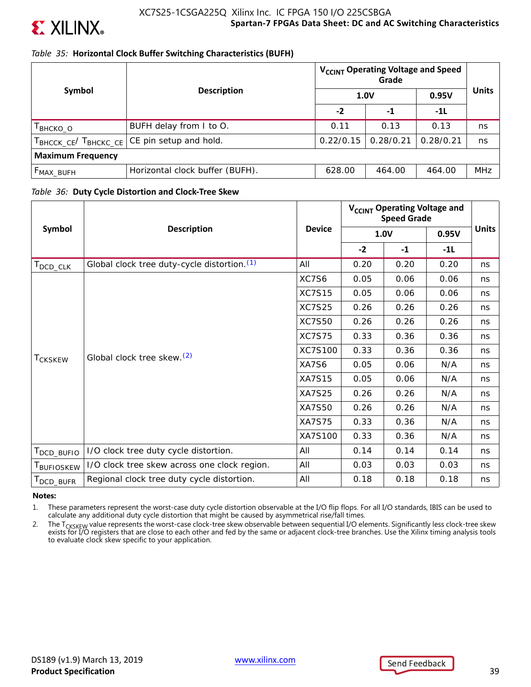![](_page_39_Picture_0.jpeg)

### *Table 35:* **Horizontal Clock Buffer Switching Characteristics (BUFH)**

|                          |                                            | V <sub>CCINT</sub> Operating Voltage and Speed<br>Grade<br>1.0V<br>0.95V |           |           |              |
|--------------------------|--------------------------------------------|--------------------------------------------------------------------------|-----------|-----------|--------------|
| Symbol                   | <b>Description</b>                         |                                                                          |           |           | <b>Units</b> |
|                          |                                            | $-2$                                                                     | -1        | $-11$     |              |
| I внско_о                | BUFH delay from I to O.                    | 0.11                                                                     | 0.13      | 0.13      | ns           |
|                          | TBHCCK_CE/TBHCKC_CE CE pin setup and hold. | 0.22/0.15                                                                | 0.28/0.21 | 0.28/0.21 | ns           |
| <b>Maximum Frequency</b> |                                            |                                                                          |           |           |              |
| $F_{MAX_BUFH}$           | Horizontal clock buffer (BUFH).            | 628.00                                                                   | 464.00    | 464.00    | <b>MHz</b>   |

### *Table 36:* **Duty Cycle Distortion and Clock-Tree Skew**

| Symbol                  |                                              |               |      | V <sub>CCINT</sub> Operating Voltage and<br><b>Speed Grade</b> |       |              |
|-------------------------|----------------------------------------------|---------------|------|----------------------------------------------------------------|-------|--------------|
|                         | <b>Description</b>                           | <b>Device</b> | 1.0V |                                                                | 0.95V | <b>Units</b> |
|                         |                                              |               | $-2$ | $-1$                                                           | $-1L$ |              |
| $T_{\mathsf{DCD\_CLK}}$ | Global clock tree duty-cycle distortion. (1) | All           | 0.20 | 0.20                                                           | 0.20  | ns           |
|                         |                                              | XC7S6         | 0.05 | 0.06                                                           | 0.06  | ns           |
|                         |                                              | <b>XC7S15</b> | 0.05 | 0.06                                                           | 0.06  | ns           |
|                         | Global clock tree skew. <sup>(2)</sup>       | <b>XC7S25</b> | 0.26 | 0.26                                                           | 0.26  | ns           |
|                         |                                              | <b>XC7S50</b> | 0.26 | 0.26                                                           | 0.26  | ns           |
|                         |                                              | <b>XC7S75</b> | 0.33 | 0.36                                                           | 0.36  | ns           |
|                         |                                              | XC7S100       | 0.33 | 0.36                                                           | 0.36  | ns           |
| <b>TCKSKEW</b>          |                                              | XA7S6         | 0.05 | 0.06                                                           | N/A   | ns           |
|                         |                                              | <b>XA7S15</b> | 0.05 | 0.06                                                           | N/A   | ns           |
|                         |                                              | <b>XA7S25</b> | 0.26 | 0.26                                                           | N/A   | ns           |
|                         |                                              | <b>XA7S50</b> | 0.26 | 0.26                                                           | N/A   | ns           |
|                         |                                              | <b>XA7S75</b> | 0.33 | 0.36                                                           | N/A   | ns           |
|                         |                                              | XA7S100       | 0.33 | 0.36                                                           | N/A   | ns           |
| T <sub>DCD_BUFIO</sub>  | I/O clock tree duty cycle distortion.        | All           | 0.14 | 0.14                                                           | 0.14  | ns           |
| T <sub>BUFIOSKEW</sub>  | I/O clock tree skew across one clock region. | All           | 0.03 | 0.03                                                           | 0.03  | ns           |
| DCD_BUFR                | Regional clock tree duty cycle distortion.   | All           | 0.18 | 0.18                                                           | 0.18  | ns           |

#### **Notes:**

1. These parameters represent the worst-case duty cycle distortion observable at the I/O flip flops. For all I/O standards, IBIS can be used to calculate any additional duty cycle distortion that might be caused by asymmetrical rise/fall times.

2. The T<sub>CKSKEW</sub> value represents the worst-case clock-tree skew observable between sequential I/O elements. Significantly less clock-tree skew exists for I/O registers that are close to each other and fed by the same or adjacent clock-tree branches. Use the Xilinx timing analysis tools to evaluate clock skew specific to your application.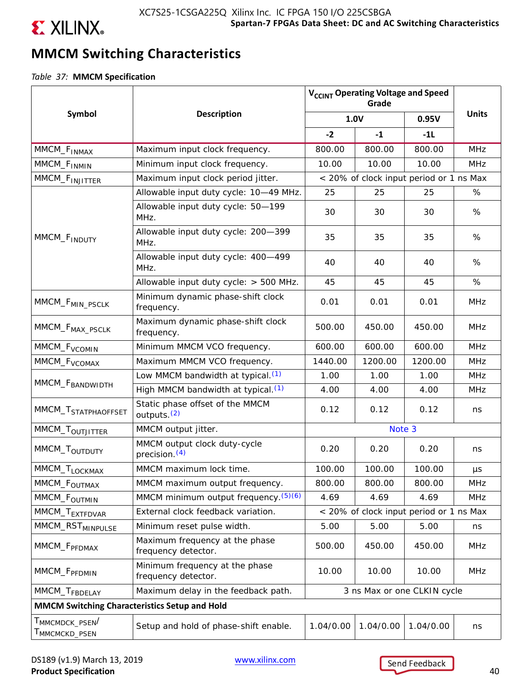![](_page_40_Picture_0.jpeg)

### **MMCM Switching Characteristics**

*Table 37:* **MMCM Specification**

|                                                        |                                                            |                                         | V <sub>CCINT</sub> Operating Voltage and Speed<br>Grade |                                         |              |
|--------------------------------------------------------|------------------------------------------------------------|-----------------------------------------|---------------------------------------------------------|-----------------------------------------|--------------|
| Symbol                                                 | <b>Description</b>                                         |                                         | <b>1.0V</b>                                             | 0.95V                                   | <b>Units</b> |
|                                                        |                                                            | $-2$                                    | $-1$                                                    | $-11$                                   |              |
| MMCM_F <sub>INMAX</sub>                                | Maximum input clock frequency.                             | 800.00                                  | 800.00                                                  | 800.00                                  | <b>MHz</b>   |
| MMCM_F <sub>INMIN</sub>                                | Minimum input clock frequency.                             | 10.00                                   | 10.00                                                   | 10.00                                   | <b>MHz</b>   |
| MMCM_F <sub>INJITTER</sub>                             | Maximum input clock period jitter.                         | < 20% of clock input period or 1 ns Max |                                                         |                                         |              |
|                                                        | Allowable input duty cycle: 10-49 MHz.                     | 25                                      | 25                                                      | 25                                      | %            |
|                                                        | Allowable input duty cycle: 50-199<br>MHz.                 | 30                                      | 30                                                      | 30                                      | %            |
| MMCM_F <sub>INDUTY</sub>                               | Allowable input duty cycle: 200-399<br>MHz.                | 35                                      | 35                                                      | 35                                      | %            |
|                                                        | Allowable input duty cycle: 400-499<br>MHz.                | 40                                      | 40                                                      | 40                                      | %            |
|                                                        | Allowable input duty cycle: > 500 MHz.                     | 45                                      | 45                                                      | 45                                      | %            |
| MMCM_F <sub>MIN_PSCLK</sub>                            | Minimum dynamic phase-shift clock<br>frequency.            | 0.01                                    | 0.01                                                    | 0.01                                    | <b>MHz</b>   |
| MMCM_F <sub>MAX_PSCLK</sub>                            | Maximum dynamic phase-shift clock<br>frequency.            | 500.00                                  | 450.00                                                  | 450.00                                  | <b>MHz</b>   |
| MMCM_F <sub>VCOMIN</sub>                               | Minimum MMCM VCO frequency.                                | 600.00                                  | 600.00                                                  | 600.00                                  | <b>MHz</b>   |
| MMCM_F <sub>VCOMAX</sub>                               | Maximum MMCM VCO frequency.                                | 1440.00                                 | 1200.00                                                 | 1200.00                                 | <b>MHz</b>   |
|                                                        | Low MMCM bandwidth at typical. <sup>(1)</sup>              | 1.00                                    | 1.00                                                    | 1.00                                    | <b>MHz</b>   |
| MMCM_F <sub>BANDWIDTH</sub>                            | High MMCM bandwidth at typical. (1)                        | 4.00                                    | 4.00                                                    | 4.00                                    | <b>MHz</b>   |
| MMCM_T <sub>STATPHAOFFSET</sub>                        | Static phase offset of the MMCM<br>outputs. <sup>(2)</sup> | 0.12                                    | 0.12                                                    | 0.12                                    | ns           |
| MMCM_T <sub>OUTJITTER</sub>                            | MMCM output jitter.                                        |                                         | Note 3                                                  |                                         |              |
| MMCM_T <sub>OUTDUTY</sub>                              | MMCM output clock duty-cycle<br>precision. $(4)$           | 0.20                                    | 0.20                                                    | 0.20                                    | ns           |
| MMCM_T <sub>LOCKMAX</sub>                              | MMCM maximum lock time.                                    | 100.00                                  | 100.00                                                  | 100.00                                  | μs           |
| MMCM_F <sub>OUTMAX</sub>                               | MMCM maximum output frequency.                             | 800.00                                  | 800.00                                                  | 800.00                                  | <b>MHz</b>   |
| MMCM_F <sub>OUTMIN</sub>                               | MMCM minimum output frequency. $(5)(6)$                    | 4.69                                    | 4.69                                                    | 4.69                                    | <b>MHz</b>   |
| MMCM_T <sub>EXTFDVAR</sub>                             | External clock feedback variation.                         |                                         |                                                         | < 20% of clock input period or 1 ns Max |              |
| MMCM_RST <sub>MINPULSE</sub>                           | Minimum reset pulse width.                                 | 5.00                                    | 5.00                                                    | 5.00                                    | ns           |
| MMCM_F <sub>PFDMAX</sub>                               | Maximum frequency at the phase<br>frequency detector.      | 500.00                                  | 450.00                                                  | 450.00                                  | <b>MHz</b>   |
| MMCM_F <sub>PFDMIN</sub>                               | Minimum frequency at the phase<br>frequency detector.      | 10.00                                   | 10.00                                                   | 10.00                                   | <b>MHz</b>   |
| MMCM_T <sub>FBDELAY</sub>                              | Maximum delay in the feedback path.                        |                                         |                                                         | 3 ns Max or one CLKIN cycle             |              |
| <b>MMCM Switching Characteristics Setup and Hold</b>   |                                                            |                                         |                                                         |                                         |              |
| $\mathsf{T}_{\mathsf{MMCMDCK\_PSEN}}/$<br>MMCMCKD_PSEN | Setup and hold of phase-shift enable.                      | 1.04/0.00                               | 1.04/0.00                                               | 1.04/0.00                               | ns           |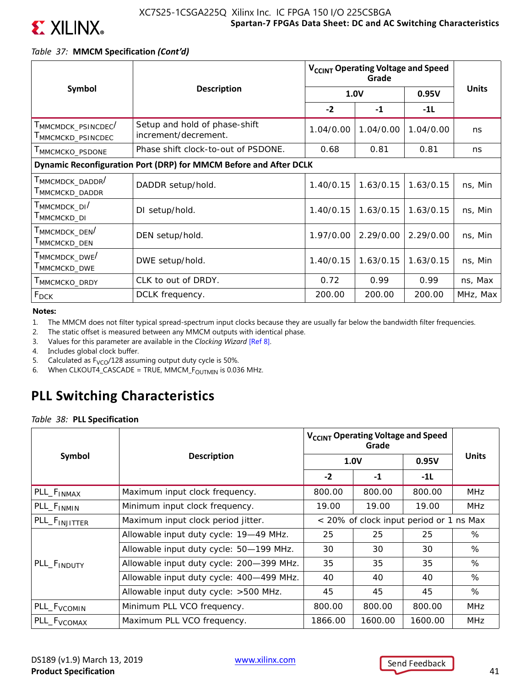![](_page_41_Picture_0.jpeg)

### *Table 37:* **MMCM Specification** *(Cont'd)*

|                                                                         |                                                                   | V <sub>CCINT</sub> Operating Voltage and Speed |           |           |              |  |
|-------------------------------------------------------------------------|-------------------------------------------------------------------|------------------------------------------------|-----------|-----------|--------------|--|
| Symbol                                                                  | <b>Description</b>                                                |                                                | 1.0V      | 0.95V     | <b>Units</b> |  |
|                                                                         |                                                                   | $-2$                                           | $-1$      | $-1L$     |              |  |
| MMCMDCK_PSINCDEC<br>MMCMCKD_PSINCDEC                                    | Setup and hold of phase-shift<br>increment/decrement.             | 1.04/0.00                                      | 1.04/0.00 | 1.04/0.00 | ns           |  |
| MMCMCKO_PSDONE                                                          | Phase shift clock-to-out of PSDONE.                               | 0.68                                           | 0.81      | 0.81      | ns           |  |
|                                                                         | Dynamic Reconfiguration Port (DRP) for MMCM Before and After DCLK |                                                |           |           |              |  |
| T <sub>MMCMDCK</sub> _DADDR <sup>/</sup><br>T <sub>MMCMCKD</sub> _DADDR | DADDR setup/hold.                                                 | 1.40/0.15                                      | 1.63/0.15 | 1.63/0.15 | ns, Min      |  |
| Т <sub>ММСМDСК_DI</sub> /<br>MMCMCKD_DI                                 | DI setup/hold.                                                    | 1.40/0.15                                      | 1.63/0.15 | 1.63/0.15 | ns, Min      |  |
| $\mathsf{T}_{\mathsf{MMCMDCK\_DEN}}/$<br>MMCMCKD_DEN                    | DEN setup/hold.                                                   | 1.97/0.00                                      | 2.29/0.00 | 2.29/0.00 | ns, Min      |  |
| $\mathsf{T}_{\mathsf{MMCMDCK\_DWE}}/$<br>MMCMCKD_DWE                    | DWE setup/hold.                                                   | 1.40/0.15                                      | 1.63/0.15 | 1.63/0.15 | ns, Min      |  |
| T <sub>MMCMCKO</sub> _DRDY                                              | CLK to out of DRDY.                                               | 0.72                                           | 0.99      | 0.99      | ns, Max      |  |
| $F_{DCK}$                                                               | DCLK frequency.                                                   | 200.00                                         | 200.00    | 200.00    | MHz, Max     |  |

**Notes:** 

- 1. The MMCM does not filter typical spread-spectrum input clocks because they are usually far below the bandwidth filter frequencies.
- 2. The static offset is measured between any MMCM outputs with identical phase.
- 3. Values for this parameter are available in the *Clocking Wizard* [Ref 8].
- 4. Includes global clock buffer.
- 5. Calculated as  $F_{VCO}/128$  assuming output duty cycle is 50%.
- 6. When CLKOUT4\_CASCADE = TRUE, MMCM\_ $F_{\text{OUTMIN}}$  is 0.036 MHz.

### **PLL Switching Characteristics**

*Table 38:* **PLL Specification**

|                           |                                          |         | V <sub>CCINT</sub> Operating Voltage and Speed<br>Grade |         |              |  |
|---------------------------|------------------------------------------|---------|---------------------------------------------------------|---------|--------------|--|
| Symbol                    | <b>Description</b>                       | 1.0V    |                                                         | 0.95V   | <b>Units</b> |  |
|                           |                                          | $-2$    | $-1$                                                    | $-1L$   |              |  |
| PLL_F <sub>INMAX</sub>    | Maximum input clock frequency.           | 800.00  | 800.00                                                  | 800.00  | <b>MHz</b>   |  |
| PLL_F <sub>INMIN</sub>    | Minimum input clock frequency.           | 19.00   | 19.00                                                   | 19.00   | <b>MHz</b>   |  |
| PLL_F <sub>INJITTER</sub> | Maximum input clock period jitter.       |         | < 20% of clock input period or 1 ns Max                 |         |              |  |
|                           | Allowable input duty cycle: 19-49 MHz.   | 25      | 25                                                      | 25      | %            |  |
|                           | Allowable input duty cycle: 50-199 MHz.  | 30      | 30                                                      | 30      | %            |  |
| PLL_F <sub>INDUTY</sub>   | Allowable input duty cycle: 200-399 MHz. | 35      | 35                                                      | 35      | %            |  |
|                           | Allowable input duty cycle: 400-499 MHz. | 40      | 40                                                      | 40      | %            |  |
|                           | Allowable input duty cycle: >500 MHz.    | 45      | 45                                                      | 45      | %            |  |
| PLL_F <sub>VCOMIN</sub>   | Minimum PLL VCO frequency.               | 800.00  | 800.00                                                  | 800.00  | <b>MHz</b>   |  |
| PLL_F <sub>VCOMAX</sub>   | Maximum PLL VCO frequency.               | 1866.00 | 1600.00                                                 | 1600.00 | <b>MHz</b>   |  |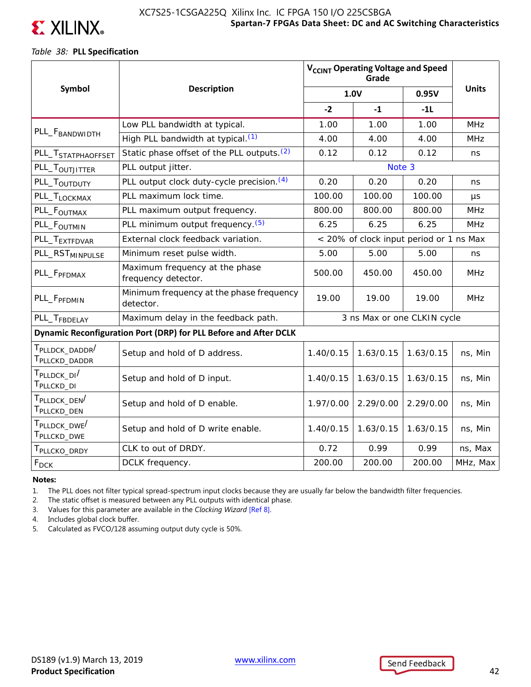![](_page_42_Picture_0.jpeg)

### **Spartan-7 FPGAs Data Sheet: DC and AC Switching Characteristics** XC7S25-1CSGA225Q Xilinx Inc. IC FPGA 150 I/O 225CSBGA

### *Table 38:* **PLL Specification**

|                                                                      |                                                                  | V <sub>CCINT</sub> Operating Voltage and Speed |           |                             |              |
|----------------------------------------------------------------------|------------------------------------------------------------------|------------------------------------------------|-----------|-----------------------------|--------------|
| Symbol                                                               | <b>Description</b>                                               |                                                | 1.0V      | 0.95V                       | <b>Units</b> |
|                                                                      |                                                                  | $-2$                                           | $-1$      | $-11$                       |              |
|                                                                      | Low PLL bandwidth at typical.                                    | 1.00                                           | 1.00      | 1.00                        | <b>MHz</b>   |
| PLL_F <sub>BANDWIDTH</sub>                                           | High PLL bandwidth at typical. (1)                               | 4.00                                           | 4.00      | 4.00                        | <b>MHz</b>   |
| PLL_T <sub>STATPHAOFFSET</sub>                                       | Static phase offset of the PLL outputs. <sup>(2)</sup>           | 0.12                                           | 0.12      | 0.12                        | ns           |
| PLL_T <sub>OUTJITTER</sub>                                           | PLL output jitter.                                               |                                                |           |                             |              |
| PLL_T <sub>OUTDUTY</sub>                                             | PLL output clock duty-cycle precision. (4)                       | 0.20                                           | 0.20      | 0.20                        | ns           |
| PLL_T <sub>LOCKMAX</sub>                                             | PLL maximum lock time.                                           | 100.00                                         | 100.00    | 100.00                      | μs           |
| PLL_F <sub>OUTMAX</sub>                                              | PLL maximum output frequency.                                    | 800.00                                         | 800.00    | 800.00                      | <b>MHz</b>   |
| PLL_F <sub>OUTMIN</sub>                                              | PLL minimum output frequency. (5)                                | 6.25                                           | 6.25      | 6.25                        | <b>MHz</b>   |
| PLL_T <sub>EXTFDVAR</sub>                                            | External clock feedback variation.                               | < 20% of clock input period or 1 ns Max        |           |                             |              |
| PLL_RST <sub>MINPULSE</sub>                                          | Minimum reset pulse width.                                       | 5.00                                           | 5.00      | 5.00                        | ns           |
| PLL_F <sub>PFDMAX</sub>                                              | Maximum frequency at the phase<br>frequency detector.            | 500.00                                         | 450.00    | 450.00                      | <b>MHz</b>   |
| PLL_F <sub>PFDMIN</sub>                                              | Minimum frequency at the phase frequency<br>detector.            | 19.00                                          | 19.00     | 19.00                       | <b>MHz</b>   |
| PLL_T <sub>FBDELAY</sub>                                             | Maximum delay in the feedback path.                              |                                                |           | 3 ns Max or one CLKIN cycle |              |
|                                                                      | Dynamic Reconfiguration Port (DRP) for PLL Before and After DCLK |                                                |           |                             |              |
| T <sub>PLLDCK</sub> DADDR <sup>/</sup><br>T <sub>PLLCKD</sub> _DADDR | Setup and hold of D address.                                     | 1.40/0.15                                      | 1.63/0.15 | 1.63/0.15                   | ns, Min      |
| T <sub>PLLDCK</sub> DI <sup>/</sup><br>T <sub>PLLCKD</sub> _DI       | Setup and hold of D input.                                       | 1.40/0.15                                      | 1.63/0.15 | 1.63/0.15                   | ns, Min      |
| T <sub>PLLDCK</sub> DEN <sup>/</sup><br>T <sub>PLLCKD</sub> _DEN     | Setup and hold of D enable.                                      | 1.97/0.00                                      | 2.29/0.00 | 2.29/0.00                   | ns, Min      |
| T <sub>PLLDCK</sub> _DWE <sup>/</sup><br>T <sub>PLLCKD</sub> _DWE    | Setup and hold of D write enable.                                | 1.40/0.15                                      | 1.63/0.15 | 1.63/0.15                   | ns, Min      |
| T <sub>PLLCKO</sub> _DRDY                                            | CLK to out of DRDY.                                              | 0.72                                           | 0.99      | 0.99                        | ns, Max      |
| $F_{DCK}$                                                            | DCLK frequency.                                                  | 200.00                                         | 200.00    | 200.00                      | MHz, Max     |

#### **Notes:**

1. The PLL does not filter typical spread-spectrum input clocks because they are usually far below the bandwidth filter frequencies.

2. The static offset is measured between any PLL outputs with identical phase.

3. Values for this parameter are available in the *Clocking Wizard* [Ref 8].

4. Includes global clock buffer.

5. Calculated as FVCO/128 assuming output duty cycle is 50%.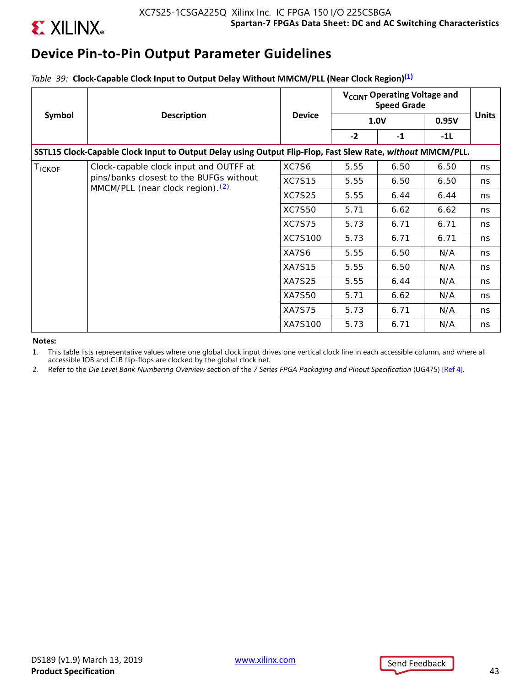![](_page_43_Picture_0.jpeg)

### **Device Pin-to-Pin Output Parameter Guidelines**

*Table 39:* **Clock-Capable Clock Input to Output Delay Without MMCM/PLL (Near Clock Region)(1)**

|                    |                                                                                                            |               | V <sub>CCINT</sub> Operating Voltage and<br><b>Speed Grade</b> |             |       |              |
|--------------------|------------------------------------------------------------------------------------------------------------|---------------|----------------------------------------------------------------|-------------|-------|--------------|
| Symbol             | <b>Description</b>                                                                                         | <b>Device</b> |                                                                | <b>1.0V</b> | 0.95V | <b>Units</b> |
|                    |                                                                                                            |               | $-2$                                                           | $-1$        | -1L   |              |
|                    | SSTL15 Clock-Capable Clock Input to Output Delay using Output Flip-Flop, Fast Slew Rate, without MMCM/PLL. |               |                                                                |             |       |              |
| T <sub>ICKOF</sub> | Clock-capable clock input and OUTFF at                                                                     | XC7S6         | 5.55                                                           | 6.50        | 6.50  | ns           |
|                    | pins/banks closest to the BUFGs without<br>MMCM/PLL (near clock region). <sup>(2)</sup>                    | <b>XC7S15</b> | 5.55                                                           | 6.50        | 6.50  | ns           |
|                    |                                                                                                            | <b>XC7S25</b> | 5.55                                                           | 6.44        | 6.44  | ns           |
|                    |                                                                                                            | <b>XC7S50</b> | 5.71                                                           | 6.62        | 6.62  | ns           |
|                    |                                                                                                            | <b>XC7S75</b> | 5.73                                                           | 6.71        | 6.71  | ns           |
|                    |                                                                                                            | XC7S100       | 5.73                                                           | 6.71        | 6.71  | ns           |
|                    |                                                                                                            | XA7S6         | 5.55                                                           | 6.50        | N/A   | ns           |
|                    |                                                                                                            | <b>XA7S15</b> | 5.55                                                           | 6.50        | N/A   | ns           |
|                    |                                                                                                            | <b>XA7S25</b> | 5.55                                                           | 6.44        | N/A   | ns           |
|                    |                                                                                                            | <b>XA7S50</b> | 5.71                                                           | 6.62        | N/A   | ns           |
|                    |                                                                                                            | <b>XA7S75</b> | 5.73                                                           | 6.71        | N/A   | ns           |
|                    |                                                                                                            | XA7S100       | 5.73                                                           | 6.71        | N/A   | ns           |

#### **Notes:**

1. This table lists representative values where one global clock input drives one vertical clock line in each accessible column, and where all accessible IOB and CLB flip-flops are clocked by the global clock net.

2. Refer to the *Die Level Bank Numbering Overview* section of the *7 Series FPGA Packaging and Pinout Specification* (UG475) [Ref 4].

![](_page_43_Picture_9.jpeg)

![](_page_43_Picture_10.jpeg)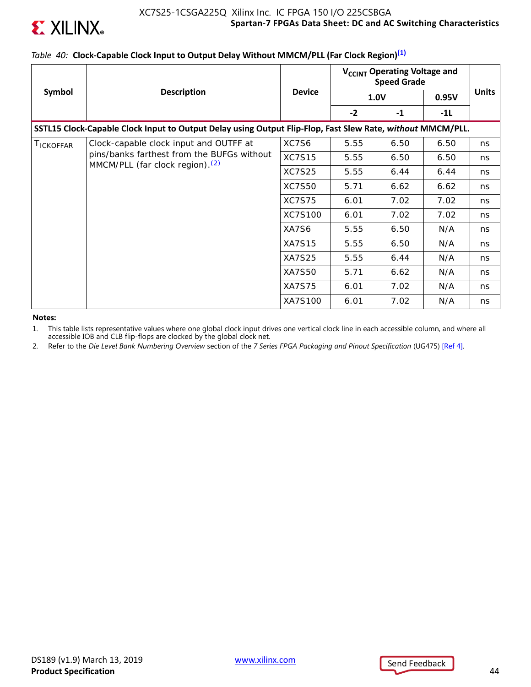![](_page_44_Picture_1.jpeg)

### *Table 40:* **Clock-Capable Clock Input to Output Delay Without MMCM/PLL (Far Clock Region)(1)**

|                   |                                                                                                            |               | V <sub>CCINT</sub> Operating Voltage and<br><b>Speed Grade</b> |             |       |              |
|-------------------|------------------------------------------------------------------------------------------------------------|---------------|----------------------------------------------------------------|-------------|-------|--------------|
| Symbol            | <b>Description</b>                                                                                         | <b>Device</b> |                                                                | <b>1.0V</b> | 0.95V | <b>Units</b> |
|                   |                                                                                                            |               | $-2$                                                           | $-1$        | -1L   |              |
|                   | SSTL15 Clock-Capable Clock Input to Output Delay using Output Flip-Flop, Fast Slew Rate, without MMCM/PLL. |               |                                                                |             |       |              |
| <b>I</b> ICKOFFAR | Clock-capable clock input and OUTFF at                                                                     | XC7S6         | 5.55                                                           | 6.50        | 6.50  | ns           |
|                   | pins/banks farthest from the BUFGs without<br>MMCM/PLL (far clock region). <sup>(2)</sup>                  | <b>XC7S15</b> | 5.55                                                           | 6.50        | 6.50  | ns           |
|                   |                                                                                                            | <b>XC7S25</b> | 5.55                                                           | 6.44        | 6.44  | ns           |
|                   |                                                                                                            | <b>XC7S50</b> | 5.71                                                           | 6.62        | 6.62  | ns           |
|                   |                                                                                                            | <b>XC7S75</b> | 6.01                                                           | 7.02        | 7.02  | ns           |
|                   |                                                                                                            | XC7S100       | 6.01                                                           | 7.02        | 7.02  | ns           |
|                   |                                                                                                            | XA7S6         | 5.55                                                           | 6.50        | N/A   | ns           |
|                   |                                                                                                            | <b>XA7S15</b> | 5.55                                                           | 6.50        | N/A   | ns           |
|                   |                                                                                                            | <b>XA7S25</b> | 5.55                                                           | 6.44        | N/A   | ns           |
|                   |                                                                                                            | <b>XA7S50</b> | 5.71                                                           | 6.62        | N/A   | ns           |
|                   |                                                                                                            | <b>XA7S75</b> | 6.01                                                           | 7.02        | N/A   | ns           |
|                   |                                                                                                            | XA7S100       | 6.01                                                           | 7.02        | N/A   | ns           |

#### **Notes:**

1. This table lists representative values where one global clock input drives one vertical clock line in each accessible column, and where all accessible IOB and CLB flip-flops are clocked by the global clock net.

2. Refer to the *Die Level Bank Numbering Overview* section of the *7 Series FPGA Packaging and Pinout Specification* (UG475) [Ref 4].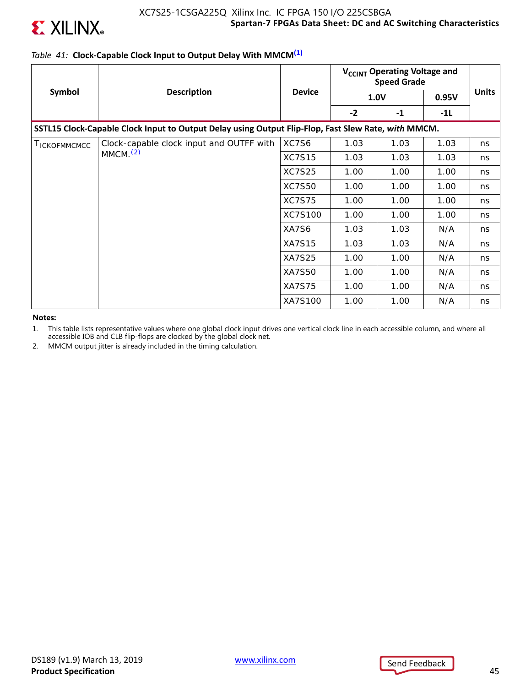![](_page_45_Picture_0.jpeg)

![](_page_45_Picture_1.jpeg)

|                                                                                                     |                                          |               | V <sub>CCINT</sub> Operating Voltage and<br><b>Speed Grade</b> |             |       |              |  |  |
|-----------------------------------------------------------------------------------------------------|------------------------------------------|---------------|----------------------------------------------------------------|-------------|-------|--------------|--|--|
| Symbol                                                                                              | <b>Description</b>                       | <b>Device</b> |                                                                | <b>1.0V</b> | 0.95V | <b>Units</b> |  |  |
|                                                                                                     |                                          |               | $-2$                                                           | $-1$        | $-1L$ |              |  |  |
| SSTL15 Clock-Capable Clock Input to Output Delay using Output Flip-Flop, Fast Slew Rate, with MMCM. |                                          |               |                                                                |             |       |              |  |  |
| TICKOFMMCMCC                                                                                        | Clock-capable clock input and OUTFF with | XC7S6         | 1.03                                                           | 1.03        | 1.03  | ns           |  |  |
|                                                                                                     | MMCM <sub>1</sub> (2)                    | <b>XC7S15</b> | 1.03                                                           | 1.03        | 1.03  | ns           |  |  |
|                                                                                                     |                                          | <b>XC7S25</b> | 1.00                                                           | 1.00        | 1.00  | ns           |  |  |
|                                                                                                     |                                          | <b>XC7S50</b> | 1.00                                                           | 1.00        | 1.00  | ns           |  |  |
|                                                                                                     |                                          | <b>XC7S75</b> | 1.00                                                           | 1.00        | 1.00  | ns           |  |  |
|                                                                                                     |                                          | XC7S100       | 1.00                                                           | 1.00        | 1.00  | ns           |  |  |
|                                                                                                     |                                          | XA7S6         | 1.03                                                           | 1.03        | N/A   | ns           |  |  |
|                                                                                                     |                                          | <b>XA7S15</b> | 1.03                                                           | 1.03        | N/A   | ns           |  |  |
|                                                                                                     |                                          | XA7S25        | 1.00                                                           | 1.00        | N/A   | ns           |  |  |
|                                                                                                     |                                          | <b>XA7S50</b> | 1.00                                                           | 1.00        | N/A   | ns           |  |  |
|                                                                                                     |                                          | <b>XA7S75</b> | 1.00                                                           | 1.00        | N/A   | ns           |  |  |
|                                                                                                     |                                          | XA7S100       | 1.00                                                           | 1.00        | N/A   | ns           |  |  |

#### **Notes:**

**EXILINX** 

1. This table lists representative values where one global clock input drives one vertical clock line in each accessible column, and where all accessible IOB and CLB flip-flops are clocked by the global clock net.

2. MMCM output jitter is already included in the timing calculation.

![](_page_45_Picture_8.jpeg)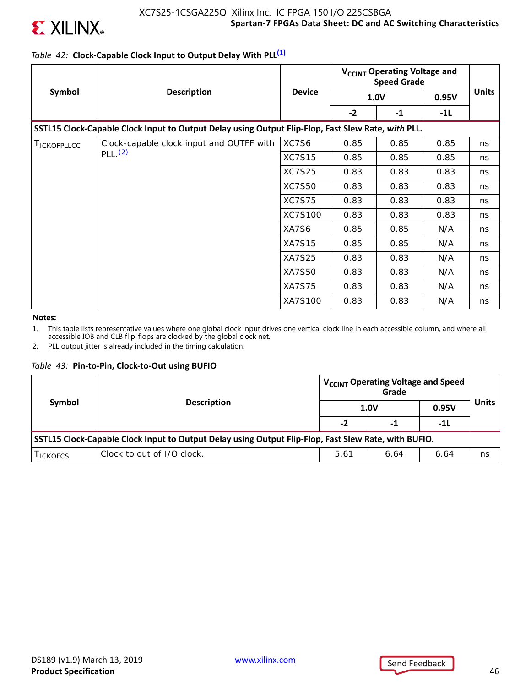![](_page_46_Picture_0.jpeg)

![](_page_46_Picture_1.jpeg)

|                                                                                                    | <b>Description</b>                       |               | V <sub>CCINT</sub> Operating Voltage and<br><b>Speed Grade</b> |      |       |              |  |  |
|----------------------------------------------------------------------------------------------------|------------------------------------------|---------------|----------------------------------------------------------------|------|-------|--------------|--|--|
| Symbol                                                                                             |                                          | <b>Device</b> | <b>1.0V</b>                                                    |      | 0.95V | <b>Units</b> |  |  |
|                                                                                                    |                                          |               | $-2$                                                           | $-1$ | $-11$ |              |  |  |
| SSTL15 Clock-Capable Clock Input to Output Delay using Output Flip-Flop, Fast Slew Rate, with PLL. |                                          |               |                                                                |      |       |              |  |  |
| <b>TICKOFPLLCC</b>                                                                                 | Clock-capable clock input and OUTFF with | XC7S6         | 0.85                                                           | 0.85 | 0.85  | ns           |  |  |
|                                                                                                    | PLL.(2)                                  | <b>XC7S15</b> | 0.85                                                           | 0.85 | 0.85  | ns           |  |  |
|                                                                                                    |                                          | <b>XC7S25</b> | 0.83                                                           | 0.83 | 0.83  | ns           |  |  |
|                                                                                                    |                                          | <b>XC7S50</b> | 0.83                                                           | 0.83 | 0.83  | ns           |  |  |
|                                                                                                    |                                          | <b>XC7S75</b> | 0.83                                                           | 0.83 | 0.83  | ns           |  |  |
|                                                                                                    |                                          | XC7S100       | 0.83                                                           | 0.83 | 0.83  | ns           |  |  |
|                                                                                                    |                                          | XA7S6         | 0.85                                                           | 0.85 | N/A   | ns           |  |  |
|                                                                                                    |                                          | <b>XA7S15</b> | 0.85                                                           | 0.85 | N/A   | ns           |  |  |
|                                                                                                    |                                          | <b>XA7S25</b> | 0.83                                                           | 0.83 | N/A   | ns           |  |  |
|                                                                                                    |                                          | <b>XA7S50</b> | 0.83                                                           | 0.83 | N/A   | ns           |  |  |
|                                                                                                    |                                          | <b>XA7S75</b> | 0.83                                                           | 0.83 | N/A   | ns           |  |  |
|                                                                                                    |                                          | XA7S100       | 0.83                                                           | 0.83 | N/A   | ns           |  |  |

#### **Notes:**

**EX XILINX** 

1. This table lists representative values where one global clock input drives one vertical clock line in each accessible column, and where all accessible IOB and CLB flip-flops are clocked by the global clock net.

2. PLL output jitter is already included in the timing calculation.

#### *Table 43:* **Pin-to-Pin, Clock-to-Out using BUFIO**

| Symbol         | <b>Description</b>                                                                                   | V <sub>CCINT</sub> Operating Voltage and Speed<br><b>1.0V</b> | Units |      |    |
|----------------|------------------------------------------------------------------------------------------------------|---------------------------------------------------------------|-------|------|----|
|                |                                                                                                      | $-2$                                                          | -1    | -11  |    |
|                | SSTL15 Clock-Capable Clock Input to Output Delay using Output Flip-Flop, Fast Slew Rate, with BUFIO. |                                                               |       |      |    |
| <b>ICKOFCS</b> | Clock to out of I/O clock.                                                                           | 5.61                                                          | 6.64  | 6.64 | ns |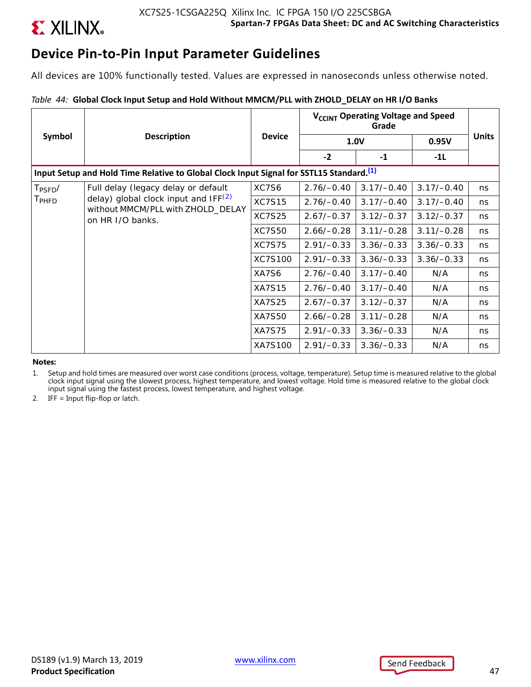![](_page_47_Picture_0.jpeg)

### **Device Pin-to-Pin Input Parameter Guidelines**

All devices are 100% functionally tested. Values are expressed in nanoseconds unless otherwise noted.

### *Table 44:* **Global Clock Input Setup and Hold Without MMCM/PLL with ZHOLD\_DELAY on HR I/O Banks**

|                                                                                                     |                                                                                                |                |              | V <sub>CCINT</sub> Operating Voltage and Speed<br>Grade |              |              |  |  |
|-----------------------------------------------------------------------------------------------------|------------------------------------------------------------------------------------------------|----------------|--------------|---------------------------------------------------------|--------------|--------------|--|--|
| Symbol                                                                                              | <b>Description</b>                                                                             | <b>Device</b>  |              | 1.0V                                                    | 0.95V        | <b>Units</b> |  |  |
|                                                                                                     |                                                                                                |                | $-2$         | $-1$                                                    | $-11$        |              |  |  |
| Input Setup and Hold Time Relative to Global Clock Input Signal for SSTL15 Standard. <sup>(1)</sup> |                                                                                                |                |              |                                                         |              |              |  |  |
| $T_{\mathsf{PSFD}}/$                                                                                | Full delay (legacy delay or default                                                            | XC7S6          | $2.76/-0.40$ | $3.17/-0.40$                                            | $3.17/-0.40$ | ns           |  |  |
| T <sub>PHFD</sub>                                                                                   | delay) global clock input and $IF(2)$<br>without MMCM/PLL with ZHOLD_DELAY<br>on HR I/O banks. | <b>XC7S15</b>  | $2.76/-0.40$ | $3.17/-0.40$                                            | $3.17/-0.40$ | ns           |  |  |
|                                                                                                     |                                                                                                | <b>XC7S25</b>  | $2.67/-0.37$ | $3.12/-0.37$                                            | $3.12/-0.37$ | ns           |  |  |
|                                                                                                     |                                                                                                | <b>XC7S50</b>  | $2.66/-0.28$ | $3.11/-0.28$                                            | $3.11/-0.28$ | ns           |  |  |
|                                                                                                     |                                                                                                | <b>XC7S75</b>  | $2.91/-0.33$ | $3.36/-0.33$                                            | $3.36/-0.33$ | ns.          |  |  |
|                                                                                                     |                                                                                                | <b>XC7S100</b> | $2.91/-0.33$ | $3.36/-0.33$                                            | $3.36/-0.33$ | ns           |  |  |
|                                                                                                     |                                                                                                | XA7S6          | $2.76/-0.40$ | $3.17/-0.40$                                            | N/A          | ns           |  |  |
|                                                                                                     |                                                                                                | <b>XA7S15</b>  | $2.76/-0.40$ | $3.17/-0.40$                                            | N/A          | ns.          |  |  |
|                                                                                                     |                                                                                                | <b>XA7S25</b>  | $2.67/-0.37$ | $3.12/-0.37$                                            | N/A          | ns           |  |  |
|                                                                                                     |                                                                                                | XA7S50         | $2.66/-0.28$ | $3.11/-0.28$                                            | N/A          | ns           |  |  |
|                                                                                                     |                                                                                                | <b>XA7S75</b>  | $2.91/-0.33$ | $3.36/-0.33$                                            | N/A          | ns           |  |  |
|                                                                                                     |                                                                                                | XA7S100        | $2.91/-0.33$ | $3.36/-0.33$                                            | N/A          | ns           |  |  |

**Notes:** 

1. Setup and hold times are measured over worst case conditions (process, voltage, temperature). Setup time is measured relative to the global clock input signal using the slowest process, highest temperature, and lowest voltage. Hold time is measured relative to the global clock input signal using the fastest process, lowest temperature, and highest voltage.

2. IFF = Input flip-flop or latch.

![](_page_47_Picture_10.jpeg)

![](_page_47_Picture_11.jpeg)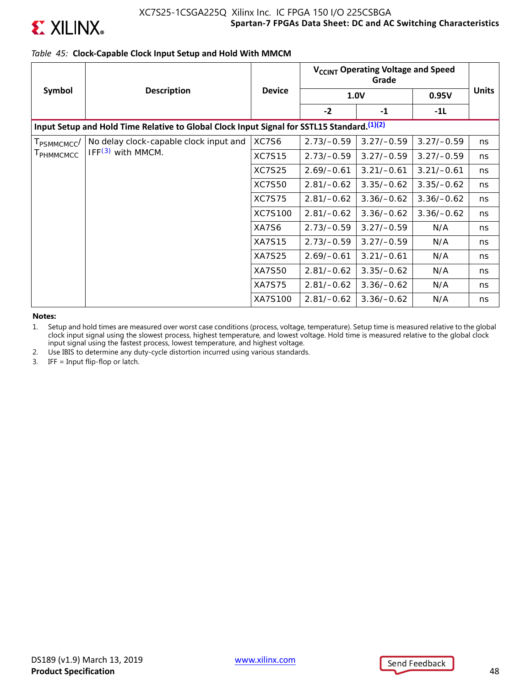![](_page_48_Picture_0.jpeg)

# **EX XILINX**

*Table 45:* **Clock-Capable Clock Input Setup and Hold With MMCM**

|                         |                                                                                             |               | V <sub>CCINT</sub> Operating Voltage and Speed |              |              |              |
|-------------------------|---------------------------------------------------------------------------------------------|---------------|------------------------------------------------|--------------|--------------|--------------|
| Symbol                  | <b>Description</b>                                                                          | <b>Device</b> |                                                | 1.0V         | 0.95V        | <b>Units</b> |
|                         |                                                                                             |               | $-2$                                           | $-1$         | $-1L$        |              |
|                         | Input Setup and Hold Time Relative to Global Clock Input Signal for SSTL15 Standard. (1)(2) |               |                                                |              |              |              |
| T <sub>PSMMCMCC</sub> / | No delay clock-capable clock input and                                                      | XC7S6         | $2.73/-0.59$                                   | $3.27/-0.59$ | $3.27/-0.59$ | ns           |
| <b>I</b> PHMMCMCC       | $IFF(3)$ with MMCM.                                                                         | <b>XC7S15</b> | $2.73/-0.59$                                   | $3.27/-0.59$ | $3.27/-0.59$ | ns           |
|                         |                                                                                             | <b>XC7S25</b> | $2.69/-0.61$                                   | $3.21/-0.61$ | $3.21/-0.61$ | ns           |
|                         |                                                                                             | <b>XC7S50</b> | $2.81/-0.62$                                   | $3.35/-0.62$ | $3.35/-0.62$ | ns           |
|                         |                                                                                             | <b>XC7S75</b> | $2.81/-0.62$                                   | $3.36/-0.62$ | $3.36/-0.62$ | ns           |
|                         |                                                                                             | XC7S100       | $2.81/-0.62$                                   | $3.36/-0.62$ | $3.36/-0.62$ | ns           |
|                         |                                                                                             | XA7S6         | $2.73/-0.59$                                   | $3.27/-0.59$ | N/A          | ns           |
|                         |                                                                                             | <b>XA7S15</b> | $2.73/-0.59$                                   | $3.27/-0.59$ | N/A          | ns           |
|                         |                                                                                             | <b>XA7S25</b> | $2.69/-0.61$                                   | $3.21/-0.61$ | N/A          | ns           |
|                         |                                                                                             | XA7S50        | $2.81/-0.62$                                   | $3.35/-0.62$ | N/A          | ns           |
|                         |                                                                                             | <b>XA7S75</b> | $2.81/-0.62$                                   | $3.36/-0.62$ | N/A          | ns           |
|                         |                                                                                             | XA7S100       | $2.81/-0.62$                                   | $3.36/-0.62$ | N/A          | ns           |

**Notes:** 

1. Setup and hold times are measured over worst case conditions (process, voltage, temperature). Setup time is measured relative to the global clock input signal using the slowest process, highest temperature, and lowest voltage. Hold time is measured relative to the global clock input signal using the fastest process, lowest temperature, and highest voltage.

2. Use IBIS to determine any duty-cycle distortion incurred using various standards.

3. IFF = Input flip-flop or latch.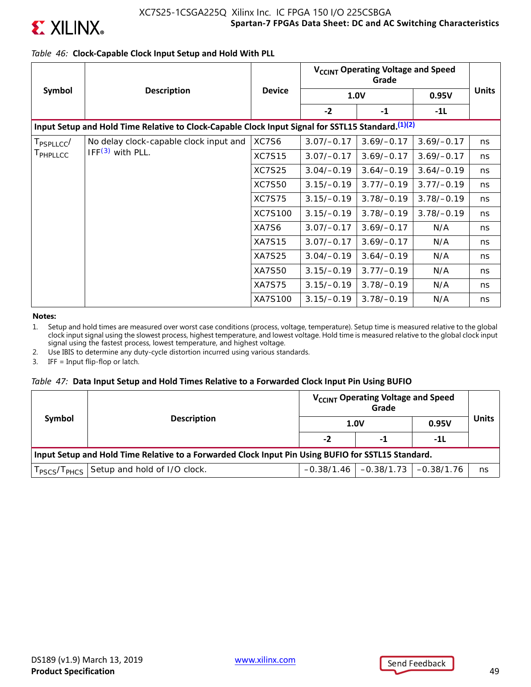![](_page_49_Picture_0.jpeg)

### *Table 46:* **Clock-Capable Clock Input Setup and Hold With PLL**

|                                                                                                    |                                        |               | V <sub>CCINT</sub> Operating Voltage and Speed |              |              |              |  |
|----------------------------------------------------------------------------------------------------|----------------------------------------|---------------|------------------------------------------------|--------------|--------------|--------------|--|
| Symbol                                                                                             | <b>Description</b>                     | <b>Device</b> |                                                | 1.0V         | 0.95V        | <b>Units</b> |  |
|                                                                                                    |                                        |               | $-2$                                           | $-1$         | $-11$        |              |  |
| Input Setup and Hold Time Relative to Clock-Capable Clock Input Signal for SSTL15 Standard. (1)(2) |                                        |               |                                                |              |              |              |  |
| T <sub>PSPLLCC</sub> /                                                                             | No delay clock-capable clock input and | XC7S6         | $3.07/-0.17$                                   | $3.69/-0.17$ | $3.69/-0.17$ | ns           |  |
| T <sub>PHPLLCC</sub>                                                                               | $IFF(3)$ with PLL.                     | <b>XC7S15</b> | $3.07/-0.17$                                   | $3.69/-0.17$ | $3.69/-0.17$ | ns           |  |
|                                                                                                    |                                        | <b>XC7S25</b> | $3.04/-0.19$                                   | $3.64/-0.19$ | $3.64/-0.19$ | ns           |  |
|                                                                                                    |                                        | <b>XC7S50</b> | $3.15/-0.19$                                   | $3.77/-0.19$ | $3.77/-0.19$ | ns           |  |
|                                                                                                    |                                        | <b>XC7S75</b> | $3.15/-0.19$                                   | $3.78/-0.19$ | $3.78/-0.19$ | ns           |  |
|                                                                                                    |                                        | XC7S100       | $3.15/-0.19$                                   | $3.78/-0.19$ | $3.78/-0.19$ | ns           |  |
|                                                                                                    |                                        | XA7S6         | $3.07/-0.17$                                   | $3.69/-0.17$ | N/A          | ns           |  |
|                                                                                                    |                                        | <b>XA7S15</b> | $3.07/-0.17$                                   | $3.69/-0.17$ | N/A          | ns           |  |
|                                                                                                    |                                        | XA7S25        | $3.04/-0.19$                                   | $3.64/-0.19$ | N/A          | ns           |  |
|                                                                                                    |                                        | XA7S50        | $3.15/-0.19$                                   | $3.77/-0.19$ | N/A          | ns           |  |
|                                                                                                    |                                        | <b>XA7S75</b> | $3.15/-0.19$                                   | $3.78/-0.19$ | N/A          | ns           |  |
|                                                                                                    |                                        | XA7S100       | $3.15/-0.19$                                   | $3.78/-0.19$ | N/A          | ns           |  |

**Notes:** 

1. Setup and hold times are measured over worst case conditions (process, voltage, temperature). Setup time is measured relative to the global clock input signal using the slowest process, highest temperature, and lowest voltage. Hold time is measured relative to the global clock input signal using the fastest process, lowest temperature, and highest voltage.

2. Use IBIS to determine any duty-cycle distortion incurred using various standards.

3. IFF = Input flip-flop or latch.

### *Table 47:* **Data Input Setup and Hold Times Relative to a Forwarded Clock Input Pin Using BUFIO**

|                                                                                                    |                                                                   |    | V <sub>CCINT</sub> Operating Voltage and Speed |       |              |  |  |
|----------------------------------------------------------------------------------------------------|-------------------------------------------------------------------|----|------------------------------------------------|-------|--------------|--|--|
| Symbol                                                                                             | <b>Description</b>                                                |    | 1.0V                                           | 0.95V | <b>Units</b> |  |  |
|                                                                                                    |                                                                   | -2 | -1                                             | -1L   |              |  |  |
| Input Setup and Hold Time Relative to a Forwarded Clock Input Pin Using BUFIO for SSTL15 Standard. |                                                                   |    |                                                |       |              |  |  |
|                                                                                                    | T <sub>PSCS</sub> /T <sub>PHCS</sub> Setup and hold of I/O clock. |    | $-0.38/1.46$ $-0.38/1.73$ $-0.38/1.76$         |       | ns           |  |  |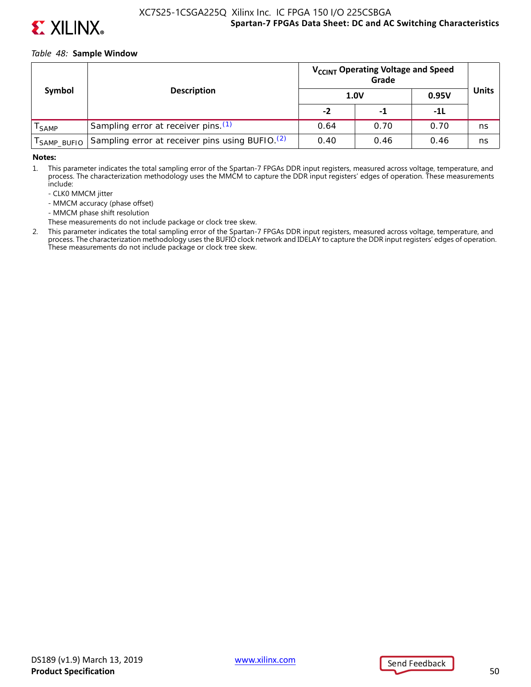![](_page_50_Picture_0.jpeg)

![](_page_50_Picture_1.jpeg)

#### *Table 48:* **Sample Window**

|                   |                                                                                     | V <sub>CCINT</sub> Operating Voltage and Speed |      |       |       |
|-------------------|-------------------------------------------------------------------------------------|------------------------------------------------|------|-------|-------|
| Symbol            | <b>Description</b>                                                                  | 1.0V                                           |      | 0.95V | Units |
|                   |                                                                                     | -2                                             | -1   | -11   |       |
| <sup>I</sup> SAMP | Sampling error at receiver pins. (1)                                                | 0.64                                           | 0.70 | 0.70  | ns    |
|                   | T <sub>SAMP_BUFIO</sub> Sampling error at receiver pins using BUFIO. <sup>(2)</sup> | 0.40                                           | 0.46 | 0.46  | ns    |

#### **Notes:**

1. This parameter indicates the total sampling error of the Spartan-7 FPGAs DDR input registers, measured across voltage, temperature, and process. The characterization methodology uses the MMCM to capture the DDR input registers' edges of operation. These measurements include:

- CLK0 MMCM jitter
- MMCM accuracy (phase offset)
- MMCM phase shift resolution
- These measurements do not include package or clock tree skew.
- 2. This parameter indicates the total sampling error of the Spartan-7 FPGAs DDR input registers, measured across voltage, temperature, and process. The characterization methodology uses the BUFIO clock network and IDELAY to capture the DDR input registers' edges of operation. These measurements do not include package or clock tree skew.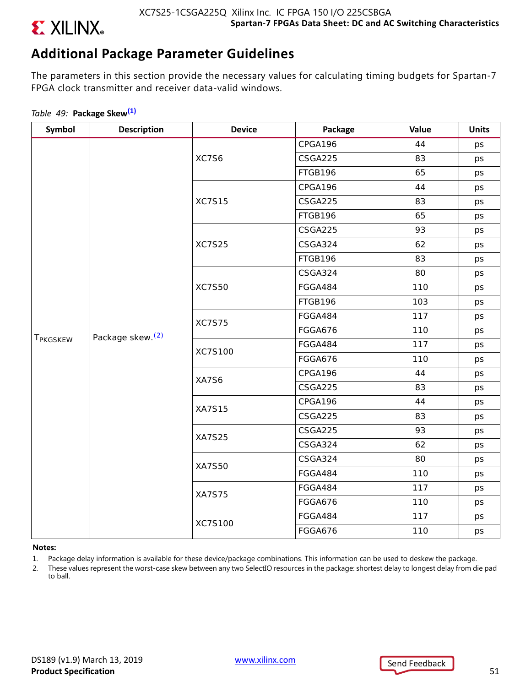![](_page_51_Picture_0.jpeg)

### **Additional Package Parameter Guidelines**

The parameters in this section provide the necessary values for calculating timing budgets for Spartan-7 FPGA clock transmitter and receiver data-valid windows.

### *Table 49:* **Package Skew(1)**

| Symbol               | <b>Description</b>           | <b>Device</b> | Package        | Value | <b>Units</b> |
|----------------------|------------------------------|---------------|----------------|-------|--------------|
|                      |                              |               | CPGA196        | 44    | ps           |
|                      |                              | XC7S6         | CSGA225        | 83    | ps           |
|                      |                              |               | FTGB196        | 65    | ps           |
|                      |                              |               | CPGA196        | 44    | ps           |
|                      |                              | <b>XC7S15</b> | CSGA225        | 83    | ps           |
|                      |                              |               | FTGB196        | 65    | ps           |
|                      |                              |               | CSGA225        | 93    | ps           |
|                      |                              | <b>XC7S25</b> | CSGA324        | 62    | ps           |
|                      |                              |               | FTGB196        | 83    | ps           |
|                      |                              |               | CSGA324        | 80    | ps           |
|                      | Package skew. <sup>(2)</sup> | <b>XC7S50</b> | FGGA484        | 110   | ps           |
|                      |                              |               | FTGB196        | 103   | ps           |
|                      |                              | <b>XC7S75</b> | FGGA484        | 117   | ps           |
|                      |                              |               | FGGA676        | 110   | ps           |
| T <sub>PKGSKEW</sub> |                              | XC7S100       | FGGA484        | 117   | ps           |
|                      |                              |               | <b>FGGA676</b> | 110   | ps           |
|                      |                              | XA7S6         | CPGA196        | 44    | ps           |
|                      |                              |               | CSGA225        | 83    | ps           |
|                      |                              | <b>XA7S15</b> | CPGA196        | 44    | ps           |
|                      |                              |               | CSGA225        | 83    | ps           |
|                      |                              | <b>XA7S25</b> | CSGA225        | 93    | ps           |
|                      |                              |               | CSGA324        | 62    | ps           |
|                      |                              | <b>XA7S50</b> | CSGA324        | 80    | ps           |
|                      |                              |               | FGGA484        | 110   | ps           |
|                      |                              | <b>XA7S75</b> | FGGA484        | 117   | ps           |
|                      |                              |               | FGGA676        | 110   | ps           |
|                      |                              | XC7S100       | FGGA484        | 117   | ps           |
|                      |                              |               | <b>FGGA676</b> | 110   | ps           |

#### **Notes:**

- 1. Package delay information is available for these device/package combinations. This information can be used to deskew the package.
- 2. These values represent the worst-case skew between any two SelectIO resources in the package: shortest delay to longest delay from die pad to ball.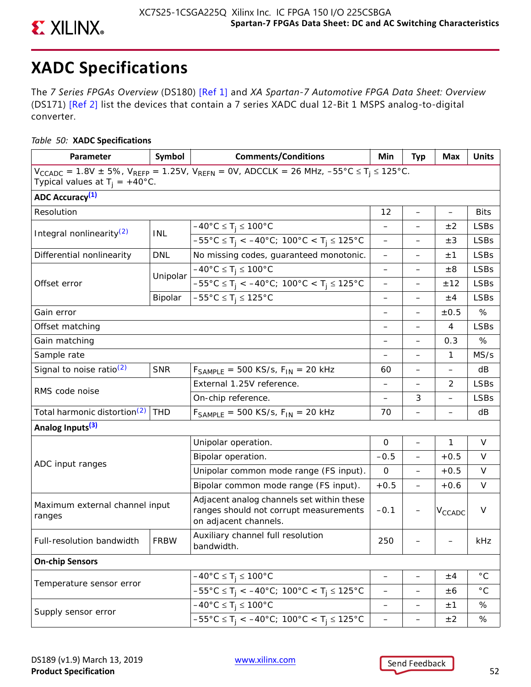# **XADC Specifications**

The *7 Series FPGAs Overview* (DS180) [Ref 1] and *XA Spartan-7 Automotive FPGA Data Sheet: Overview* (DS171) [Ref 2] list the devices that contain a 7 series XADC dual 12-Bit 1 MSPS analog-to-digital converter.

### *Table 50:* **XADC Specifications**

| Parameter                                                                                                                                                                  | Symbol      | <b>Comments/Conditions</b>                                                                                                 | Min                      | <b>Typ</b>               | Max                | <b>Units</b> |
|----------------------------------------------------------------------------------------------------------------------------------------------------------------------------|-------------|----------------------------------------------------------------------------------------------------------------------------|--------------------------|--------------------------|--------------------|--------------|
| $V_{CCADC} = 1.8V \pm 5\%$ , $V_{REFP} = 1.25V$ , $V_{REFN} = 0V$ , ADCCLK = 26 MHz, $-55^{\circ}C \le T_i \le 125^{\circ}C$ .<br>Typical values at $T_i = +40^{\circ}C$ . |             |                                                                                                                            |                          |                          |                    |              |
| <b>ADC Accuracy</b> <sup>(1)</sup>                                                                                                                                         |             |                                                                                                                            |                          |                          |                    |              |
| Resolution                                                                                                                                                                 | 12          | $\overline{\phantom{0}}$                                                                                                   | $\overline{\phantom{0}}$ | <b>Bits</b>              |                    |              |
|                                                                                                                                                                            | <b>INL</b>  | $-40^{\circ}$ C $\leq T_i \leq 100^{\circ}$ C                                                                              | $\overline{\phantom{0}}$ |                          | ±2                 | <b>LSBs</b>  |
| Integral nonlinearity <sup>(2)</sup>                                                                                                                                       |             | $-55^{\circ}$ C $\leq$ T <sub>j</sub> < $-40^{\circ}$ C; 100°C < T <sub>j</sub> $\leq$ 125°C                               | $\qquad \qquad -$        |                          | $\pm 3$            | <b>LSBs</b>  |
| Differential nonlinearity                                                                                                                                                  | <b>DNL</b>  | No missing codes, guaranteed monotonic.                                                                                    | $\overline{\phantom{0}}$ |                          | ±1                 | <b>LSBs</b>  |
|                                                                                                                                                                            |             | $-40^{\circ}$ C $\leq T_i \leq 100^{\circ}$ C                                                                              | $\overline{\phantom{0}}$ |                          | $\pm 8$            | <b>LSBs</b>  |
| Offset error                                                                                                                                                               | Unipolar    | $-55^{\circ}$ C $\leq T_i < -40^{\circ}$ C; 100°C $\lt T_i \leq 125^{\circ}$ C                                             | $\overline{\phantom{0}}$ | —                        | ±12                | <b>LSBs</b>  |
|                                                                                                                                                                            | Bipolar     | $-55^{\circ}$ C $\leq$ T <sub>i</sub> $\leq$ 125°C                                                                         | —                        |                          | ±4                 | <b>LSBs</b>  |
| Gain error                                                                                                                                                                 |             |                                                                                                                            |                          |                          | ±0.5               | %            |
| Offset matching                                                                                                                                                            |             |                                                                                                                            | —                        | —                        | 4                  | <b>LSBs</b>  |
| Gain matching                                                                                                                                                              |             |                                                                                                                            | —                        | $\overline{\phantom{0}}$ | 0.3                | ℅            |
| Sample rate                                                                                                                                                                |             |                                                                                                                            |                          |                          | $\mathbf 1$        | MS/s         |
| Signal to noise ratio $(2)$                                                                                                                                                | <b>SNR</b>  | $F_{SAMPLE}$ = 500 KS/s, $F_{IN}$ = 20 kHz                                                                                 | 60                       |                          |                    | dB           |
| RMS code noise                                                                                                                                                             |             | External 1.25V reference.                                                                                                  | $\overline{\phantom{0}}$ |                          | 2                  | <b>LSBs</b>  |
|                                                                                                                                                                            |             | On-chip reference.                                                                                                         | $\overline{\phantom{0}}$ | 3                        |                    | <b>LSBs</b>  |
| Total harmonic distortion <sup>(2)</sup>                                                                                                                                   | <b>THD</b>  | $F_{SAMPLE}$ = 500 KS/s, $F_{IN}$ = 20 kHz                                                                                 | 70                       |                          |                    | dB           |
| Analog Inputs <sup>(3)</sup>                                                                                                                                               |             |                                                                                                                            |                          |                          |                    |              |
|                                                                                                                                                                            |             | Unipolar operation.                                                                                                        | $\mathbf 0$              | $\overline{\phantom{0}}$ | 1                  | $\vee$       |
|                                                                                                                                                                            |             | Bipolar operation.                                                                                                         | $-0.5$                   | $\overline{\phantom{0}}$ | $+0.5$             | $\vee$       |
| ADC input ranges                                                                                                                                                           |             | Unipolar common mode range (FS input).                                                                                     | 0                        | $\overline{\phantom{0}}$ | $+0.5$             | V            |
|                                                                                                                                                                            |             | Bipolar common mode range (FS input).                                                                                      | $+0.5$                   | $\overline{\phantom{0}}$ | $+0.6$             | $\vee$       |
| Maximum external channel input<br>ranges                                                                                                                                   |             | Adjacent analog channels set within these<br>ranges should not corrupt measurements<br>on adjacent channels.               | $-0.1$                   |                          | V <sub>CCADC</sub> | $\vee$       |
| Full-resolution bandwidth                                                                                                                                                  | <b>FRBW</b> | Auxiliary channel full resolution<br>bandwidth.                                                                            | 250                      |                          |                    | kHz          |
| <b>On-chip Sensors</b>                                                                                                                                                     |             |                                                                                                                            |                          |                          |                    |              |
|                                                                                                                                                                            |             | $-40^{\circ}$ C ≤ T <sub>j</sub> ≤ 100°C                                                                                   | —                        | -                        | ±4                 | $^{\circ}$ C |
| Temperature sensor error                                                                                                                                                   |             | $-55^{\circ}$ C $\leq$ T <sub>i</sub> $\lt$ $-40^{\circ}$ C; 100 $^{\circ}$ C $\lt$ T <sub>i</sub> $\leq$ 125 $^{\circ}$ C | $\qquad \qquad -$        | -                        | $\pm 6$            | $^{\circ}$ C |
|                                                                                                                                                                            |             | $-40^{\circ}$ C $\leq T_i \leq 100^{\circ}$ C                                                                              | $\qquad \qquad -$        | -                        | ±1                 | $\%$         |
| Supply sensor error                                                                                                                                                        |             | $-55^{\circ}$ C $\leq$ T <sub>j</sub> < $-40^{\circ}$ C; 100°C < T <sub>j</sub> $\leq$ 125°C                               | $\overline{\phantom{0}}$ | —                        | ±2                 | $\%$         |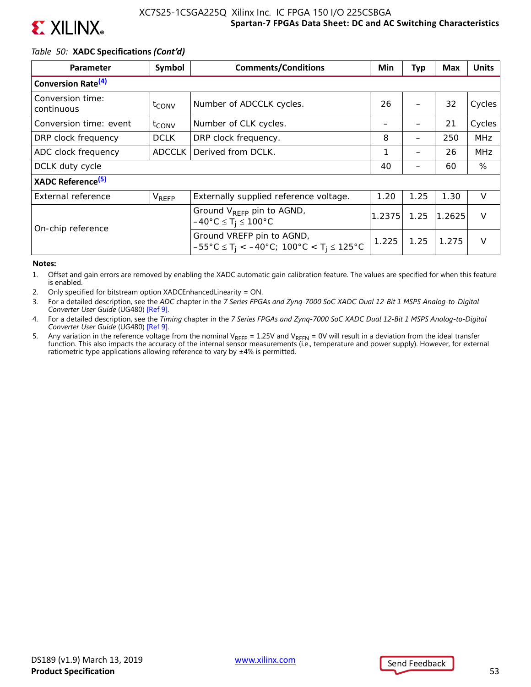![](_page_53_Picture_0.jpeg)

### *Table 50:* **XADC Specifications** *(Cont'd)*

| Parameter                            | Symbol            | <b>Comments/Conditions</b>                                                                                                | Min    | Typ  | <b>Max</b> | <b>Units</b> |
|--------------------------------------|-------------------|---------------------------------------------------------------------------------------------------------------------------|--------|------|------------|--------------|
| <b>Conversion Rate<sup>(4)</sup></b> |                   |                                                                                                                           |        |      |            |              |
| Conversion time:<br>continuous       | $t_{\text{CONV}}$ | Number of ADCCLK cycles.                                                                                                  | 26     |      | 32         | Cycles       |
| Conversion time: event               | t <sub>CONV</sub> | Number of CLK cycles.                                                                                                     |        |      | 21         | Cycles       |
| DRP clock frequency                  | <b>DCLK</b>       | DRP clock frequency.                                                                                                      | 8      |      | 250        | <b>MHz</b>   |
| ADC clock frequency                  | <b>ADCCLK</b>     | Derived from DCLK.                                                                                                        | 1      |      | 26         | <b>MHz</b>   |
| DCLK duty cycle                      |                   |                                                                                                                           | 40     |      | 60         | %            |
| XADC Reference <sup>(5)</sup>        |                   |                                                                                                                           |        |      |            |              |
| External reference                   | V <sub>REFP</sub> | Externally supplied reference voltage.                                                                                    | 1.20   | 1.25 | 1.30       | V            |
| On-chip reference                    |                   | Ground $V_{REFP}$ pin to AGND,<br>$-40^{\circ}$ C $\leq$ T <sub>i</sub> $\leq$ 100°C                                      | 1.2375 | 1.25 | 1.2625     | $\mathsf{V}$ |
|                                      |                   | Ground VREFP pin to AGND,<br>$-55^{\circ}$ C $\leq$ T <sub>i</sub> < $-40^{\circ}$ C; 100°C < T <sub>i</sub> $\leq$ 125°C | 1.225  | 1.25 | 1.275      | $\vee$       |

#### **Notes:**

1. Offset and gain errors are removed by enabling the XADC automatic gain calibration feature. The values are specified for when this feature is enabled.

- 2. Only specified for bitstream option XADCEnhancedLinearity = ON.
- 3. For a detailed description, see the *ADC* chapter in the *7 Series FPGAs and Zynq-7000 SoC XADC Dual 12-Bit 1 MSPS Analog-to-Digital Converter User Guide* (UG480) [Ref 9].
- 4. For a detailed description, see the *Timing* chapter in the *7 Series FPGAs and Zynq-7000 SoC XADC Dual 12-Bit 1 MSPS Analog-to-Digital Converter User Guide* (UG480) [Ref 9].
- 5. Any variation in the reference voltage from the nominal V<sub>REFP</sub> = 1.25V and V<sub>REFN</sub> = 0V will result in a deviation from the ideal transfer<br>function. This also impacts the accuracy of the internal sensor measurements ( ratiometric type applications allowing reference to vary by  $\pm 4\%$  is permitted.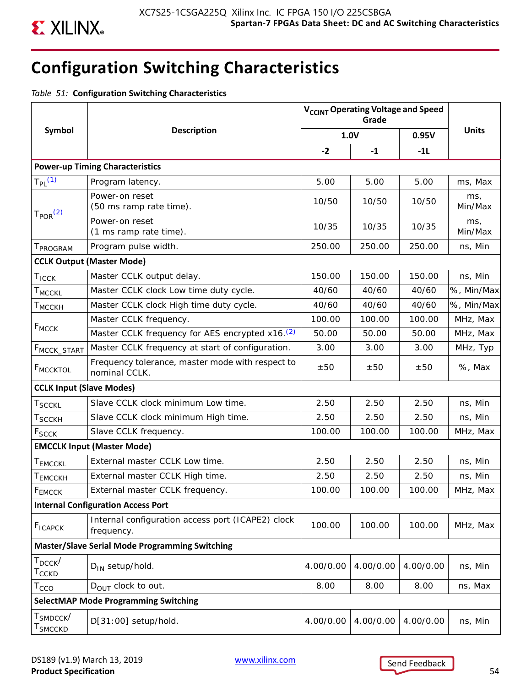![](_page_54_Picture_0.jpeg)

# **Configuration Switching Characteristics**

*Table 51:* **Configuration Switching Characteristics**

|                                                      |                                                                   | V <sub>CCINT</sub> Operating Voltage and Speed |           |           |                |
|------------------------------------------------------|-------------------------------------------------------------------|------------------------------------------------|-----------|-----------|----------------|
| <b>Symbol</b>                                        | <b>Description</b>                                                |                                                | 1.0V      | 0.95V     | <b>Units</b>   |
|                                                      |                                                                   | $-2$                                           | $-1$      | $-11$     |                |
|                                                      | <b>Power-up Timing Characteristics</b>                            |                                                |           |           |                |
| $T_{PL}$ (1)                                         | Program latency.                                                  | 5.00                                           | 5.00      | 5.00      | ms, Max        |
|                                                      | Power-on reset<br>(50 ms ramp rate time).                         | 10/50                                          | 10/50     | 10/50     | ms,<br>Min/Max |
| T <sub>POR</sub> <sup>(2)</sup>                      | Power-on reset<br>(1 ms ramp rate time).                          | 10/35                                          | 10/35     | 10/35     | ms,<br>Min/Max |
| T <sub>PROGRAM</sub>                                 | Program pulse width.                                              | 250.00                                         | 250.00    | 250.00    | ns, Min        |
|                                                      | <b>CCLK Output (Master Mode)</b>                                  |                                                |           |           |                |
| $T_{ICCK}$                                           | Master CCLK output delay.                                         | 150.00                                         | 150.00    | 150.00    | ns, Min        |
| <b>T</b> MCCKL                                       | Master CCLK clock Low time duty cycle.                            | 40/60                                          | 40/60     | 40/60     | %, Min/Max     |
| <b>T</b> MCCKH                                       | Master CCLK clock High time duty cycle.                           | 40/60                                          | 40/60     | 40/60     | %, Min/Max     |
|                                                      | Master CCLK frequency.                                            | 100.00                                         | 100.00    | 100.00    | MHz, Max       |
| $F_{MCCK}$                                           | Master CCLK frequency for AES encrypted x16. <sup>(2)</sup>       | 50.00                                          | 50.00     | 50.00     | MHz, Max       |
| F <sub>MCCK</sub> _START                             | Master CCLK frequency at start of configuration.                  | 3.00                                           | 3.00      | 3.00      | MHz, Typ       |
| F <sub>MCCKTOL</sub>                                 | Frequency tolerance, master mode with respect to<br>nominal CCLK. | ±50                                            | ±50       | ±50       | %, Max         |
| <b>CCLK Input (Slave Modes)</b>                      |                                                                   |                                                |           |           |                |
| <b>TSCCKL</b>                                        | Slave CCLK clock minimum Low time.                                | 2.50                                           | 2.50      | 2.50      | ns, Min        |
| $\sf{T}_{SCCKH}$                                     | Slave CCLK clock minimum High time.                               | 2.50                                           | 2.50      | 2.50      | ns, Min        |
| F <sub>SCCK</sub>                                    | Slave CCLK frequency.                                             | 100.00                                         | 100.00    | 100.00    | MHz, Max       |
|                                                      | <b>EMCCLK Input (Master Mode)</b>                                 |                                                |           |           |                |
| T <sub>EMCCKL</sub>                                  | External master CCLK Low time.                                    | 2.50                                           | 2.50      | 2.50      | ns, Min        |
| T <sub>EMCCKH</sub>                                  | External master CCLK High time.                                   | 2.50                                           | 2.50      | 2.50      | ns, Min        |
| FEMCCK                                               | External master CCLK frequency.                                   | 100.00                                         | 100.00    | 100.00    | MHz, Max       |
|                                                      | <b>Internal Configuration Access Port</b>                         |                                                |           |           |                |
| <b>F<sub>ICAPCK</sub></b>                            | Internal configuration access port (ICAPE2) clock<br>frequency.   | 100.00                                         | 100.00    | 100.00    | MHz, Max       |
|                                                      | <b>Master/Slave Serial Mode Programming Switching</b>             |                                                |           |           |                |
| $T_{DCCK}$<br>$T_{\text{CCKD}}$                      | $D_{IN}$ setup/hold.                                              | 4.00/0.00                                      | 4.00/0.00 | 4.00/0.00 | ns, Min        |
| $T_{\text{CCO}}$                                     | $D_{\text{OUT}}$ clock to out.                                    | 8.00                                           | 8.00      | 8.00      | ns, Max        |
|                                                      | <b>SelectMAP Mode Programming Switching</b>                       |                                                |           |           |                |
| $\texttt{T}_{\texttt{SMDCCK}}/$<br>Т $_{\sf SMCCKD}$ | D[31:00] setup/hold.                                              | 4.00/0.00                                      | 4.00/0.00 | 4.00/0.00 | ns, Min        |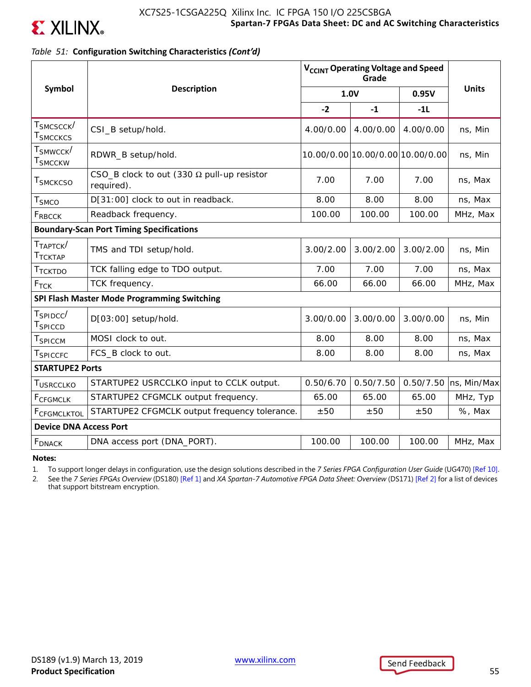![](_page_55_Picture_0.jpeg)

![](_page_55_Picture_1.jpeg)

### *Table 51:* **Configuration Switching Characteristics** *(Cont'd)*

|                                                             |                                                                 | V <sub>CCINT</sub> Operating Voltage and Speed |                                  |           |              |
|-------------------------------------------------------------|-----------------------------------------------------------------|------------------------------------------------|----------------------------------|-----------|--------------|
| Symbol                                                      | <b>Description</b>                                              |                                                | 1.0V                             | 0.95V     | <b>Units</b> |
|                                                             |                                                                 | $-2$                                           | $-1$                             | $-11$     |              |
| $\mathsf{T}_{\mathsf{SMCSCCK}}/$<br>$\tau_\mathsf{SMCCKCS}$ | CSI_B setup/hold.                                               | 4.00/0.00                                      | 4.00/0.00                        | 4.00/0.00 | ns, Min      |
| ${\sf T}_{\sf SMWCCK}^{}{/}$<br>Т $_{\rm SMCCKW}$           | RDWR_B setup/hold.                                              |                                                | 10.00/0.00 10.00/0.00 10.00/0.00 |           | ns, Min      |
| <b>T</b> <sub>SMCKCSO</sub>                                 | CSO_B clock to out (330 $\Omega$ pull-up resistor<br>required). | 7.00                                           | 7.00                             | 7.00      | ns, Max      |
| T <sub>SMCO</sub>                                           | D[31:00] clock to out in readback.                              | 8.00                                           | 8.00                             | 8.00      | ns, Max      |
| FRBCCK                                                      | Readback frequency.                                             | 100.00                                         | 100.00                           | 100.00    | MHz, Max     |
| <b>Boundary-Scan Port Timing Specifications</b>             |                                                                 |                                                |                                  |           |              |
| $T_{TAPTCK}$<br><b>TTCKTAP</b>                              | TMS and TDI setup/hold.                                         | 3.00/2.00                                      | 3.00/2.00                        | 3.00/2.00 | ns, Min      |
| T <sub>TCKTDO</sub>                                         | TCK falling edge to TDO output.                                 | 7.00                                           | 7.00                             | 7.00      | ns, Max      |
| $F_{TCK}$                                                   | TCK frequency.                                                  | 66.00                                          | 66.00                            | 66.00     | MHz, Max     |
|                                                             | SPI Flash Master Mode Programming Switching                     |                                                |                                  |           |              |
| $T_{SPIDCC}$<br>T <sub>SPICCD</sub>                         | D[03:00] setup/hold.                                            | 3.00/0.00                                      | 3.00/0.00                        | 3.00/0.00 | ns, Min      |
| T <sub>SPICCM</sub>                                         | MOSI clock to out.                                              | 8.00                                           | 8.00                             | 8.00      | ns, Max      |
| $\mathsf{T}_{\mathsf{SPICCFC}}$                             | FCS_B clock to out.                                             | 8.00                                           | 8.00                             | 8.00      | ns, Max      |
| <b>STARTUPE2 Ports</b>                                      |                                                                 |                                                |                                  |           |              |
| TUSRCCLKO                                                   | STARTUPE2 USRCCLKO input to CCLK output.                        | 0.50/6.70                                      | 0.50/7.50                        | 0.50/7.50 | ns, Min/Max  |
| <b>FCFGMCLK</b>                                             | STARTUPE2 CFGMCLK output frequency.                             | 65.00                                          | 65.00                            | 65.00     | MHz, Typ     |
| FCFGMCLKTOL                                                 | STARTUPE2 CFGMCLK output frequency tolerance.                   | ±50                                            | ±50                              | ±50       | %, Max       |
| <b>Device DNA Access Port</b>                               |                                                                 |                                                |                                  |           |              |
| <b>F</b> <sub>DNACK</sub>                                   | DNA access port (DNA_PORT).                                     | 100.00                                         | 100.00                           | 100.00    | MHz, Max     |

**Notes:** 

1. To support longer delays in configuration, use the design solutions described in the *7 Series FPGA Configuration User Guide* (UG470) [Ref 10].

2. See the *7 Series FPGAs Overview* (DS180) [Ref 1] and *XA Spartan-7 Automotive FPGA Data Sheet: Overview* (DS171) [Ref 2] for a list of devices that support bitstream encryption.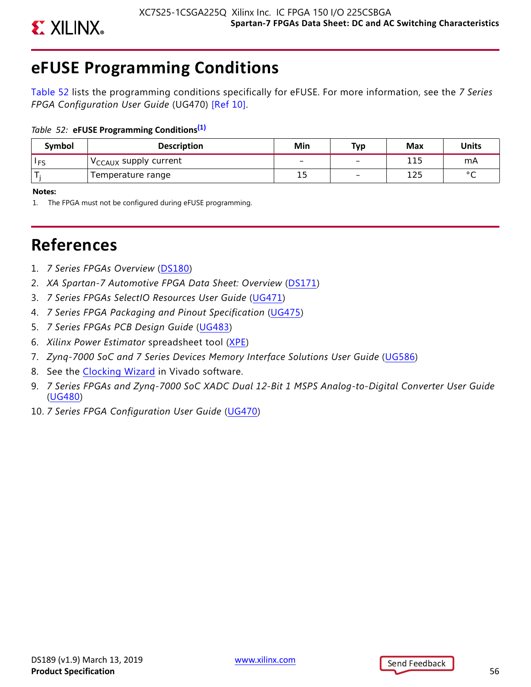![](_page_56_Picture_0.jpeg)

# **eFUSE Programming Conditions**

Table 52 lists the programming conditions specifically for eFUSE. For more information, see the *7 Series FPGA Configuration User Guide* (UG470) [Ref 10].

### *Table 52:* **eFUSE Programming Conditions(1)**

| Symbol     | <b>Description</b>                      | Min | Тур                      | Max | <b>Units</b>   |
|------------|-----------------------------------------|-----|--------------------------|-----|----------------|
| <b>IFS</b> | $\sqrt{C_{\text{CAUX}}}$ supply current |     | -                        | 115 | mA             |
|            | Temperature range                       | 15  | $\overline{\phantom{0}}$ | 125 | $\circ$ $\sim$ |

**Notes:** 

1. The FPGA must not be configured during eFUSE programming.

# **References**

- 1. *7 Series FPGAs Overview* [\(DS180](https://www.xilinx.com/cgi-bin/docs/ndoc?t=data_sheets;d=ds180_7Series_Overview.pdf))
- 2. *XA Spartan-7 Automotive FPGA Data Sheet: Overview* [\(DS171](https://www.xilinx.com/cgi-bin/docs/ndoc?t=data_sheets;d=ds171-xa-spartan7-overview.pdf))
- 3. *7 Series FPGAs SelectIO Resources User Guide* [\(UG471\)](https://www.xilinx.com/cgi-bin/docs/ndoc?t=user_guides;d=ug471_7Series_SelectIO.pdf)
- 4. *7 Series FPGA Packaging and Pinout Specification* ([UG475\)](https://www.xilinx.com/cgi-bin/docs/ndoc?t=user_guides;d=ug475_7Series_Pkg_Pinout.pdf)
- 5. *7 Series FPGAs PCB Design Guide* ([UG483](https://www.xilinx.com/cgi-bin/docs/ndoc?t=user_guides;d=ug483_7Series_PCB.pdf))
- 6. *Xilinx Power Estimator* spreadsheet tool [\(XPE\)](http://www.xilinx.com/products/technology/power/xpe.html)
- 7. *Zynq-7000 SoC and 7 Series Devices Memory Interface Solutions User Guide* ([UG586\)](https://www.xilinx.com/cgi-bin/docs/ipdoc?c=mig_7series;v=latest;d=ug586_7Series_MIS.pdf)
- 8. See the [Clocking Wizard](ttp://www.xilinx.com/products/intellectual-property/clocking_wizard.htm) in Vivado software.
- 9. *7 Series FPGAs and Zynq-7000 SoC XADC Dual 12-Bit 1 MSPS Analog-to-Digital Converter User Guide* ([UG480](https://www.xilinx.com/cgi-bin/docs/ndoc?t=user_guides;d=ug480_7Series_XADC.pdf))
- 10. *7 Series FPGA Configuration User Guide* ([UG470](https://www.xilinx.com/cgi-bin/docs/ndoc?t=user_guides;d=ug470_7Series_Config.pdf))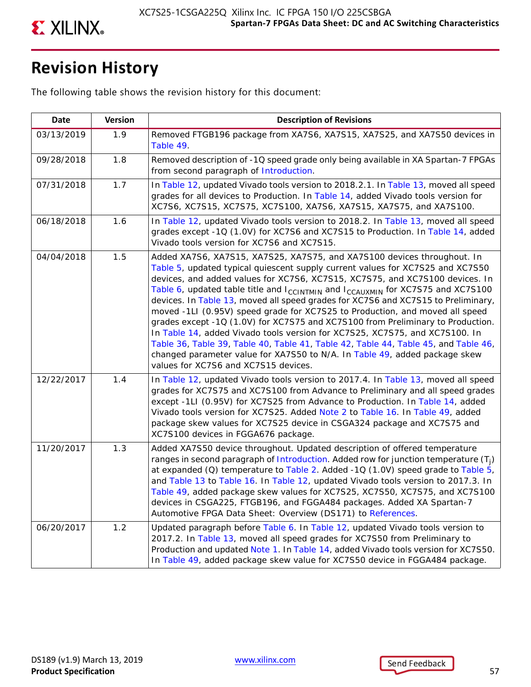![](_page_57_Picture_0.jpeg)

# **Revision History**

The following table shows the revision history for this document:

| <b>Date</b> | Version | <b>Description of Revisions</b>                                                                                                                                                                                                                                                                                                                                                                                                                                                                                                                                                                                                                                                                                                                                                                                                                                                            |
|-------------|---------|--------------------------------------------------------------------------------------------------------------------------------------------------------------------------------------------------------------------------------------------------------------------------------------------------------------------------------------------------------------------------------------------------------------------------------------------------------------------------------------------------------------------------------------------------------------------------------------------------------------------------------------------------------------------------------------------------------------------------------------------------------------------------------------------------------------------------------------------------------------------------------------------|
| 03/13/2019  | 1.9     | Removed FTGB196 package from XA7S6, XA7S15, XA7S25, and XA7S50 devices in<br>Table 49.                                                                                                                                                                                                                                                                                                                                                                                                                                                                                                                                                                                                                                                                                                                                                                                                     |
| 09/28/2018  | 1.8     | Removed description of -1Q speed grade only being available in XA Spartan-7 FPGAs<br>from second paragraph of Introduction.                                                                                                                                                                                                                                                                                                                                                                                                                                                                                                                                                                                                                                                                                                                                                                |
| 07/31/2018  | 1.7     | In Table 12, updated Vivado tools version to 2018.2.1. In Table 13, moved all speed<br>grades for all devices to Production. In Table 14, added Vivado tools version for<br>XC7S6, XC7S15, XC7S75, XC7S100, XA7S6, XA7S15, XA7S75, and XA7S100.                                                                                                                                                                                                                                                                                                                                                                                                                                                                                                                                                                                                                                            |
| 06/18/2018  | 1.6     | In Table 12, updated Vivado tools version to 2018.2. In Table 13, moved all speed<br>grades except -1Q (1.0V) for XC7S6 and XC7S15 to Production. In Table 14, added<br>Vivado tools version for XC7S6 and XC7S15.                                                                                                                                                                                                                                                                                                                                                                                                                                                                                                                                                                                                                                                                         |
| 04/04/2018  | 1.5     | Added XA7S6, XA7S15, XA7S25, XA7S75, and XA7S100 devices throughout. In<br>Table 5, updated typical quiescent supply current values for XC7S25 and XC7S50<br>devices, and added values for XC7S6, XC7S15, XC7S75, and XC7S100 devices. In<br>Table 6, updated table title and $I_{CCLNTMIN}$ and $I_{CCAUXMIN}$ for XC7S75 and XC7S100<br>devices. In Table 13, moved all speed grades for XC7S6 and XC7S15 to Preliminary,<br>moved -1LI (0.95V) speed grade for XC7S25 to Production, and moved all speed<br>grades except -1Q (1.0V) for XC7S75 and XC7S100 from Preliminary to Production.<br>In Table 14, added Vivado tools version for XC7S25, XC7S75, and XC7S100. In<br>Table 36, Table 39, Table 40, Table 41, Table 42, Table 44, Table 45, and Table 46,<br>changed parameter value for XA7S50 to N/A. In Table 49, added package skew<br>values for XC7S6 and XC7S15 devices. |
| 12/22/2017  | 1.4     | In Table 12, updated Vivado tools version to 2017.4. In Table 13, moved all speed<br>grades for XC7S75 and XC7S100 from Advance to Preliminary and all speed grades<br>except -1LI (0.95V) for XC7S25 from Advance to Production. In Table 14, added<br>Vivado tools version for XC7S25. Added Note 2 to Table 16. In Table 49, added<br>package skew values for XC7S25 device in CSGA324 package and XC7S75 and<br>XC7S100 devices in FGGA676 package.                                                                                                                                                                                                                                                                                                                                                                                                                                    |
| 11/20/2017  | 1.3     | Added XA7S50 device throughout. Updated description of offered temperature<br>ranges in second paragraph of Introduction. Added row for junction temperature $(T_i)$<br>at expanded (Q) temperature to Table 2. Added -1Q (1.0V) speed grade to Table 5,<br>and Table 13 to Table 16. In Table 12, updated Vivado tools version to 2017.3. In<br>Table 49, added package skew values for XC7S25, XC7S50, XC7S75, and XC7S100<br>devices in CSGA225, FTGB196, and FGGA484 packages. Added XA Spartan-7<br>Automotive FPGA Data Sheet: Overview (DS171) to References.                                                                                                                                                                                                                                                                                                                       |
| 06/20/2017  | 1.2     | Updated paragraph before Table 6. In Table 12, updated Vivado tools version to<br>2017.2. In Table 13, moved all speed grades for XC7S50 from Preliminary to<br>Production and updated Note 1. In Table 14, added Vivado tools version for XC7S50.<br>In Table 49, added package skew value for XC7S50 device in FGGA484 package.                                                                                                                                                                                                                                                                                                                                                                                                                                                                                                                                                          |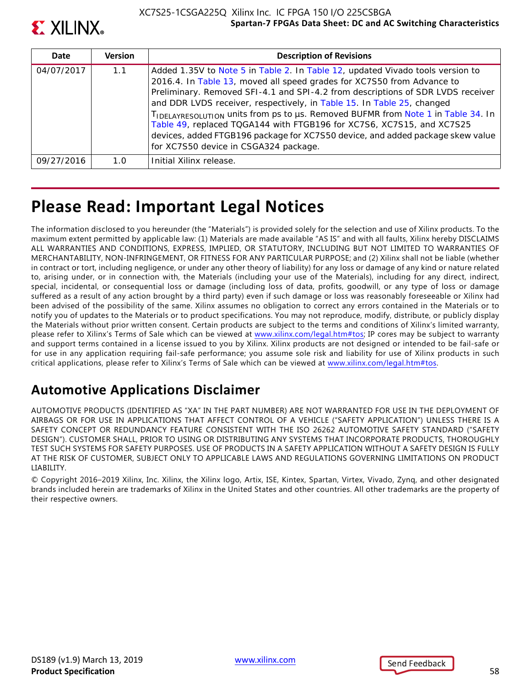![](_page_58_Picture_0.jpeg)

| Date       | <b>Version</b> | <b>Description of Revisions</b>                                                                                                                                                                                                                                                                                                                                                                                                                                                                                                                                                                               |
|------------|----------------|---------------------------------------------------------------------------------------------------------------------------------------------------------------------------------------------------------------------------------------------------------------------------------------------------------------------------------------------------------------------------------------------------------------------------------------------------------------------------------------------------------------------------------------------------------------------------------------------------------------|
| 04/07/2017 | 1.1            | Added 1.35V to Note 5 in Table 2. In Table 12, updated Vivado tools version to<br>2016.4. In Table 13, moved all speed grades for XC7S50 from Advance to<br>Preliminary. Removed SFI-4.1 and SPI-4.2 from descriptions of SDR LVDS receiver<br>and DDR LVDS receiver, respectively, in Table 15. In Table 25, changed<br>TIDELAYRESOLUTION UNITS from ps to us. Removed BUFMR from Note 1 in Table 34. In<br>Table 49, replaced TQGA144 with FTGB196 for XC7S6, XC7S15, and XC7S25<br>devices, added FTGB196 package for XC7S50 device, and added package skew value<br>for XC7S50 device in CSGA324 package. |
| 09/27/2016 | 1 O            | Initial Xilinx release.                                                                                                                                                                                                                                                                                                                                                                                                                                                                                                                                                                                       |

# **Please Read: Important Legal Notices**

The information disclosed to you hereunder (the "Materials") is provided solely for the selection and use of Xilinx products. To the maximum extent permitted by applicable law: (1) Materials are made available "AS IS" and with all faults, Xilinx hereby DISCLAIMS ALL WARRANTIES AND CONDITIONS, EXPRESS, IMPLIED, OR STATUTORY, INCLUDING BUT NOT LIMITED TO WARRANTIES OF MERCHANTABILITY, NON-INFRINGEMENT, OR FITNESS FOR ANY PARTICULAR PURPOSE; and (2) Xilinx shall not be liable (whether in contract or tort, including negligence, or under any other theory of liability) for any loss or damage of any kind or nature related to, arising under, or in connection with, the Materials (including your use of the Materials), including for any direct, indirect, special, incidental, or consequential loss or damage (including loss of data, profits, goodwill, or any type of loss or damage suffered as a result of any action brought by a third party) even if such damage or loss was reasonably foreseeable or Xilinx had been advised of the possibility of the same. Xilinx assumes no obligation to correct any errors contained in the Materials or to notify you of updates to the Materials or to product specifications. You may not reproduce, modify, distribute, or publicly display the Materials without prior written consent. Certain products are subject to the terms and conditions of Xilinx's limited warranty, please refer to Xilinx's Terms of Sale which can be viewed at [www.xilinx.com/legal.htm#tos;](www.xilinx.com/legal.htm#tos) IP cores may be subject to warranty and support terms contained in a license issued to you by Xilinx. Xilinx products are not designed or intended to be fail-safe or for use in any application requiring fail-safe performance; you assume sole risk and liability for use of Xilinx products in such critical applications, please refer to Xilinx's Terms of Sale which can be viewed at [www.xilinx.com/legal.htm#tos.](www.xilinx.com/legal.htm#tos)

### **Automotive Applications Disclaimer**

AUTOMOTIVE PRODUCTS (IDENTIFIED AS "XA" IN THE PART NUMBER) ARE NOT WARRANTED FOR USE IN THE DEPLOYMENT OF AIRBAGS OR FOR USE IN APPLICATIONS THAT AFFECT CONTROL OF A VEHICLE ("SAFETY APPLICATION") UNLESS THERE IS A SAFETY CONCEPT OR REDUNDANCY FEATURE CONSISTENT WITH THE ISO 26262 AUTOMOTIVE SAFETY STANDARD ("SAFETY DESIGN"). CUSTOMER SHALL, PRIOR TO USING OR DISTRIBUTING ANY SYSTEMS THAT INCORPORATE PRODUCTS, THOROUGHLY TEST SUCH SYSTEMS FOR SAFETY PURPOSES. USE OF PRODUCTS IN A SAFETY APPLICATION WITHOUT A SAFETY DESIGN IS FULLY AT THE RISK OF CUSTOMER, SUBJECT ONLY TO APPLICABLE LAWS AND REGULATIONS GOVERNING LIMITATIONS ON PRODUCT LIABILITY.

© Copyright 2016–2019 Xilinx, Inc. Xilinx, the Xilinx logo, Artix, ISE, Kintex, Spartan, Virtex, Vivado, Zynq, and other designated brands included herein are trademarks of Xilinx in the United States and other countries. All other trademarks are the property of their respective owners.

![](_page_58_Picture_10.jpeg)